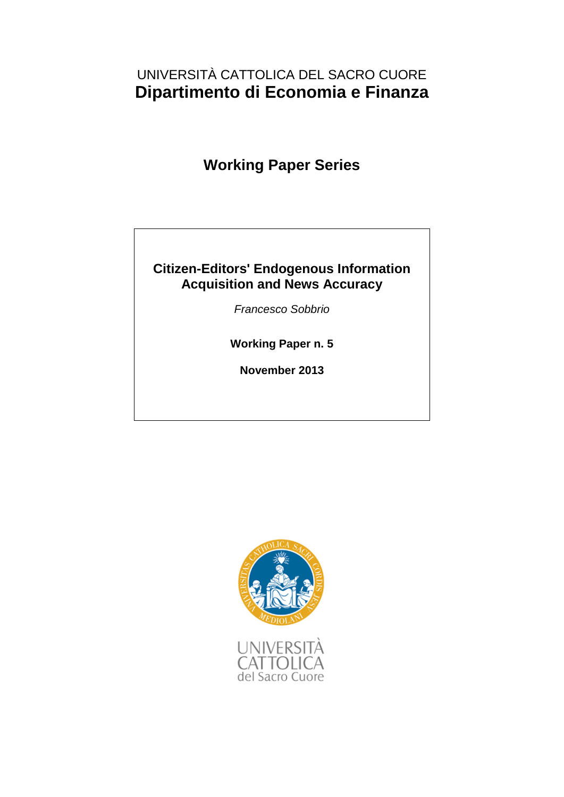# UNIVERSITÀ CATTOLICA DEL SACRO CUORE **Dipartimento di Economia e Finanza**

# **Working Paper Series**

# **Citizen-Editors' Endogenous Information Acquisition and News Accuracy**

*Francesco Sobbrio*

**Working Paper n. 5**

**November 2013**

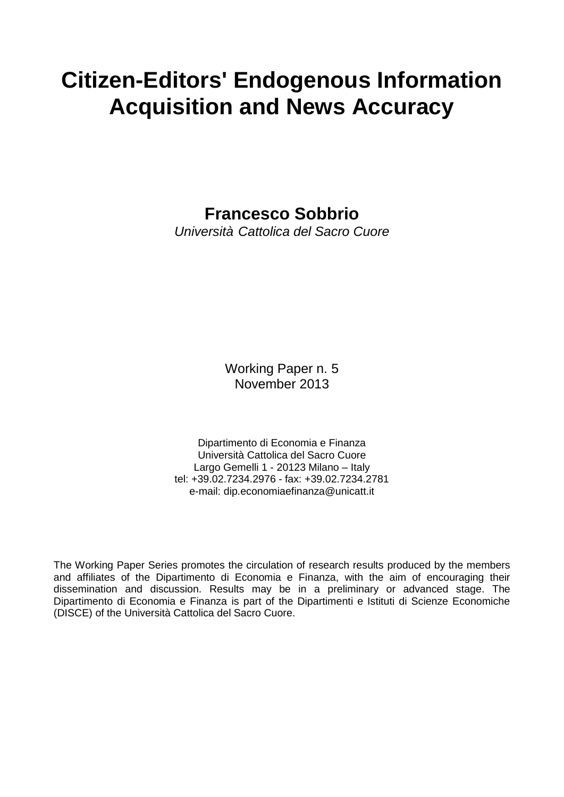# **Citizen-Editors' Endogenous Information Acquisition and News Accuracy**

**Francesco Sobbrio**

*Università Cattolica del Sacro Cuore*

Working Paper n. 5 November 2013

Dipartimento di Economia e Finanza Università Cattolica del Sacro Cuore Largo Gemelli 1 - 20123 Milano – Italy tel: +39.02.7234.2976 - fax: +39.02.7234.2781 e-mail: dip.economiaefinanza@unicatt.it

The Working Paper Series promotes the circulation of research results produced by the members and affiliates of the Dipartimento di Economia e Finanza, with the aim of encouraging their dissemination and discussion. Results may be in a preliminary or advanced stage. The Dipartimento di Economia e Finanza is part of the Dipartimenti e Istituti di Scienze Economiche (DISCE) of the Università Cattolica del Sacro Cuore.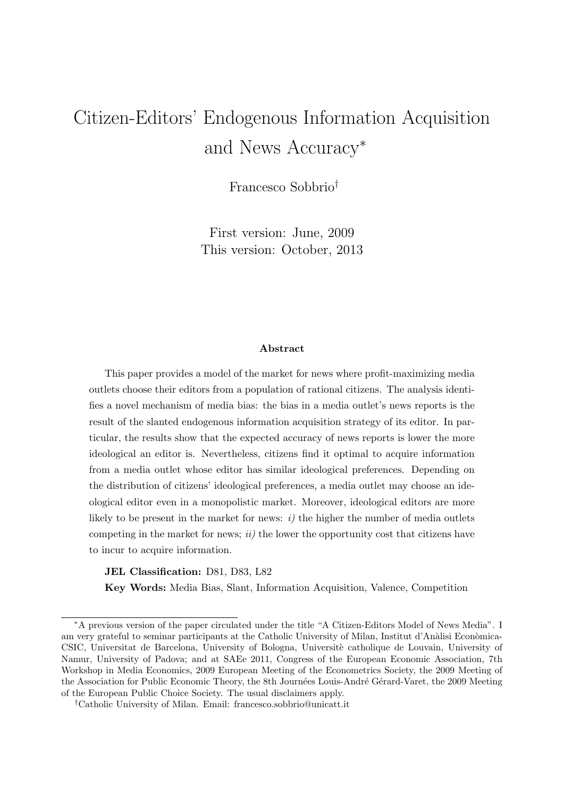# Citizen-Editors' Endogenous Information Acquisition and News Accuracy<sup>∗</sup>

Francesco Sobbrio†

First version: June, 2009 This version: October, 2013

#### Abstract

This paper provides a model of the market for news where profit-maximizing media outlets choose their editors from a population of rational citizens. The analysis identifies a novel mechanism of media bias: the bias in a media outlet's news reports is the result of the slanted endogenous information acquisition strategy of its editor. In particular, the results show that the expected accuracy of news reports is lower the more ideological an editor is. Nevertheless, citizens find it optimal to acquire information from a media outlet whose editor has similar ideological preferences. Depending on the distribution of citizens' ideological preferences, a media outlet may choose an ideological editor even in a monopolistic market. Moreover, ideological editors are more likely to be present in the market for news:  $i$ ) the higher the number of media outlets competing in the market for news;  $ii)$  the lower the opportunity cost that citizens have to incur to acquire information.

#### JEL Classification: D81, D83, L82

Key Words: Media Bias, Slant, Information Acquisition, Valence, Competition

<sup>∗</sup>A previous version of the paper circulated under the title "A Citizen-Editors Model of News Media". I am very grateful to seminar participants at the Catholic University of Milan, Institut d'Anàlisi Econòmica-CSIC, Universitat de Barcelona, University of Bologna, Universitè catholique de Louvain, University of Namur, University of Padova; and at SAEe 2011, Congress of the European Economic Association, 7th Workshop in Media Economics, 2009 European Meeting of the Econometrics Society, the 2009 Meeting of the Association for Public Economic Theory, the 8th Journées Louis-André Gérard-Varet, the 2009 Meeting of the European Public Choice Society. The usual disclaimers apply.

<sup>†</sup>Catholic University of Milan. Email: francesco.sobbrio@unicatt.it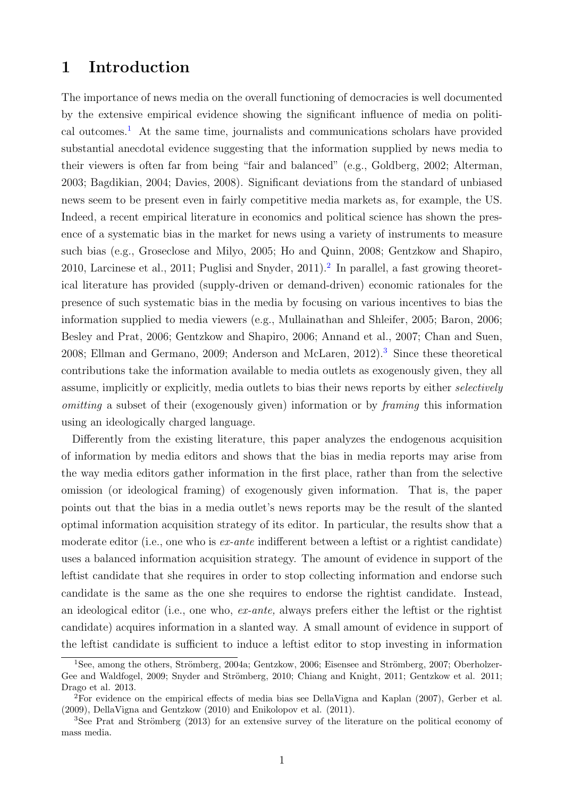# 1 Introduction

The importance of news media on the overall functioning of democracies is well documented by the extensive empirical evidence showing the significant influence of media on political outcomes.[1](#page-3-0) At the same time, journalists and communications scholars have provided substantial anecdotal evidence suggesting that the information supplied by news media to their viewers is often far from being "fair and balanced" (e.g., Goldberg, 2002; Alterman, 2003; Bagdikian, 2004; Davies, 2008). Significant deviations from the standard of unbiased news seem to be present even in fairly competitive media markets as, for example, the US. Indeed, a recent empirical literature in economics and political science has shown the presence of a systematic bias in the market for news using a variety of instruments to measure such bias (e.g., Groseclose and Milyo, 2005; Ho and Quinn, 2008; Gentzkow and Shapiro, [2](#page-3-1)010, Larcinese et al., 2011; Puglisi and Snyder, 2011).<sup>2</sup> In parallel, a fast growing theoretical literature has provided (supply-driven or demand-driven) economic rationales for the presence of such systematic bias in the media by focusing on various incentives to bias the information supplied to media viewers (e.g., Mullainathan and Shleifer, 2005; Baron, 2006; Besley and Prat, 2006; Gentzkow and Shapiro, 2006; Annand et al., 2007; Chan and Suen, 2008; Ellman and Germano, 2009; Anderson and McLaren, 2012).<sup>[3](#page-3-2)</sup> Since these theoretical contributions take the information available to media outlets as exogenously given, they all assume, implicitly or explicitly, media outlets to bias their news reports by either *selectively* omitting a subset of their (exogenously given) information or by framing this information using an ideologically charged language.

Differently from the existing literature, this paper analyzes the endogenous acquisition of information by media editors and shows that the bias in media reports may arise from the way media editors gather information in the first place, rather than from the selective omission (or ideological framing) of exogenously given information. That is, the paper points out that the bias in a media outlet's news reports may be the result of the slanted optimal information acquisition strategy of its editor. In particular, the results show that a moderate editor (i.e., one who is *ex-ante* indifferent between a leftist or a rightist candidate) uses a balanced information acquisition strategy. The amount of evidence in support of the leftist candidate that she requires in order to stop collecting information and endorse such candidate is the same as the one she requires to endorse the rightist candidate. Instead, an ideological editor (i.e., one who,  $ex\text{-}ante$ , always prefers either the leftist or the rightist candidate) acquires information in a slanted way. A small amount of evidence in support of the leftist candidate is sufficient to induce a leftist editor to stop investing in information

<span id="page-3-0"></span> $1$ See, among the others, Strömberg, 2004a; Gentzkow, 2006; Eisensee and Strömberg, 2007; Oberholzer-Gee and Waldfogel, 2009; Snyder and Strömberg, 2010; Chiang and Knight, 2011; Gentzkow et al. 2011; Drago et al. 2013.

<span id="page-3-1"></span><sup>2</sup>For evidence on the empirical effects of media bias see DellaVigna and Kaplan (2007), Gerber et al. (2009), DellaVigna and Gentzkow (2010) and Enikolopov et al. (2011).

<span id="page-3-2"></span> $3$ See Prat and Strömberg (2013) for an extensive survey of the literature on the political economy of mass media.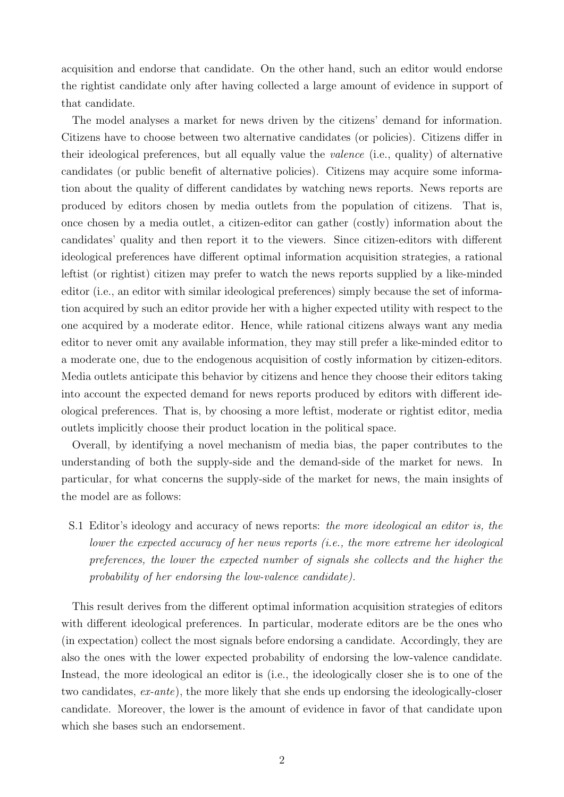acquisition and endorse that candidate. On the other hand, such an editor would endorse the rightist candidate only after having collected a large amount of evidence in support of that candidate.

The model analyses a market for news driven by the citizens' demand for information. Citizens have to choose between two alternative candidates (or policies). Citizens differ in their ideological preferences, but all equally value the valence (i.e., quality) of alternative candidates (or public benefit of alternative policies). Citizens may acquire some information about the quality of different candidates by watching news reports. News reports are produced by editors chosen by media outlets from the population of citizens. That is, once chosen by a media outlet, a citizen-editor can gather (costly) information about the candidates' quality and then report it to the viewers. Since citizen-editors with different ideological preferences have different optimal information acquisition strategies, a rational leftist (or rightist) citizen may prefer to watch the news reports supplied by a like-minded editor (i.e., an editor with similar ideological preferences) simply because the set of information acquired by such an editor provide her with a higher expected utility with respect to the one acquired by a moderate editor. Hence, while rational citizens always want any media editor to never omit any available information, they may still prefer a like-minded editor to a moderate one, due to the endogenous acquisition of costly information by citizen-editors. Media outlets anticipate this behavior by citizens and hence they choose their editors taking into account the expected demand for news reports produced by editors with different ideological preferences. That is, by choosing a more leftist, moderate or rightist editor, media outlets implicitly choose their product location in the political space.

Overall, by identifying a novel mechanism of media bias, the paper contributes to the understanding of both the supply-side and the demand-side of the market for news. In particular, for what concerns the supply-side of the market for news, the main insights of the model are as follows:

S.1 Editor's ideology and accuracy of news reports: the more ideological an editor is, the lower the expected accuracy of her news reports (i.e., the more extreme her ideological preferences, the lower the expected number of signals she collects and the higher the probability of her endorsing the low-valence candidate).

This result derives from the different optimal information acquisition strategies of editors with different ideological preferences. In particular, moderate editors are be the ones who (in expectation) collect the most signals before endorsing a candidate. Accordingly, they are also the ones with the lower expected probability of endorsing the low-valence candidate. Instead, the more ideological an editor is (i.e., the ideologically closer she is to one of the two candidates, ex-ante), the more likely that she ends up endorsing the ideologically-closer candidate. Moreover, the lower is the amount of evidence in favor of that candidate upon which she bases such an endorsement.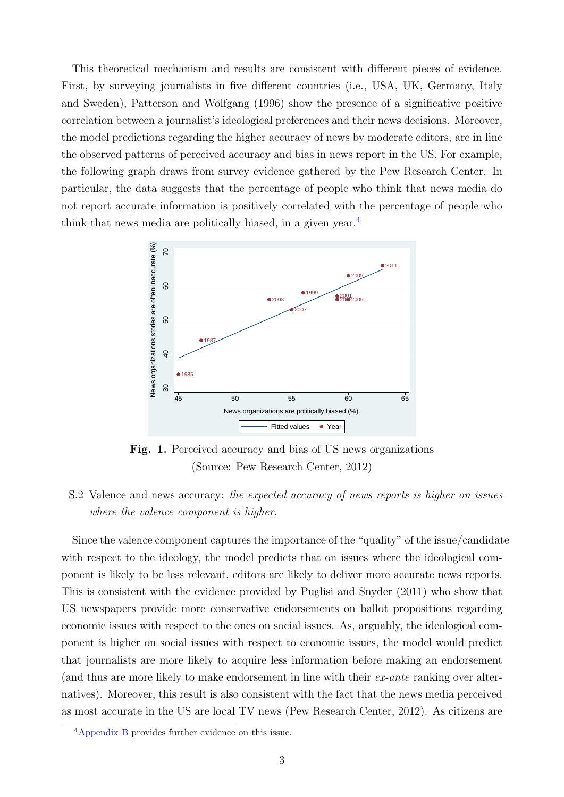This theoretical mechanism and results are consistent with different pieces of evidence. First, by surveying journalists in five different countries (i.e., USA, UK, Germany, Italy and Sweden), Patterson and Wolfgang (1996) show the presence of a significative positive correlation between a journalist's ideological preferences and their news decisions. Moreover, the model predictions regarding the higher accuracy of news by moderate editors, are in line the observed patterns of perceived accuracy and bias in news report in the US. For example, the following graph draws from survey evidence gathered by the Pew Research Center. In particular, the data suggests that the percentage of people who think that news media do not report accurate information is positively correlated with the percentage of people who think that news media are politically biased, in a given year.[4](#page-5-0)



Fig. 1. Perceived accuracy and bias of US news organizations (Source: Pew Research Center, 2012)

### S.2 Valence and news accuracy: the expected accuracy of news reports is higher on issues where the valence component is higher.

Since the valence component captures the importance of the "quality" of the issue/candidate with respect to the ideology, the model predicts that on issues where the ideological component is likely to be less relevant, editors are likely to deliver more accurate news reports. This is consistent with the evidence provided by Puglisi and Snyder (2011) who show that US newspapers provide more conservative endorsements on ballot propositions regarding economic issues with respect to the ones on social issues. As, arguably, the ideological component is higher on social issues with respect to economic issues, the model would predict that journalists are more likely to acquire less information before making an endorsement (and thus are more likely to make endorsement in line with their  $ex$ -ante ranking over alternatives). Moreover, this result is also consistent with the fact that the news media perceived as most accurate in the US are local TV news (Pew Research Center, 2012). As citizens are

<span id="page-5-0"></span><sup>4</sup>[Appendix B](#page-32-0) provides further evidence on this issue.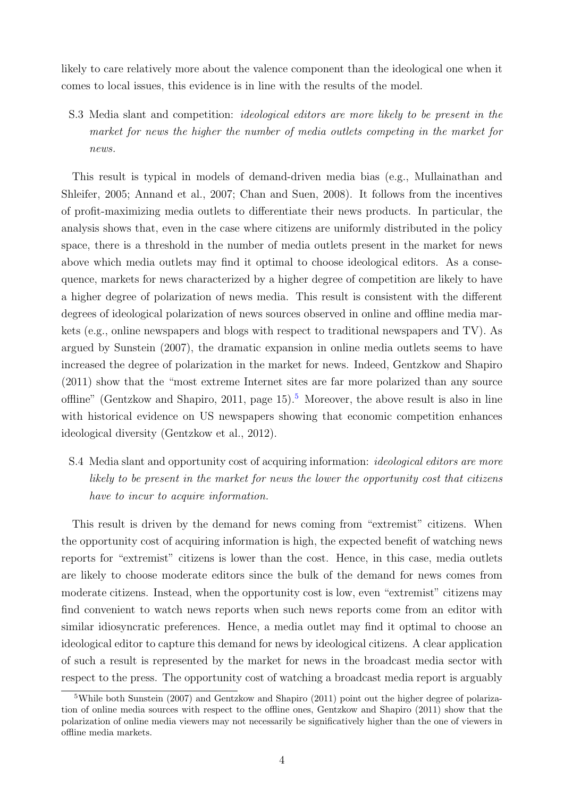likely to care relatively more about the valence component than the ideological one when it comes to local issues, this evidence is in line with the results of the model.

S.3 Media slant and competition: ideological editors are more likely to be present in the market for news the higher the number of media outlets competing in the market for news.

This result is typical in models of demand-driven media bias (e.g., Mullainathan and Shleifer, 2005; Annand et al., 2007; Chan and Suen, 2008). It follows from the incentives of profit-maximizing media outlets to differentiate their news products. In particular, the analysis shows that, even in the case where citizens are uniformly distributed in the policy space, there is a threshold in the number of media outlets present in the market for news above which media outlets may find it optimal to choose ideological editors. As a consequence, markets for news characterized by a higher degree of competition are likely to have a higher degree of polarization of news media. This result is consistent with the different degrees of ideological polarization of news sources observed in online and offline media markets (e.g., online newspapers and blogs with respect to traditional newspapers and TV). As argued by Sunstein (2007), the dramatic expansion in online media outlets seems to have increased the degree of polarization in the market for news. Indeed, Gentzkow and Shapiro (2011) show that the "most extreme Internet sites are far more polarized than any source  $\alpha$  offline" (Gentzkow and Shapiro, 2011, page 1[5](#page-6-0)).<sup>5</sup> Moreover, the above result is also in line with historical evidence on US newspapers showing that economic competition enhances ideological diversity (Gentzkow et al., 2012).

# S.4 Media slant and opportunity cost of acquiring information: ideological editors are more likely to be present in the market for news the lower the opportunity cost that citizens have to incur to acquire information.

This result is driven by the demand for news coming from "extremist" citizens. When the opportunity cost of acquiring information is high, the expected benefit of watching news reports for "extremist" citizens is lower than the cost. Hence, in this case, media outlets are likely to choose moderate editors since the bulk of the demand for news comes from moderate citizens. Instead, when the opportunity cost is low, even "extremist" citizens may find convenient to watch news reports when such news reports come from an editor with similar idiosyncratic preferences. Hence, a media outlet may find it optimal to choose an ideological editor to capture this demand for news by ideological citizens. A clear application of such a result is represented by the market for news in the broadcast media sector with respect to the press. The opportunity cost of watching a broadcast media report is arguably

<span id="page-6-0"></span><sup>&</sup>lt;sup>5</sup>While both Sunstein (2007) and Gentzkow and Shapiro (2011) point out the higher degree of polarization of online media sources with respect to the offline ones, Gentzkow and Shapiro (2011) show that the polarization of online media viewers may not necessarily be significatively higher than the one of viewers in offline media markets.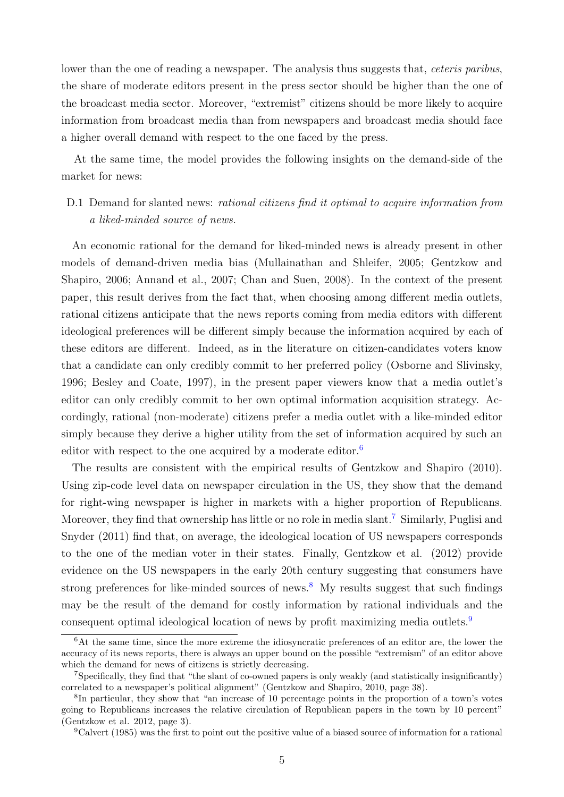lower than the one of reading a newspaper. The analysis thus suggests that, *ceteris paribus*, the share of moderate editors present in the press sector should be higher than the one of the broadcast media sector. Moreover, "extremist" citizens should be more likely to acquire information from broadcast media than from newspapers and broadcast media should face a higher overall demand with respect to the one faced by the press.

At the same time, the model provides the following insights on the demand-side of the market for news:

### D.1 Demand for slanted news: *rational citizens find it optimal to acquire information from* a liked-minded source of news.

An economic rational for the demand for liked-minded news is already present in other models of demand-driven media bias (Mullainathan and Shleifer, 2005; Gentzkow and Shapiro, 2006; Annand et al., 2007; Chan and Suen, 2008). In the context of the present paper, this result derives from the fact that, when choosing among different media outlets, rational citizens anticipate that the news reports coming from media editors with different ideological preferences will be different simply because the information acquired by each of these editors are different. Indeed, as in the literature on citizen-candidates voters know that a candidate can only credibly commit to her preferred policy (Osborne and Slivinsky, 1996; Besley and Coate, 1997), in the present paper viewers know that a media outlet's editor can only credibly commit to her own optimal information acquisition strategy. Accordingly, rational (non-moderate) citizens prefer a media outlet with a like-minded editor simply because they derive a higher utility from the set of information acquired by such an editor with respect to the one acquired by a moderate editor.<sup>[6](#page-7-0)</sup>

The results are consistent with the empirical results of Gentzkow and Shapiro (2010). Using zip-code level data on newspaper circulation in the US, they show that the demand for right-wing newspaper is higher in markets with a higher proportion of Republicans. Moreover, they find that ownership has little or no role in media slant.<sup>[7](#page-7-1)</sup> Similarly, Puglisi and Snyder (2011) find that, on average, the ideological location of US newspapers corresponds to the one of the median voter in their states. Finally, Gentzkow et al. (2012) provide evidence on the US newspapers in the early 20th century suggesting that consumers have strong preferences for like-minded sources of news.<sup>[8](#page-7-2)</sup> My results suggest that such findings may be the result of the demand for costly information by rational individuals and the consequent optimal ideological location of news by profit maximizing media outlets.<sup>[9](#page-7-3)</sup>

<span id="page-7-0"></span> ${}^{6}$ At the same time, since the more extreme the idiosyncratic preferences of an editor are, the lower the accuracy of its news reports, there is always an upper bound on the possible "extremism" of an editor above which the demand for news of citizens is strictly decreasing.

<span id="page-7-1"></span><sup>7</sup>Specifically, they find that "the slant of co-owned papers is only weakly (and statistically insignificantly) correlated to a newspaper's political alignment" (Gentzkow and Shapiro, 2010, page 38).

<span id="page-7-2"></span><sup>8</sup> In particular, they show that "an increase of 10 percentage points in the proportion of a town's votes going to Republicans increases the relative circulation of Republican papers in the town by 10 percent" (Gentzkow et al. 2012, page 3).

<span id="page-7-3"></span><sup>9</sup>Calvert (1985) was the first to point out the positive value of a biased source of information for a rational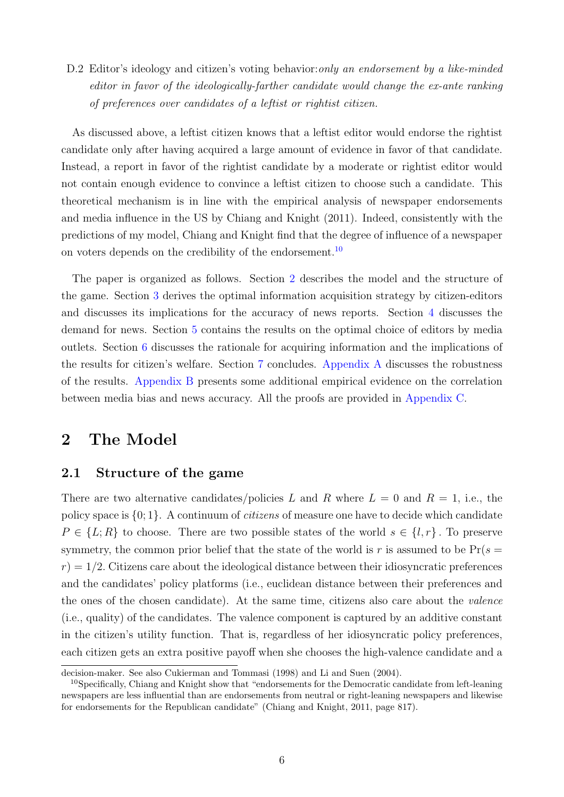D.2 Editor's ideology and citizen's voting behavior: only an endorsement by a like-minded editor in favor of the ideologically-farther candidate would change the ex-ante ranking of preferences over candidates of a leftist or rightist citizen.

As discussed above, a leftist citizen knows that a leftist editor would endorse the rightist candidate only after having acquired a large amount of evidence in favor of that candidate. Instead, a report in favor of the rightist candidate by a moderate or rightist editor would not contain enough evidence to convince a leftist citizen to choose such a candidate. This theoretical mechanism is in line with the empirical analysis of newspaper endorsements and media influence in the US by Chiang and Knight (2011). Indeed, consistently with the predictions of my model, Chiang and Knight find that the degree of influence of a newspaper on voters depends on the credibility of the endorsement.<sup>[10](#page-8-0)</sup>

The paper is organized as follows. Section [2](#page-8-1) describes the model and the structure of the game. Section [3](#page-13-0) derives the optimal information acquisition strategy by citizen-editors and discusses its implications for the accuracy of news reports. Section [4](#page-15-0) discusses the demand for news. Section [5](#page-19-0) contains the results on the optimal choice of editors by media outlets. Section [6](#page-23-0) discusses the rationale for acquiring information and the implications of the results for citizen's welfare. Section [7](#page-24-0) concludes. [Appendix A](#page-29-0) discusses the robustness of the results. [Appendix B](#page-32-0) presents some additional empirical evidence on the correlation between media bias and news accuracy. All the proofs are provided in [Appendix C.](#page-33-0)

# <span id="page-8-1"></span>2 The Model

### <span id="page-8-2"></span>2.1 Structure of the game

There are two alternative candidates/policies L and R where  $L = 0$  and  $R = 1$ , i.e., the policy space is  $\{0, 1\}$ . A continuum of *citizens* of measure one have to decide which candidate  $P \in \{L; R\}$  to choose. There are two possible states of the world  $s \in \{l, r\}$ . To preserve symmetry, the common prior belief that the state of the world is r is assumed to be  $Pr(s =$  $r$ ) = 1/2. Citizens care about the ideological distance between their idiosyncratic preferences and the candidates' policy platforms (i.e., euclidean distance between their preferences and the ones of the chosen candidate). At the same time, citizens also care about the valence (i.e., quality) of the candidates. The valence component is captured by an additive constant in the citizen's utility function. That is, regardless of her idiosyncratic policy preferences, each citizen gets an extra positive payoff when she chooses the high-valence candidate and a

decision-maker. See also Cukierman and Tommasi (1998) and Li and Suen (2004).

<span id="page-8-0"></span> $10S$  pecifically, Chiang and Knight show that "endorsements for the Democratic candidate from left-leaning newspapers are less influential than are endorsements from neutral or right-leaning newspapers and likewise for endorsements for the Republican candidate" (Chiang and Knight, 2011, page 817).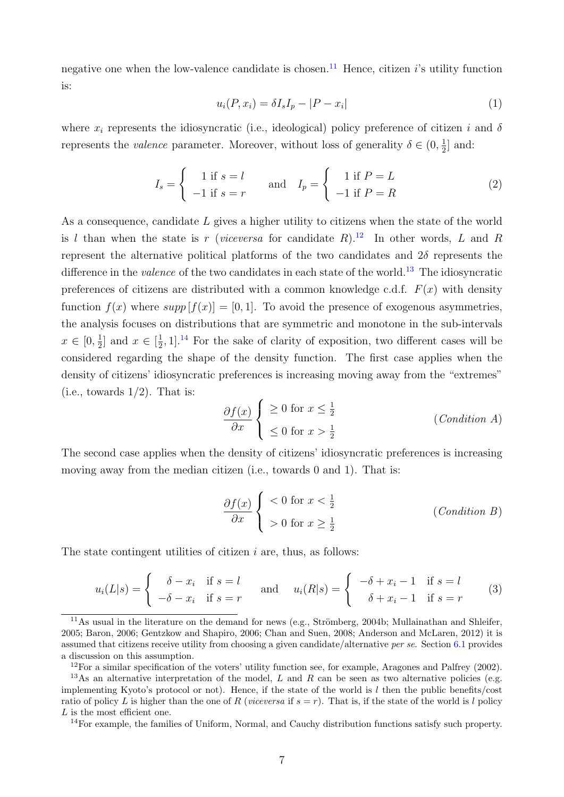negative one when the low-valence candidate is chosen.<sup>[11](#page-9-0)</sup> Hence, citizen *i*'s utility function is:

$$
u_i(P, x_i) = \delta I_s I_p - |P - x_i| \tag{1}
$$

where  $x_i$  represents the idiosyncratic (i.e., ideological) policy preference of citizen i and  $\delta$ represents the *valence* parameter. Moreover, without loss of generality  $\delta \in (0, \frac{1}{2})$  $\frac{1}{2}$  and:

$$
I_s = \begin{cases} 1 & \text{if } s = l \\ -1 & \text{if } s = r \end{cases} \quad \text{and} \quad I_p = \begin{cases} 1 & \text{if } P = L \\ -1 & \text{if } P = R \end{cases} \tag{2}
$$

As a consequence, candidate L gives a higher utility to citizens when the state of the world is l than when the state is r (viceversa for candidate R).<sup>[12](#page-9-1)</sup> In other words, L and R represent the alternative political platforms of the two candidates and  $2\delta$  represents the difference in the *valence* of the two candidates in each state of the world.<sup>[13](#page-9-2)</sup> The idiosyncratic preferences of citizens are distributed with a common knowledge c.d.f.  $F(x)$  with density function  $f(x)$  where  $supp[f(x)] = [0, 1]$ . To avoid the presence of exogenous asymmetries, the analysis focuses on distributions that are symmetric and monotone in the sub-intervals  $x \in [0, \frac{1}{2}]$  $\frac{1}{2}$  and  $x \in \left[\frac{1}{2}\right]$  $\frac{1}{2}$ , 1.<sup>[14](#page-9-3)</sup> For the sake of clarity of exposition, two different cases will be considered regarding the shape of the density function. The first case applies when the density of citizens' idiosyncratic preferences is increasing moving away from the "extremes"  $(i.e., towards 1/2). That is:$ 

<span id="page-9-4"></span>
$$
\frac{\partial f(x)}{\partial x} \begin{cases} \geq 0 \text{ for } x \leq \frac{1}{2} \\ \leq 0 \text{ for } x > \frac{1}{2} \end{cases} \tag{Condition A}
$$

The second case applies when the density of citizens' idiosyncratic preferences is increasing moving away from the median citizen (i.e., towards 0 and 1). That is:

<span id="page-9-5"></span>
$$
\frac{\partial f(x)}{\partial x} \begin{cases} < 0 \text{ for } x < \frac{1}{2} \\ > 0 \text{ for } x \ge \frac{1}{2} \end{cases} \tag{Condition B}
$$

The state contingent utilities of citizen  $i$  are, thus, as follows:

$$
u_i(L|s) = \begin{cases} \delta - x_i & \text{if } s = l \\ -\delta - x_i & \text{if } s = r \end{cases} \quad \text{and} \quad u_i(R|s) = \begin{cases} -\delta + x_i - 1 & \text{if } s = l \\ \delta + x_i - 1 & \text{if } s = r \end{cases} \tag{3}
$$

<span id="page-9-0"></span> $11\text{As}$  usual in the literature on the demand for news (e.g., Strömberg, 2004b; Mullainathan and Shleifer, 2005; Baron, 2006; Gentzkow and Shapiro, 2006; Chan and Suen, 2008; Anderson and McLaren, 2012) it is assumed that citizens receive utility from choosing a given candidate/alternative per se. Section [6.1](#page-23-1) provides a discussion on this assumption.

<span id="page-9-2"></span><span id="page-9-1"></span> $12$ For a similar specification of the voters' utility function see, for example, Aragones and Palfrey (2002).

<sup>&</sup>lt;sup>13</sup>As an alternative interpretation of the model, L and R can be seen as two alternative policies (e.g. implementing Kyoto's protocol or not). Hence, if the state of the world is  $l$  then the public benefits/cost ratio of policy L is higher than the one of R (viceversa if  $s = r$ ). That is, if the state of the world is l policy  $L$  is the most efficient one.

<span id="page-9-3"></span><sup>14</sup>For example, the families of Uniform, Normal, and Cauchy distribution functions satisfy such property.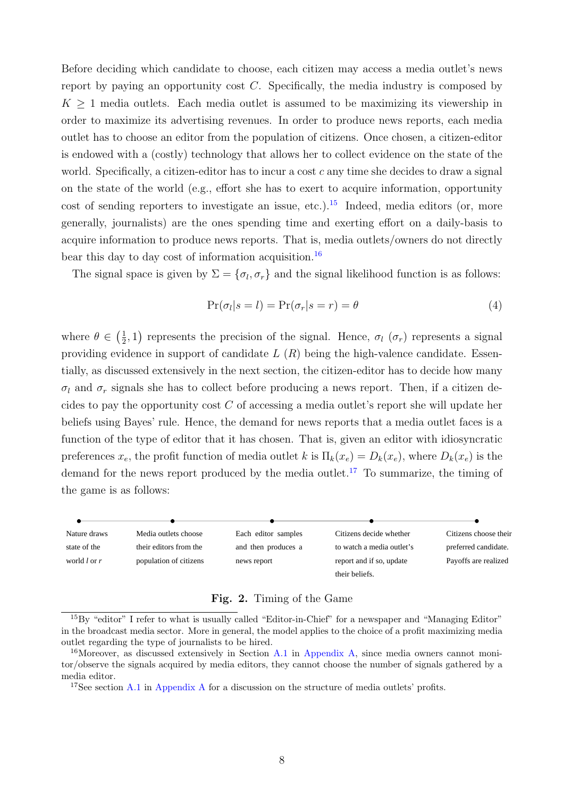Before deciding which candidate to choose, each citizen may access a media outlet's news report by paying an opportunity cost  $C$ . Specifically, the media industry is composed by  $K \geq 1$  media outlets. Each media outlet is assumed to be maximizing its viewership in order to maximize its advertising revenues. In order to produce news reports, each media outlet has to choose an editor from the population of citizens. Once chosen, a citizen-editor is endowed with a (costly) technology that allows her to collect evidence on the state of the world. Specifically, a citizen-editor has to incur a cost  $c$  any time she decides to draw a signal on the state of the world (e.g., effort she has to exert to acquire information, opportunity cost of sending reporters to investigate an issue, etc.).<sup>[15](#page-10-0)</sup> Indeed, media editors (or, more generally, journalists) are the ones spending time and exerting effort on a daily-basis to acquire information to produce news reports. That is, media outlets/owners do not directly bear this day to day cost of information acquisition.<sup>[16](#page-10-1)</sup>

The signal space is given by  $\Sigma = {\sigma_l, \sigma_r}$  and the signal likelihood function is as follows:

$$
\Pr(\sigma_l | s = l) = \Pr(\sigma_r | s = r) = \theta \tag{4}
$$

where  $\theta \in \left(\frac{1}{2}\right)$  $(\frac{1}{2}, 1)$  represents the precision of the signal. Hence,  $\sigma_l$  ( $\sigma_r$ ) represents a signal providing evidence in support of candidate  $L(R)$  being the high-valence candidate. Essentially, as discussed extensively in the next section, the citizen-editor has to decide how many  $\sigma_l$  and  $\sigma_r$  signals she has to collect before producing a news report. Then, if a citizen decides to pay the opportunity cost C of accessing a media outlet's report she will update her beliefs using Bayes' rule. Hence, the demand for news reports that a media outlet faces is a function of the type of editor that it has chosen. That is, given an editor with idiosyncratic preferences  $x_e$ , the profit function of media outlet k is  $\Pi_k(x_e) = D_k(x_e)$ , where  $D_k(x_e)$  is the demand for the news report produced by the media outlet.<sup>[17](#page-10-2)</sup> To summarize, the timing of the game is as follows:

| Nature draws     | Media outlets choose   | Each editor samples | Citizens decide whether   | Citizens choose their |
|------------------|------------------------|---------------------|---------------------------|-----------------------|
| state of the     | their editors from the | and then produces a | to watch a media outlet's | preferred candidate.  |
| world $l$ or $r$ | population of citizens | news report         | report and if so, update  | Payoffs are realized  |
|                  |                        |                     | their beliefs.            |                       |

Fig. 2. Timing of the Game

<span id="page-10-0"></span><sup>15</sup>By "editor" I refer to what is usually called "Editor-in-Chief" for a newspaper and "Managing Editor" in the broadcast media sector. More in general, the model applies to the choice of a profit maximizing media outlet regarding the type of journalists to be hired.

<span id="page-10-1"></span>tor/observe the signals acquired by media editors, they cannot choose the number of signals gathered by a media editor. <sup>16</sup>Moreover, as discussed extensively in Section [A.1](#page-29-1) in [Appendix A,](#page-29-0) since media owners cannot moni-

<span id="page-10-2"></span><sup>&</sup>lt;sup>17</sup>See section [A.1](#page-29-1) in [Appendix A](#page-29-0) for a discussion on the structure of media outlets' profits.  $\mathbf{s}$ .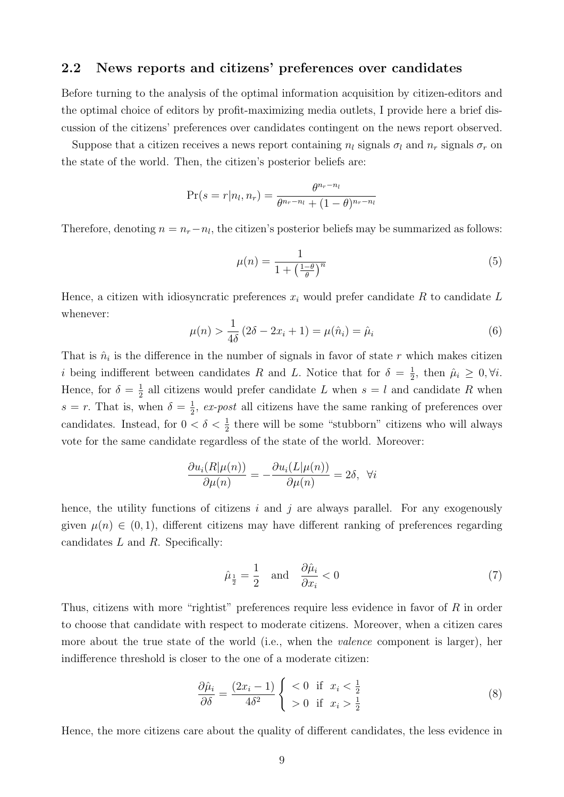### 2.2 News reports and citizens' preferences over candidates

Before turning to the analysis of the optimal information acquisition by citizen-editors and the optimal choice of editors by profit-maximizing media outlets, I provide here a brief discussion of the citizens' preferences over candidates contingent on the news report observed.

Suppose that a citizen receives a news report containing  $n_l$  signals  $\sigma_l$  and  $n_r$  signals  $\sigma_r$  on the state of the world. Then, the citizen's posterior beliefs are:

$$
\Pr(s=r|n_l, n_r) = \frac{\theta^{n_r - n_l}}{\theta^{n_r - n_l} + (1-\theta)^{n_r - n_l}}
$$

Therefore, denoting  $n = n_r - n_l$ , the citizen's posterior beliefs may be summarized as follows:

$$
\mu(n) = \frac{1}{1 + \left(\frac{1-\theta}{\theta}\right)^n} \tag{5}
$$

Hence, a citizen with idiosyncratic preferences  $x_i$  would prefer candidate R to candidate L whenever:

$$
\mu(n) > \frac{1}{4\delta} (2\delta - 2x_i + 1) = \mu(\hat{n}_i) = \hat{\mu}_i
$$
\n(6)

That is  $\hat{n}_i$  is the difference in the number of signals in favor of state r which makes citizen i being indifferent between candidates R and L. Notice that for  $\delta = \frac{1}{2}$  $\frac{1}{2}$ , then  $\hat{\mu}_i \geq 0, \forall i$ . Hence, for  $\delta = \frac{1}{2}$  $\frac{1}{2}$  all citizens would prefer candidate L when  $s = l$  and candidate R when  $s = r$ . That is, when  $\delta = \frac{1}{2}$  $\frac{1}{2}$ , ex-post all citizens have the same ranking of preferences over candidates. Instead, for  $0 < \delta < \frac{1}{2}$  there will be some "stubborn" citizens who will always vote for the same candidate regardless of the state of the world. Moreover:

$$
\frac{\partial u_i(R|\mu(n))}{\partial \mu(n)} = -\frac{\partial u_i(L|\mu(n))}{\partial \mu(n)} = 2\delta, \ \forall i
$$

hence, the utility functions of citizens i and j are always parallel. For any exogenously given  $\mu(n) \in (0,1)$ , different citizens may have different ranking of preferences regarding candidates  $L$  and  $R$ . Specifically:

$$
\hat{\mu}_{\frac{1}{2}} = \frac{1}{2} \quad \text{and} \quad \frac{\partial \hat{\mu}_i}{\partial x_i} < 0 \tag{7}
$$

Thus, citizens with more "rightist" preferences require less evidence in favor of  $R$  in order to choose that candidate with respect to moderate citizens. Moreover, when a citizen cares more about the true state of the world (i.e., when the *valence* component is larger), her indifference threshold is closer to the one of a moderate citizen:

$$
\frac{\partial \hat{\mu}_i}{\partial \delta} = \frac{(2x_i - 1)}{4\delta^2} \begin{cases} < 0 \text{ if } x_i < \frac{1}{2} \\ > 0 \text{ if } x_i > \frac{1}{2} \end{cases} \tag{8}
$$

Hence, the more citizens care about the quality of different candidates, the less evidence in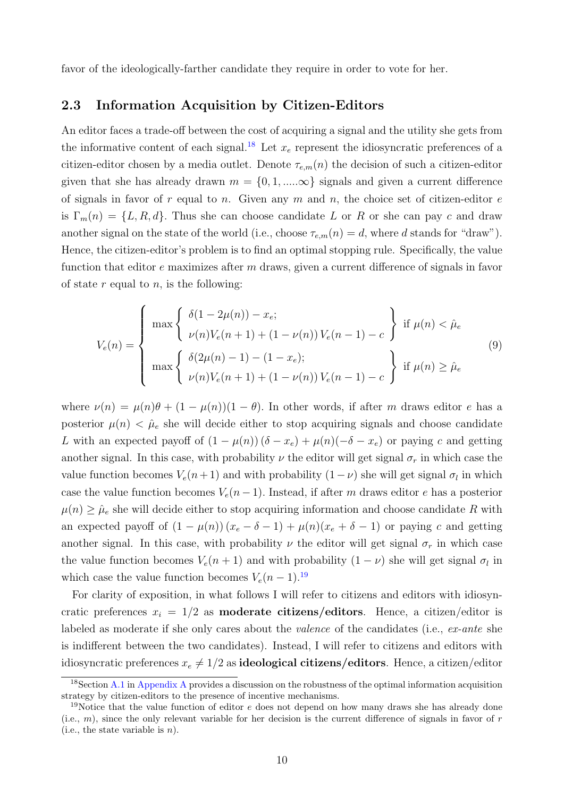favor of the ideologically-farther candidate they require in order to vote for her.

#### 2.3 Information Acquisition by Citizen-Editors

An editor faces a trade-off between the cost of acquiring a signal and the utility she gets from the informative content of each signal.<sup>[18](#page-12-0)</sup> Let  $x_e$  represent the idiosyncratic preferences of a citizen-editor chosen by a media outlet. Denote  $\tau_{e,m}(n)$  the decision of such a citizen-editor given that she has already drawn  $m = \{0, 1, \dots \infty\}$  signals and given a current difference of signals in favor of r equal to n. Given any m and n, the choice set of citizen-editor  $e$ is  $\Gamma_m(n) = \{L, R, d\}$ . Thus she can choose candidate L or R or she can pay c and draw another signal on the state of the world (i.e., choose  $\tau_{e,m}(n) = d$ , where d stands for "draw"). Hence, the citizen-editor's problem is to find an optimal stopping rule. Specifically, the value function that editor  $e$  maximizes after m draws, given a current difference of signals in favor of state  $r$  equal to  $n$ , is the following:

<span id="page-12-2"></span>
$$
V_e(n) = \begin{cases} \max \left\{ \begin{array}{l} \delta(1 - 2\mu(n)) - x_e; \\ \nu(n)V_e(n+1) + (1 - \nu(n))V_e(n-1) - c \end{array} \right\} & \text{if } \mu(n) < \hat{\mu}_e \\ \max \left\{ \begin{array}{l} \delta(2\mu(n) - 1) - (1 - x_e); \\ \nu(n)V_e(n+1) + (1 - \nu(n))V_e(n-1) - c \end{array} \right\} & \text{if } \mu(n) \ge \hat{\mu}_e \end{cases}
$$
(9)

where  $\nu(n) = \mu(n)\theta + (1 - \mu(n))(1 - \theta)$ . In other words, if after m draws editor e has a posterior  $\mu(n) < \hat{\mu}_e$  she will decide either to stop acquiring signals and choose candidate L with an expected payoff of  $(1 - \mu(n)) (\delta - x_e) + \mu(n)(-\delta - x_e)$  or paying c and getting another signal. In this case, with probability  $\nu$  the editor will get signal  $\sigma_r$  in which case the value function becomes  $V_e(n+1)$  and with probability  $(1-\nu)$  she will get signal  $\sigma_l$  in which case the value function becomes  $V_e(n-1)$ . Instead, if after m draws editor e has a posterior  $\mu(n) \geq \hat{\mu}_e$  she will decide either to stop acquiring information and choose candidate R with an expected payoff of  $(1 - \mu(n))(x_e - \delta - 1) + \mu(n)(x_e + \delta - 1)$  or paying c and getting another signal. In this case, with probability  $\nu$  the editor will get signal  $\sigma_r$  in which case the value function becomes  $V_e(n+1)$  and with probability  $(1 - \nu)$  she will get signal  $\sigma_l$  in which case the value function becomes  $V_e(n-1).^{19}$  $V_e(n-1).^{19}$  $V_e(n-1).^{19}$ 

For clarity of exposition, in what follows I will refer to citizens and editors with idiosyncratic preferences  $x_i = 1/2$  as **moderate citizens/editors**. Hence, a citizen/editor is labeled as moderate if she only cares about the *valence* of the candidates (i.e., ex-ante she is indifferent between the two candidates). Instead, I will refer to citizens and editors with idiosyncratic preferences  $x_e \neq 1/2$  as **ideological citizens/editors**. Hence, a citizen/editor

<span id="page-12-0"></span><sup>18</sup>Section [A.1](#page-29-1) in [Appendix A](#page-29-0) provides a discussion on the robustness of the optimal information acquisition strategy by citizen-editors to the presence of incentive mechanisms.

<span id="page-12-1"></span><sup>&</sup>lt;sup>19</sup>Notice that the value function of editor  $e$  does not depend on how many draws she has already done (i.e.,  $m$ ), since the only relevant variable for her decision is the current difference of signals in favor of  $r$ (i.e., the state variable is  $n$ ).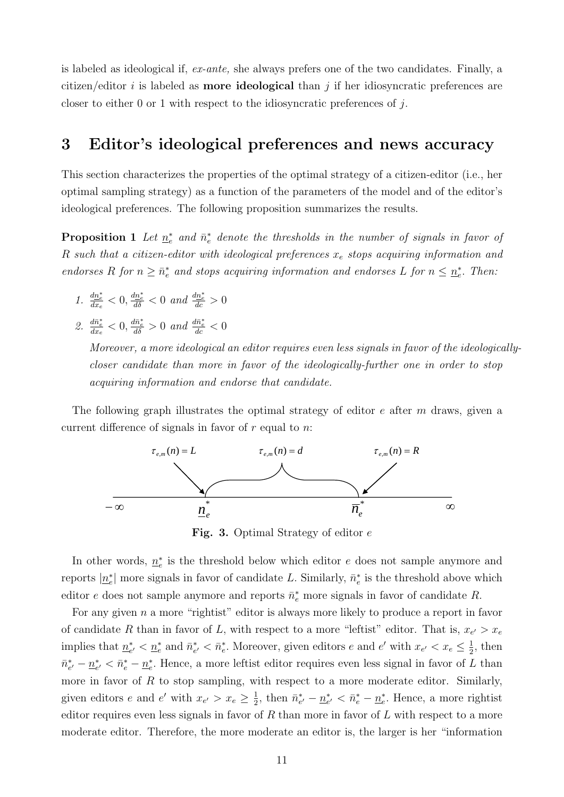is labeled as ideological if, ex-ante, she always prefers one of the two candidates. Finally, a citizen/editor i is labeled as **more ideological** than j if her idiosyncratic preferences are closer to either 0 or 1 with respect to the idiosyncratic preferences of j.

# <span id="page-13-0"></span>3 Editor's ideological preferences and news accuracy

This section characterizes the properties of the optimal strategy of a citizen-editor (i.e., her optimal sampling strategy) as a function of the parameters of the model and of the editor's ideological preferences. The following proposition summarizes the results.

<span id="page-13-1"></span>**Proposition 1** Let  $\underline{n}_{e}^{*}$  and  $\overline{n}_{e}^{*}$  denote the thresholds in the number of signals in favor of R such that a citizen-editor with ideological preferences  $x_e$  stops acquiring information and endorses R for  $n \geq \bar{n}_{e}^{*}$  and stops acquiring information and endorses L for  $n \leq \underline{n}_{e}^{*}$ . Then:

- 1.  $\frac{d n_e^*}{dx_e} < 0$ ,  $\frac{d n_e^*}{d \delta} < 0$  and  $\frac{d n_e^*}{d c} > 0$
- 2.  $\frac{d\bar{n}_{e}^{*}}{dx_{e}} < 0$ ,  $\frac{d\bar{n}_{e}^{*}}{d\delta} > 0$  and  $\frac{d\bar{n}_{e}^{*}}{dc} < 0$

Moreover, a more ideological an editor requires even less signals in favor of the ideologicallycloser candidate than more in favor of the ideologically-further one in order to stop acquiring information and endorse that candidate.

The following graph illustrates the optimal strategy of editor  $e$  after  $m$  draws, given a current difference of signals in favor of  $r$  equal to  $n$ .



Fig. 3. Optimal Strategy of editor  $e$ 

In other words,  $n_e^*$  is the threshold below which editor e does not sample anymore and editor e does not sample anymore and reports  $\bar{n}_e^*$  more signals in favor of candidate R. reports  $|\underline{n_e^*}|$  more signals in favor of candidate L. Similarly,  $\bar{n}_e^*$  is the threshold above which

moderate editor. Therefore, the more moderate an editor is, the larger is her "information given editors e and e' with  $x_{e'} > x_e \geq \frac{1}{2}$ , then  $\bar{n}_{e'}^* - \underline{n}_{e'}^* < \bar{n}_e^* - \underline{n}_e^*$ . Hence, a mo implies that  $\underline{n}_{e'}^* < \underline{n}_e^*$  and  $\bar{n}_{e'}^* < \bar{n}_e^*$ . Moreover, given editors e and e' with  $x_{e'} < x_e \leq \frac{1}{2}$ more in favor of  $R$  to stop sampling, with respect to a more moderate editor. Similarly, *For any given <i>n* a more "rightist" editor is always more likely to produce a report in favor<br>
∴ of candidate R than in favor of L, with respect to a more "leftist" editor. That is,  $x_{e'} > x_e$  $\frac{1}{2}$ , then  $\bar{n}_{e'}^* - \underline{n}_{e'}^* < \bar{n}_e^* - \underline{n}_e^*$ . Hence, a more leftist editor requires even less signal in favor of L than  $\frac{1}{2}$ , then  $\bar{n}_{e'}^* - \underline{n}_{e'}^* < \bar{n}_e^* - \underline{n}_e^*$ . Hence, a more rightist editor requires even less signals in favor of  $R$  than more in favor of  $L$  with respect to a more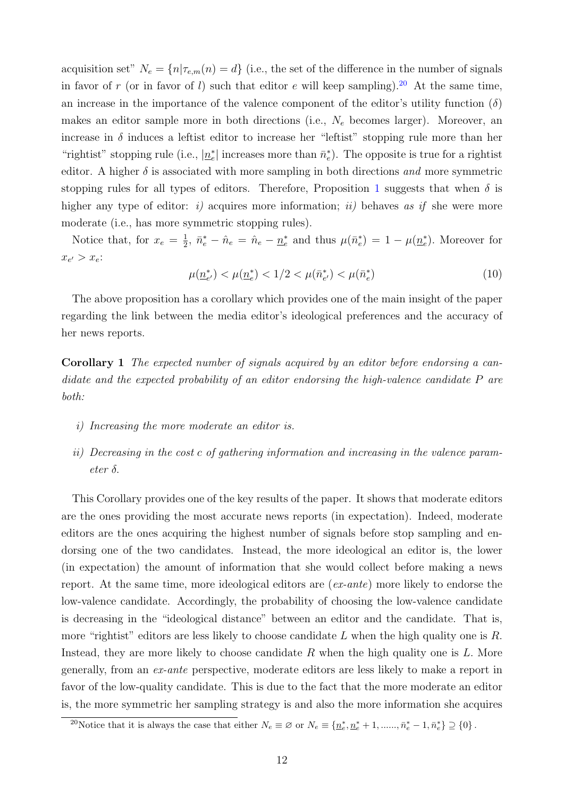acquisition set"  $N_e = \{n | \tau_{e,m}(n) = d\}$  (i.e., the set of the difference in the number of signals in favor of r (or in favor of l) such that editor e will keep sampling).<sup>[20](#page-14-0)</sup> At the same time, an increase in the importance of the valence component of the editor's utility function  $(\delta)$ makes an editor sample more in both directions (i.e.,  $N_e$  becomes larger). Moreover, an increase in  $\delta$  induces a leftist editor to increase her "leftist" stopping rule more than her "rightist" stopping rule (i.e.,  $|\underline{n_e^*}|$  increases more than  $\bar{n}_e^*$ ). The opposite is true for a rightist editor. A higher  $\delta$  is associated with more sampling in both directions and more symmetric stopping rules for all types of editors. Therefore, Proposition [1](#page-13-1) suggests that when  $\delta$  is higher any type of editor: i) acquires more information; ii) behaves as if she were more moderate (i.e., has more symmetric stopping rules).

Notice that, for  $x_e = \frac{1}{2}$  $\frac{1}{2}$ ,  $\bar{n}_e^* - \hat{n}_e = \hat{n}_e - \underline{n}_e^*$  and thus  $\mu(\bar{n}_e^*) = 1 - \mu(\underline{n}_e^*)$ . Moreover for  $x_{e'} > x_e$ :

$$
\mu(\underline{n}_{e'}^*) < \mu(\underline{n}_e^*) < 1/2 < \mu(\bar{n}_{e'}^*) < \mu(\bar{n}_e^*)
$$
\n(10)

The above proposition has a corollary which provides one of the main insight of the paper regarding the link between the media editor's ideological preferences and the accuracy of her news reports.

<span id="page-14-1"></span>Corollary 1 The expected number of signals acquired by an editor before endorsing a candidate and the expected probability of an editor endorsing the high-valence candidate P are both:

- i) Increasing the more moderate an editor is.
- ii) Decreasing in the cost c of gathering information and increasing in the valence parameter δ.

This Corollary provides one of the key results of the paper. It shows that moderate editors are the ones providing the most accurate news reports (in expectation). Indeed, moderate editors are the ones acquiring the highest number of signals before stop sampling and endorsing one of the two candidates. Instead, the more ideological an editor is, the lower (in expectation) the amount of information that she would collect before making a news report. At the same time, more ideological editors are (ex-ante) more likely to endorse the low-valence candidate. Accordingly, the probability of choosing the low-valence candidate is decreasing in the "ideological distance" between an editor and the candidate. That is, more "rightist" editors are less likely to choose candidate  $L$  when the high quality one is  $R$ . Instead, they are more likely to choose candidate  $R$  when the high quality one is  $L$ . More generally, from an ex-ante perspective, moderate editors are less likely to make a report in favor of the low-quality candidate. This is due to the fact that the more moderate an editor is, the more symmetric her sampling strategy is and also the more information she acquires

<span id="page-14-0"></span><sup>&</sup>lt;sup>20</sup>Notice that it is always the case that either  $N_e \equiv \varnothing$  or  $N_e \equiv \{\underline{n}_e^*, \underline{n}_e^* + 1, \dots, \bar{n}_e^* - 1, \bar{n}_e^*\} \supseteq \{0\}$ .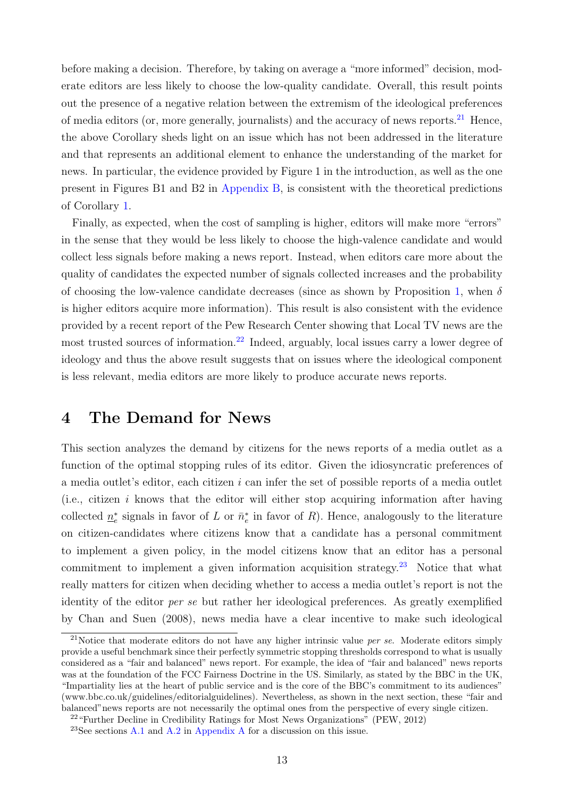before making a decision. Therefore, by taking on average a "more informed" decision, moderate editors are less likely to choose the low-quality candidate. Overall, this result points out the presence of a negative relation between the extremism of the ideological preferences of media editors (or, more generally, journalists) and the accuracy of news reports.<sup>[21](#page-15-1)</sup> Hence, the above Corollary sheds light on an issue which has not been addressed in the literature and that represents an additional element to enhance the understanding of the market for news. In particular, the evidence provided by Figure 1 in the introduction, as well as the one present in Figures B1 and B2 in [Appendix B,](#page-32-0) is consistent with the theoretical predictions of Corollary [1.](#page-14-1)

Finally, as expected, when the cost of sampling is higher, editors will make more "errors" in the sense that they would be less likely to choose the high-valence candidate and would collect less signals before making a news report. Instead, when editors care more about the quality of candidates the expected number of signals collected increases and the probability of choosing the low-valence candidate decreases (since as shown by Proposition [1,](#page-13-1) when  $\delta$ is higher editors acquire more information). This result is also consistent with the evidence provided by a recent report of the Pew Research Center showing that Local TV news are the most trusted sources of information.<sup>[22](#page-15-2)</sup> Indeed, arguably, local issues carry a lower degree of ideology and thus the above result suggests that on issues where the ideological component is less relevant, media editors are more likely to produce accurate news reports.

### <span id="page-15-0"></span>4 The Demand for News

This section analyzes the demand by citizens for the news reports of a media outlet as a function of the optimal stopping rules of its editor. Given the idiosyncratic preferences of a media outlet's editor, each citizen  $i$  can infer the set of possible reports of a media outlet (i.e., citizen i knows that the editor will either stop acquiring information after having collected  $\underline{n}_e^*$  signals in favor of L or  $\overline{n}_e^*$  in favor of R). Hence, analogously to the literature on citizen-candidates where citizens know that a candidate has a personal commitment to implement a given policy, in the model citizens know that an editor has a personal commitment to implement a given information acquisition strategy.<sup>[23](#page-15-3)</sup> Notice that what really matters for citizen when deciding whether to access a media outlet's report is not the identity of the editor per se but rather her ideological preferences. As greatly exemplified by Chan and Suen (2008), news media have a clear incentive to make such ideological

<span id="page-15-1"></span> $^{21}$ Notice that moderate editors do not have any higher intrinsic value *per se*. Moderate editors simply provide a useful benchmark since their perfectly symmetric stopping thresholds correspond to what is usually considered as a "fair and balanced" news report. For example, the idea of "fair and balanced" news reports was at the foundation of the FCC Fairness Doctrine in the US. Similarly, as stated by the BBC in the UK, "Impartiality lies at the heart of public service and is the core of the BBC's commitment to its audiences" (www.bbc.co.uk/guidelines/editorialguidelines). Nevertheless, as shown in the next section, these "fair and balanced"news reports are not necessarily the optimal ones from the perspective of every single citizen.

<span id="page-15-2"></span><sup>22</sup>"Further Decline in Credibility Ratings for Most News Organizations" (PEW, 2012)

<span id="page-15-3"></span><sup>&</sup>lt;sup>23</sup>See sections [A.1](#page-29-1) and [A.2](#page-30-0) in [Appendix A](#page-29-0) for a discussion on this issue.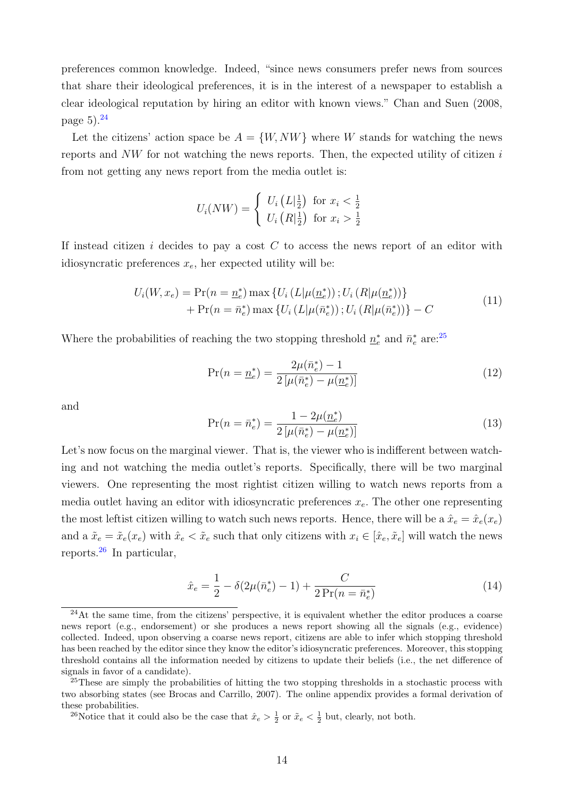preferences common knowledge. Indeed, "since news consumers prefer news from sources that share their ideological preferences, it is in the interest of a newspaper to establish a clear ideological reputation by hiring an editor with known views." Chan and Suen (2008, page 5). $^{24}$  $^{24}$  $^{24}$ 

Let the citizens' action space be  $A = \{W, NW\}$  where W stands for watching the news reports and NW for not watching the news reports. Then, the expected utility of citizen i from not getting any news report from the media outlet is:

$$
U_i(NW) = \begin{cases} U_i(L|\frac{1}{2}) & \text{for } x_i < \frac{1}{2} \\ U_i(R|\frac{1}{2}) & \text{for } x_i > \frac{1}{2} \end{cases}
$$

If instead citizen  $i$  decides to pay a cost  $C$  to access the news report of an editor with idiosyncratic preferences  $x_e$ , her expected utility will be:

$$
U_i(W, x_e) = \Pr(n = \underline{n}_e^*) \max \{ U_i (L | \mu(\underline{n}_e^*) ) ; U_i (R | \mu(\underline{n}_e^*) ) \} + \Pr(n = \bar{n}_e^*) \max \{ U_i (L | \mu(\bar{n}_e^*) ) ; U_i (R | \mu(\bar{n}_e^*) ) \} - C
$$
\n(11)

Where the probabilities of reaching the two stopping threshold  $\underline{n}_e^*$  and  $\overline{n}_e^*$  are:<sup>[25](#page-16-1)</sup>

$$
Pr(n = \underline{n}_e^*) = \frac{2\mu(\bar{n}_e^*) - 1}{2\left[\mu(\bar{n}_e^*) - \mu(\underline{n}_e^*)\right]}
$$
(12)

and

$$
Pr(n = \bar{n}_e^*) = \frac{1 - 2\mu(\underline{n}_e^*)}{2\left[\mu(\bar{n}_e^*) - \mu(\underline{n}_e^*)\right]}
$$
(13)

Let's now focus on the marginal viewer. That is, the viewer who is indifferent between watching and not watching the media outlet's reports. Specifically, there will be two marginal viewers. One representing the most rightist citizen willing to watch news reports from a media outlet having an editor with idiosyncratic preferences  $x<sub>e</sub>$ . The other one representing the most leftist citizen willing to watch such news reports. Hence, there will be a  $\hat{x}_e = \hat{x}_e(x_e)$ and a  $\tilde{x}_e = \tilde{x}_e(x_e)$  with  $\hat{x}_e < \tilde{x}_e$  such that only citizens with  $x_i \in [\hat{x}_e, \tilde{x}_e]$  will watch the news reports. $26$  In particular,

$$
\hat{x}_e = \frac{1}{2} - \delta(2\mu(\bar{n}_e^*) - 1) + \frac{C}{2\Pr(n = \bar{n}_e^*)}
$$
\n(14)

<span id="page-16-0"></span><sup>&</sup>lt;sup>24</sup>At the same time, from the citizens' perspective, it is equivalent whether the editor produces a coarse news report (e.g., endorsement) or she produces a news report showing all the signals (e.g., evidence) collected. Indeed, upon observing a coarse news report, citizens are able to infer which stopping threshold has been reached by the editor since they know the editor's idiosyncratic preferences. Moreover, this stopping threshold contains all the information needed by citizens to update their beliefs (i.e., the net difference of signals in favor of a candidate).

<span id="page-16-1"></span><sup>&</sup>lt;sup>25</sup>These are simply the probabilities of hitting the two stopping thresholds in a stochastic process with two absorbing states (see Brocas and Carrillo, 2007). The online appendix provides a formal derivation of these probabilities.

<span id="page-16-2"></span><sup>&</sup>lt;sup>26</sup>Notice that it could also be the case that  $\hat{x}_e > \frac{1}{2}$  or  $\tilde{x}_e < \frac{1}{2}$  but, clearly, not both.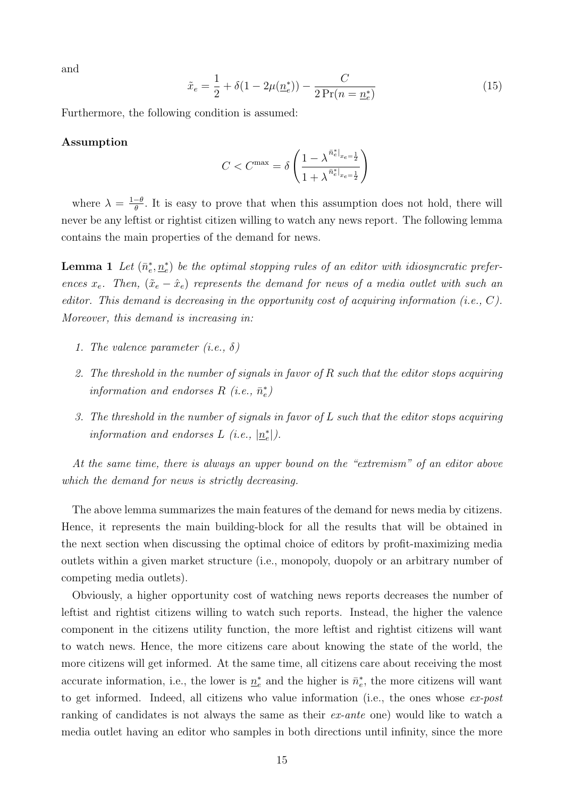and

$$
\tilde{x}_e = \frac{1}{2} + \delta(1 - 2\mu(\underline{n}_e^*)) - \frac{C}{2\Pr(n = \underline{n}_e^*)}
$$
\n(15)

Furthermore, the following condition is assumed:

#### Assumption

$$
C
$$

where  $\lambda = \frac{1-\theta}{\theta}$  $\frac{-\theta}{\theta}$ . It is easy to prove that when this assumption does not hold, there will never be any leftist or rightist citizen willing to watch any news report. The following lemma contains the main properties of the demand for news.

<span id="page-17-0"></span>**Lemma 1** Let  $(\bar{n}_{e}^{*}, \underline{n}_{e}^{*})$  be the optimal stopping rules of an editor with idiosyncratic preferences  $x_e$ . Then,  $(\tilde{x}_e - \hat{x}_e)$  represents the demand for news of a media outlet with such an editor. This demand is decreasing in the opportunity cost of acquiring information (i.e.,  $C$ ). Moreover, this demand is increasing in:

- 1. The valence parameter (i.e.,  $\delta$ )
- 2. The threshold in the number of signals in favor of R such that the editor stops acquiring information and endorses  $R$  (i.e.,  $\bar{n}_{e}^{*}$ )
- 3. The threshold in the number of signals in favor of  $L$  such that the editor stops acquiring information and endorses  $L$  (i.e.,  $|\underline{n_e^*}|$ ).

At the same time, there is always an upper bound on the "extremism" of an editor above which the demand for news is strictly decreasing.

The above lemma summarizes the main features of the demand for news media by citizens. Hence, it represents the main building-block for all the results that will be obtained in the next section when discussing the optimal choice of editors by profit-maximizing media outlets within a given market structure (i.e., monopoly, duopoly or an arbitrary number of competing media outlets).

Obviously, a higher opportunity cost of watching news reports decreases the number of leftist and rightist citizens willing to watch such reports. Instead, the higher the valence component in the citizens utility function, the more leftist and rightist citizens will want to watch news. Hence, the more citizens care about knowing the state of the world, the more citizens will get informed. At the same time, all citizens care about receiving the most accurate information, i.e., the lower is  $\underline{n}_{e}^{*}$  and the higher is  $\overline{n}_{e}^{*}$ , the more citizens will want to get informed. Indeed, all citizens who value information (i.e., the ones whose ex-post ranking of candidates is not always the same as their ex-ante one) would like to watch a media outlet having an editor who samples in both directions until infinity, since the more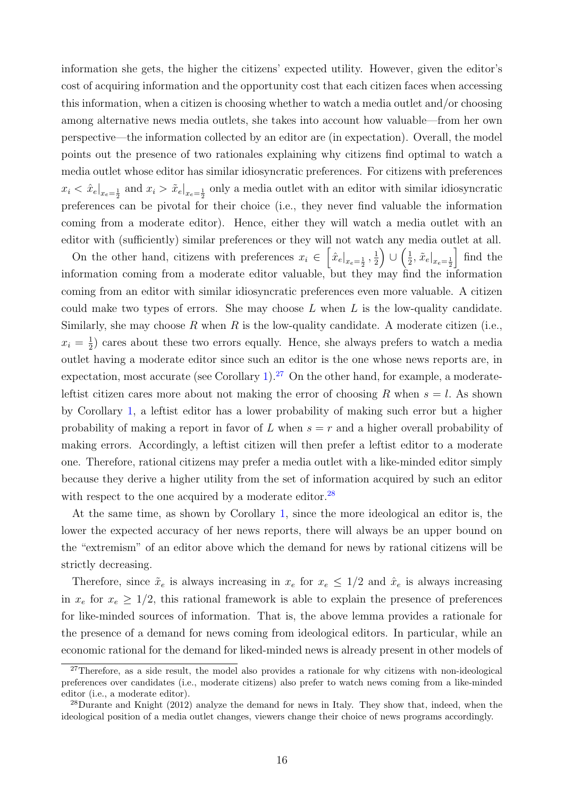information she gets, the higher the citizens' expected utility. However, given the editor's cost of acquiring information and the opportunity cost that each citizen faces when accessing this information, when a citizen is choosing whether to watch a media outlet and/or choosing among alternative news media outlets, she takes into account how valuable—from her own perspective—the information collected by an editor are (in expectation). Overall, the model points out the presence of two rationales explaining why citizens find optimal to watch a media outlet whose editor has similar idiosyncratic preferences. For citizens with preferences  $x_i < \hat{x}_e|_{x_e=\frac{1}{2}}$  and  $x_i > \tilde{x}_e|_{x_e=\frac{1}{2}}$  only a media outlet with an editor with similar idiosyncratic preferences can be pivotal for their choice (i.e., they never find valuable the information coming from a moderate editor). Hence, either they will watch a media outlet with an editor with (sufficiently) similar preferences or they will not watch any media outlet at all.

On the other hand, citizens with preferences  $x_i \in \left[x_e|_{x_e=\frac{1}{2}}, \frac{1}{2}\right]$  $\frac{1}{2}$   $\bigcup$   $\left(\frac{1}{2}\right)$  $\frac{1}{2}$ ,  $\tilde{x}_e|_{x_e=\frac{1}{2}}$ | find the information coming from a moderate editor valuable, but they may find the information coming from an editor with similar idiosyncratic preferences even more valuable. A citizen could make two types of errors. She may choose  $L$  when  $L$  is the low-quality candidate. Similarly, she may choose R when R is the low-quality candidate. A moderate citizen (i.e.,  $x_i = \frac{1}{2}$  $\frac{1}{2}$ ) cares about these two errors equally. Hence, she always prefers to watch a media outlet having a moderate editor since such an editor is the one whose news reports are, in expectation, most accurate (see Corollary [1\)](#page-14-1).<sup>[27](#page-18-0)</sup> On the other hand, for example, a moderateleftist citizen cares more about not making the error of choosing R when  $s = l$ . As shown by Corollary [1,](#page-14-1) a leftist editor has a lower probability of making such error but a higher probability of making a report in favor of L when  $s = r$  and a higher overall probability of making errors. Accordingly, a leftist citizen will then prefer a leftist editor to a moderate one. Therefore, rational citizens may prefer a media outlet with a like-minded editor simply because they derive a higher utility from the set of information acquired by such an editor with respect to the one acquired by a moderate editor.<sup>[28](#page-18-1)</sup>

At the same time, as shown by Corollary [1,](#page-14-1) since the more ideological an editor is, the lower the expected accuracy of her news reports, there will always be an upper bound on the "extremism" of an editor above which the demand for news by rational citizens will be strictly decreasing.

Therefore, since  $\tilde{x}_e$  is always increasing in  $x_e$  for  $x_e \leq 1/2$  and  $\hat{x}_e$  is always increasing in  $x_e$  for  $x_e \geq 1/2$ , this rational framework is able to explain the presence of preferences for like-minded sources of information. That is, the above lemma provides a rationale for the presence of a demand for news coming from ideological editors. In particular, while an economic rational for the demand for liked-minded news is already present in other models of

<span id="page-18-0"></span> $27$ Therefore, as a side result, the model also provides a rationale for why citizens with non-ideological preferences over candidates (i.e., moderate citizens) also prefer to watch news coming from a like-minded editor (i.e., a moderate editor).

<span id="page-18-1"></span><sup>28</sup>Durante and Knight (2012) analyze the demand for news in Italy. They show that, indeed, when the ideological position of a media outlet changes, viewers change their choice of news programs accordingly.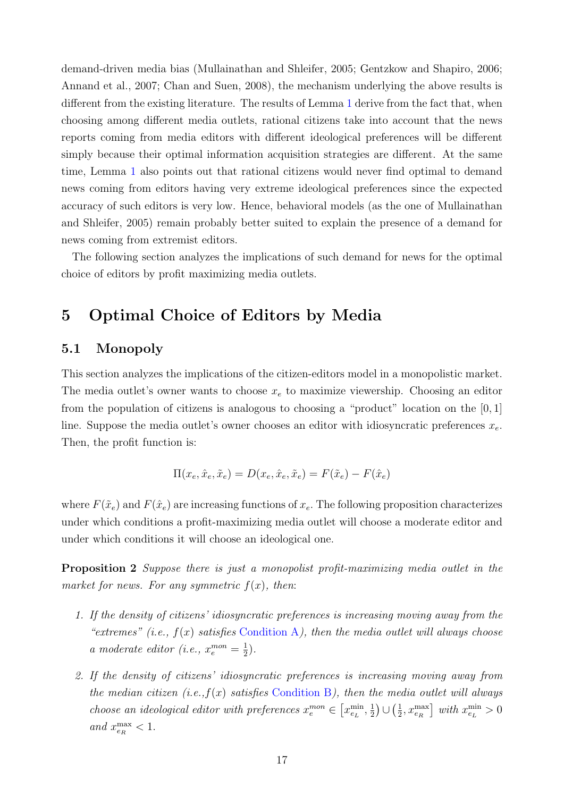demand-driven media bias (Mullainathan and Shleifer, 2005; Gentzkow and Shapiro, 2006; Annand et al., 2007; Chan and Suen, 2008), the mechanism underlying the above results is different from the existing literature. The results of Lemma [1](#page-17-0) derive from the fact that, when choosing among different media outlets, rational citizens take into account that the news reports coming from media editors with different ideological preferences will be different simply because their optimal information acquisition strategies are different. At the same time, Lemma [1](#page-17-0) also points out that rational citizens would never find optimal to demand news coming from editors having very extreme ideological preferences since the expected accuracy of such editors is very low. Hence, behavioral models (as the one of Mullainathan and Shleifer, 2005) remain probably better suited to explain the presence of a demand for news coming from extremist editors.

The following section analyzes the implications of such demand for news for the optimal choice of editors by profit maximizing media outlets.

# <span id="page-19-0"></span>5 Optimal Choice of Editors by Media

### 5.1 Monopoly

This section analyzes the implications of the citizen-editors model in a monopolistic market. The media outlet's owner wants to choose  $x_e$  to maximize viewership. Choosing an editor from the population of citizens is analogous to choosing a "product" location on the [0, 1] line. Suppose the media outlet's owner chooses an editor with idiosyncratic preferences  $x_e$ . Then, the profit function is:

$$
\Pi(x_e, \hat{x}_e, \tilde{x}_e) = D(x_e, \hat{x}_e, \tilde{x}_e) = F(\tilde{x}_e) - F(\hat{x}_e)
$$

where  $F(\tilde{x}_e)$  and  $F(\hat{x}_e)$  are increasing functions of  $x_e$ . The following proposition characterizes under which conditions a profit-maximizing media outlet will choose a moderate editor and under which conditions it will choose an ideological one.

<span id="page-19-1"></span>Proposition 2 Suppose there is just a monopolist profit-maximizing media outlet in the market for news. For any symmetric  $f(x)$ , then:

- 1. If the density of citizens' idiosyncratic preferences is increasing moving away from the "extremes" (i.e.,  $f(x)$  satisfies [Condition A](#page-9-4)), then the media outlet will always choose a moderate editor (i.e.,  $x_e^{mon} = \frac{1}{2}$  $\frac{1}{2}$ .
- 2. If the density of citizens' idiosyncratic preferences is increasing moving away from the median citizen (i.e., $f(x)$  satisfies [Condition B](#page-9-5)), then the media outlet will always choose an ideological editor with preferences  $x_e^{mon} \in \left[x_{e_L}^{\min}, \frac{1}{2}\right]$  $\frac{1}{2}$ )  $\cup$   $\left(\frac{1}{2}\right)$  $\left[\frac{1}{2}, x_{e_R}^{\text{max}}\right]$  with  $x_{e_L}^{\text{min}} > 0$ and  $x_{e_R}^{\max} < 1$ .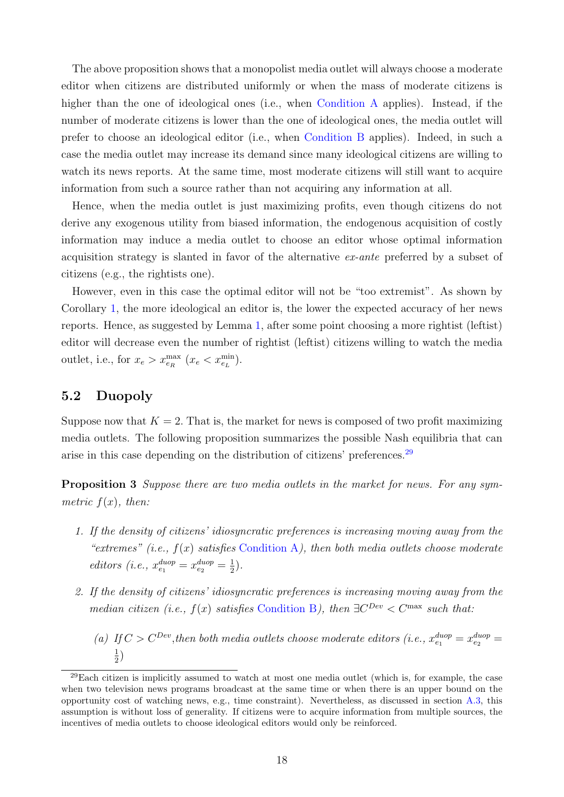The above proposition shows that a monopolist media outlet will always choose a moderate editor when citizens are distributed uniformly or when the mass of moderate citizens is higher than the one of ideological ones (i.e., when [Condition A](#page-9-4) applies). Instead, if the number of moderate citizens is lower than the one of ideological ones, the media outlet will prefer to choose an ideological editor (i.e., when [Condition B](#page-9-5) applies). Indeed, in such a case the media outlet may increase its demand since many ideological citizens are willing to watch its news reports. At the same time, most moderate citizens will still want to acquire information from such a source rather than not acquiring any information at all.

Hence, when the media outlet is just maximizing profits, even though citizens do not derive any exogenous utility from biased information, the endogenous acquisition of costly information may induce a media outlet to choose an editor whose optimal information acquisition strategy is slanted in favor of the alternative ex-ante preferred by a subset of citizens (e.g., the rightists one).

However, even in this case the optimal editor will not be "too extremist". As shown by Corollary [1,](#page-14-1) the more ideological an editor is, the lower the expected accuracy of her news reports. Hence, as suggested by Lemma [1,](#page-17-0) after some point choosing a more rightist (leftist) editor will decrease even the number of rightist (leftist) citizens willing to watch the media outlet, i.e., for  $x_e > x_{e_R}^{\max}$   $(x_e < x_{e_L}^{\min})$ .

### 5.2 Duopoly

Suppose now that  $K = 2$ . That is, the market for news is composed of two profit maximizing media outlets. The following proposition summarizes the possible Nash equilibria that can arise in this case depending on the distribution of citizens' preferences.<sup>[29](#page-20-0)</sup>

<span id="page-20-1"></span>Proposition 3 Suppose there are two media outlets in the market for news. For any symmetric  $f(x)$ , then:

- 1. If the density of citizens' idiosyncratic preferences is increasing moving away from the "extremes" (i.e.,  $f(x)$  satisfies [Condition A](#page-9-4)), then both media outlets choose moderate editors (i.e.,  $x_{e_1}^{duop} = x_{e_2}^{duop} = \frac{1}{2}$  $\frac{1}{2}$ .
- 2. If the density of citizens' idiosyncratic preferences is increasing moving away from the median citizen (i.e.,  $f(x)$  satisfies [Condition B](#page-9-5)), then  $\exists C^{Dev} < C^{max}$  such that:
	- (a) If  $C > C^{Dev}$ , then both media outlets choose moderate editors (i.e.,  $x_{e_1}^{duop} = x_{e_2}^{duop}$ 1  $\frac{1}{2})$

<span id="page-20-0"></span> $29$ Each citizen is implicitly assumed to watch at most one media outlet (which is, for example, the case when two television news programs broadcast at the same time or when there is an upper bound on the opportunity cost of watching news, e.g., time constraint). Nevertheless, as discussed in section [A.3,](#page-31-0) this assumption is without loss of generality. If citizens were to acquire information from multiple sources, the incentives of media outlets to choose ideological editors would only be reinforced.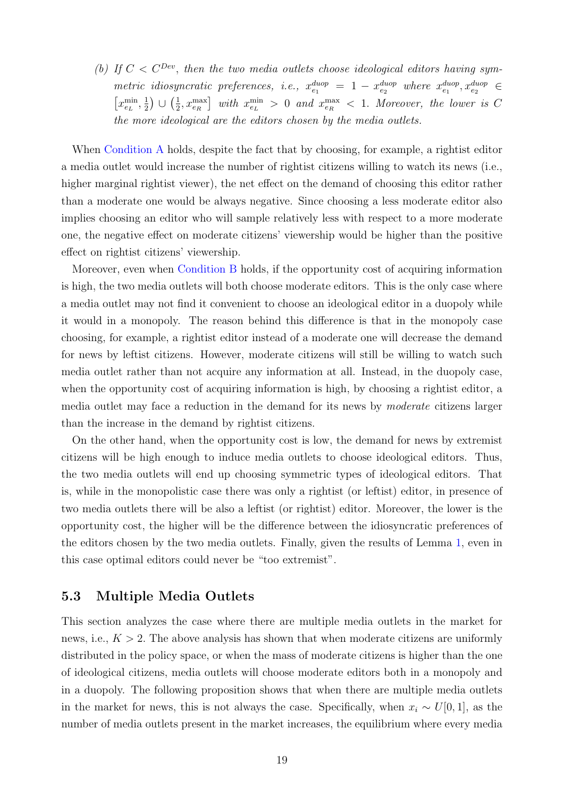(b) If  $C < C^{Dev}$ , then the two media outlets choose ideological editors having symmetric idiosyncratic preferences, i.e.,  $x_{e_1}^{duop} = 1 - x_{e_2}^{duop}$  where  $x_{e_1}^{duop}, x_{e_2}^{duop} \in$  $\left[x_{e_L}^{\min}, \frac{1}{2}\right]$  $\frac{1}{2}$ )  $\cup$   $\left(\frac{1}{2}\right)$  $\frac{1}{2}, x_{e_R}^{\text{max}}$  with  $x_{e_L}^{\text{min}} > 0$  and  $x_{e_R}^{\text{max}} < 1$ . Moreover, the lower is C the more ideological are the editors chosen by the media outlets.

When [Condition A](#page-9-4) holds, despite the fact that by choosing, for example, a rightist editor a media outlet would increase the number of rightist citizens willing to watch its news (i.e., higher marginal rightist viewer), the net effect on the demand of choosing this editor rather than a moderate one would be always negative. Since choosing a less moderate editor also implies choosing an editor who will sample relatively less with respect to a more moderate one, the negative effect on moderate citizens' viewership would be higher than the positive effect on rightist citizens' viewership.

Moreover, even when [Condition B](#page-9-5) holds, if the opportunity cost of acquiring information is high, the two media outlets will both choose moderate editors. This is the only case where a media outlet may not find it convenient to choose an ideological editor in a duopoly while it would in a monopoly. The reason behind this difference is that in the monopoly case choosing, for example, a rightist editor instead of a moderate one will decrease the demand for news by leftist citizens. However, moderate citizens will still be willing to watch such media outlet rather than not acquire any information at all. Instead, in the duopoly case, when the opportunity cost of acquiring information is high, by choosing a rightist editor, a media outlet may face a reduction in the demand for its news by moderate citizens larger than the increase in the demand by rightist citizens.

On the other hand, when the opportunity cost is low, the demand for news by extremist citizens will be high enough to induce media outlets to choose ideological editors. Thus, the two media outlets will end up choosing symmetric types of ideological editors. That is, while in the monopolistic case there was only a rightist (or leftist) editor, in presence of two media outlets there will be also a leftist (or rightist) editor. Moreover, the lower is the opportunity cost, the higher will be the difference between the idiosyncratic preferences of the editors chosen by the two media outlets. Finally, given the results of Lemma [1,](#page-17-0) even in this case optimal editors could never be "too extremist".

### 5.3 Multiple Media Outlets

This section analyzes the case where there are multiple media outlets in the market for news, i.e.,  $K > 2$ . The above analysis has shown that when moderate citizens are uniformly distributed in the policy space, or when the mass of moderate citizens is higher than the one of ideological citizens, media outlets will choose moderate editors both in a monopoly and in a duopoly. The following proposition shows that when there are multiple media outlets in the market for news, this is not always the case. Specifically, when  $x_i \sim U[0, 1]$ , as the number of media outlets present in the market increases, the equilibrium where every media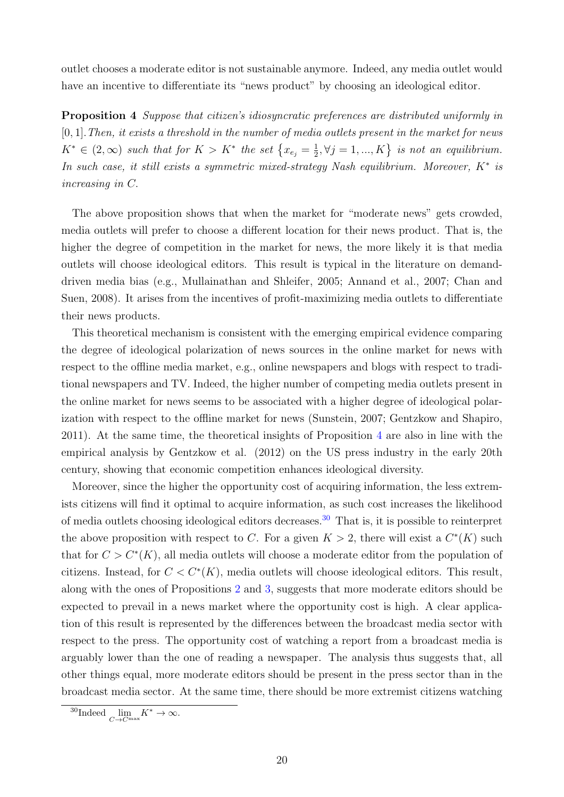outlet chooses a moderate editor is not sustainable anymore. Indeed, any media outlet would have an incentive to differentiate its "news product" by choosing an ideological editor.

<span id="page-22-0"></span>Proposition 4 Suppose that citizen's idiosyncratic preferences are distributed uniformly in [0, 1].Then, it exists a threshold in the number of media outlets present in the market for news  $K^* \in (2,\infty)$  such that for  $K > K^*$  the set  $\big\{x_{e_j} = \frac{1}{2}\big\}$  $\frac{1}{2}, \forall j = 1, ..., K$  is not an equilibrium. In such case, it still exists a symmetric mixed-strategy Nash equilibrium. Moreover, K<sup>∗</sup> is increasing in C.

The above proposition shows that when the market for "moderate news" gets crowded, media outlets will prefer to choose a different location for their news product. That is, the higher the degree of competition in the market for news, the more likely it is that media outlets will choose ideological editors. This result is typical in the literature on demanddriven media bias (e.g., Mullainathan and Shleifer, 2005; Annand et al., 2007; Chan and Suen, 2008). It arises from the incentives of profit-maximizing media outlets to differentiate their news products.

This theoretical mechanism is consistent with the emerging empirical evidence comparing the degree of ideological polarization of news sources in the online market for news with respect to the offline media market, e.g., online newspapers and blogs with respect to traditional newspapers and TV. Indeed, the higher number of competing media outlets present in the online market for news seems to be associated with a higher degree of ideological polarization with respect to the offline market for news (Sunstein, 2007; Gentzkow and Shapiro, 2011). At the same time, the theoretical insights of Proposition [4](#page-22-0) are also in line with the empirical analysis by Gentzkow et al. (2012) on the US press industry in the early 20th century, showing that economic competition enhances ideological diversity.

Moreover, since the higher the opportunity cost of acquiring information, the less extremists citizens will find it optimal to acquire information, as such cost increases the likelihood of media outlets choosing ideological editors decreases.[30](#page-22-1) That is, it is possible to reinterpret the above proposition with respect to C. For a given  $K > 2$ , there will exist a  $C^*(K)$  such that for  $C > C<sup>*</sup>(K)$ , all media outlets will choose a moderate editor from the population of citizens. Instead, for  $C < C<sup>*</sup>(K)$ , media outlets will choose ideological editors. This result, along with the ones of Propositions [2](#page-19-1) and [3,](#page-20-1) suggests that more moderate editors should be expected to prevail in a news market where the opportunity cost is high. A clear application of this result is represented by the differences between the broadcast media sector with respect to the press. The opportunity cost of watching a report from a broadcast media is arguably lower than the one of reading a newspaper. The analysis thus suggests that, all other things equal, more moderate editors should be present in the press sector than in the broadcast media sector. At the same time, there should be more extremist citizens watching

<span id="page-22-1"></span><sup>&</sup>lt;sup>30</sup>Indeed  $\lim_{C \to C^{\max}} K^* \to \infty$ .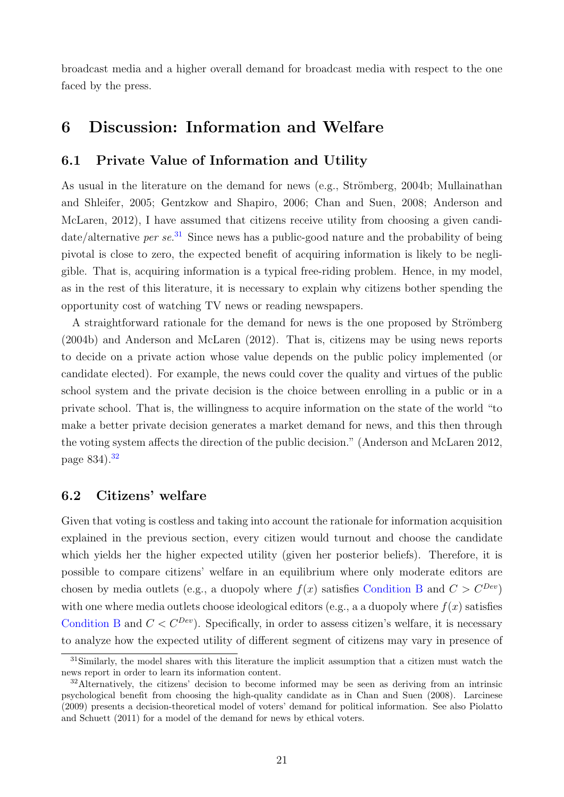broadcast media and a higher overall demand for broadcast media with respect to the one faced by the press.

# <span id="page-23-0"></span>6 Discussion: Information and Welfare

### <span id="page-23-1"></span>6.1 Private Value of Information and Utility

As usual in the literature on the demand for news (e.g., Strömberg, 2004b; Mullainathan and Shleifer, 2005; Gentzkow and Shapiro, 2006; Chan and Suen, 2008; Anderson and McLaren, 2012), I have assumed that citizens receive utility from choosing a given candi-date/alternative per se.<sup>[31](#page-23-2)</sup> Since news has a public-good nature and the probability of being pivotal is close to zero, the expected benefit of acquiring information is likely to be negligible. That is, acquiring information is a typical free-riding problem. Hence, in my model, as in the rest of this literature, it is necessary to explain why citizens bother spending the opportunity cost of watching TV news or reading newspapers.

A straightforward rationale for the demand for news is the one proposed by Strömberg (2004b) and Anderson and McLaren (2012). That is, citizens may be using news reports to decide on a private action whose value depends on the public policy implemented (or candidate elected). For example, the news could cover the quality and virtues of the public school system and the private decision is the choice between enrolling in a public or in a private school. That is, the willingness to acquire information on the state of the world "to make a better private decision generates a market demand for news, and this then through the voting system affects the direction of the public decision." (Anderson and McLaren 2012, page 834).[32](#page-23-3)

### 6.2 Citizens' welfare

Given that voting is costless and taking into account the rationale for information acquisition explained in the previous section, every citizen would turnout and choose the candidate which yields her the higher expected utility (given her posterior beliefs). Therefore, it is possible to compare citizens' welfare in an equilibrium where only moderate editors are chosen by media outlets (e.g., a duopoly where  $f(x)$  satisfies [Condition B](#page-9-5) and  $C > C^{Dev}$ ) with one where media outlets choose ideological editors (e.g., a a duopoly where  $f(x)$  satisfies [Condition B](#page-9-5) and  $C < C^{Dev}$ ). Specifically, in order to assess citizen's welfare, it is necessary to analyze how the expected utility of different segment of citizens may vary in presence of

<span id="page-23-2"></span><sup>&</sup>lt;sup>31</sup>Similarly, the model shares with this literature the implicit assumption that a citizen must watch the news report in order to learn its information content.

<span id="page-23-3"></span><sup>&</sup>lt;sup>32</sup>Alternatively, the citizens' decision to become informed may be seen as deriving from an intrinsic psychological benefit from choosing the high-quality candidate as in Chan and Suen (2008). Larcinese (2009) presents a decision-theoretical model of voters' demand for political information. See also Piolatto and Schuett (2011) for a model of the demand for news by ethical voters.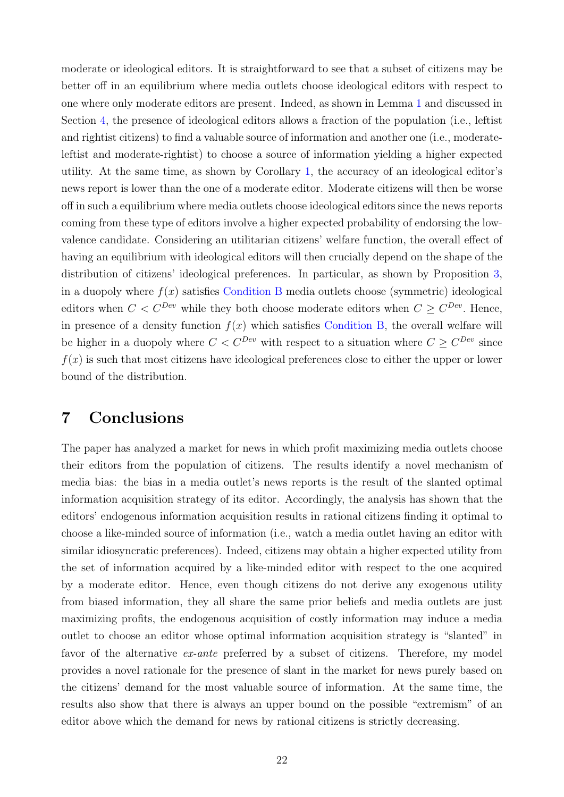moderate or ideological editors. It is straightforward to see that a subset of citizens may be better off in an equilibrium where media outlets choose ideological editors with respect to one where only moderate editors are present. Indeed, as shown in Lemma [1](#page-17-0) and discussed in Section [4,](#page-15-0) the presence of ideological editors allows a fraction of the population (i.e., leftist and rightist citizens) to find a valuable source of information and another one (i.e., moderateleftist and moderate-rightist) to choose a source of information yielding a higher expected utility. At the same time, as shown by Corollary [1,](#page-14-1) the accuracy of an ideological editor's news report is lower than the one of a moderate editor. Moderate citizens will then be worse off in such a equilibrium where media outlets choose ideological editors since the news reports coming from these type of editors involve a higher expected probability of endorsing the lowvalence candidate. Considering an utilitarian citizens' welfare function, the overall effect of having an equilibrium with ideological editors will then crucially depend on the shape of the distribution of citizens' ideological preferences. In particular, as shown by Proposition [3,](#page-20-1) in a duopoly where  $f(x)$  satisfies [Condition B](#page-9-5) media outlets choose (symmetric) ideological editors when  $C < C^{Dev}$  while they both choose moderate editors when  $C \ge C^{Dev}$ . Hence, in presence of a density function  $f(x)$  which satisfies [Condition B,](#page-9-5) the overall welfare will be higher in a duopoly where  $C < C^{Dev}$  with respect to a situation where  $C \ge C^{Dev}$  since  $f(x)$  is such that most citizens have ideological preferences close to either the upper or lower bound of the distribution.

# <span id="page-24-0"></span>7 Conclusions

The paper has analyzed a market for news in which profit maximizing media outlets choose their editors from the population of citizens. The results identify a novel mechanism of media bias: the bias in a media outlet's news reports is the result of the slanted optimal information acquisition strategy of its editor. Accordingly, the analysis has shown that the editors' endogenous information acquisition results in rational citizens finding it optimal to choose a like-minded source of information (i.e., watch a media outlet having an editor with similar idiosyncratic preferences). Indeed, citizens may obtain a higher expected utility from the set of information acquired by a like-minded editor with respect to the one acquired by a moderate editor. Hence, even though citizens do not derive any exogenous utility from biased information, they all share the same prior beliefs and media outlets are just maximizing profits, the endogenous acquisition of costly information may induce a media outlet to choose an editor whose optimal information acquisition strategy is "slanted" in favor of the alternative ex-ante preferred by a subset of citizens. Therefore, my model provides a novel rationale for the presence of slant in the market for news purely based on the citizens' demand for the most valuable source of information. At the same time, the results also show that there is always an upper bound on the possible "extremism" of an editor above which the demand for news by rational citizens is strictly decreasing.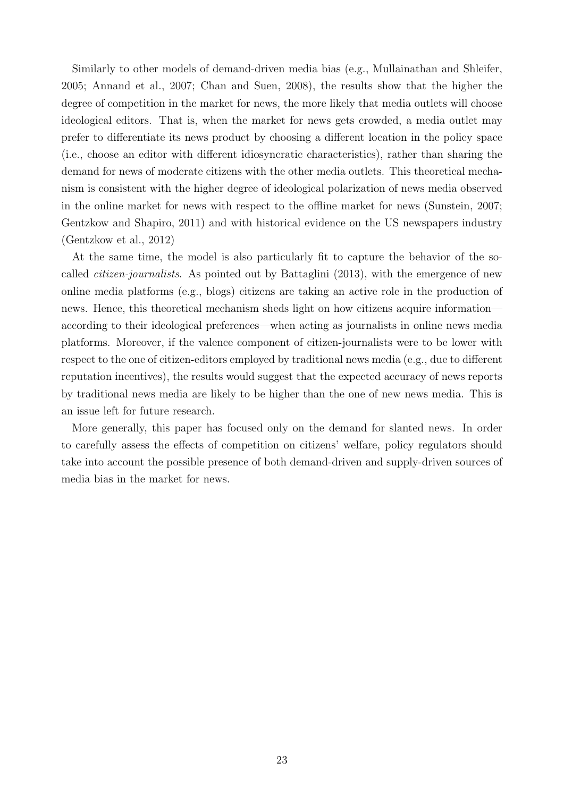Similarly to other models of demand-driven media bias (e.g., Mullainathan and Shleifer, 2005; Annand et al., 2007; Chan and Suen, 2008), the results show that the higher the degree of competition in the market for news, the more likely that media outlets will choose ideological editors. That is, when the market for news gets crowded, a media outlet may prefer to differentiate its news product by choosing a different location in the policy space (i.e., choose an editor with different idiosyncratic characteristics), rather than sharing the demand for news of moderate citizens with the other media outlets. This theoretical mechanism is consistent with the higher degree of ideological polarization of news media observed in the online market for news with respect to the offline market for news (Sunstein, 2007; Gentzkow and Shapiro, 2011) and with historical evidence on the US newspapers industry (Gentzkow et al., 2012)

At the same time, the model is also particularly fit to capture the behavior of the socalled citizen-journalists. As pointed out by Battaglini (2013), with the emergence of new online media platforms (e.g., blogs) citizens are taking an active role in the production of news. Hence, this theoretical mechanism sheds light on how citizens acquire information according to their ideological preferences—when acting as journalists in online news media platforms. Moreover, if the valence component of citizen-journalists were to be lower with respect to the one of citizen-editors employed by traditional news media (e.g., due to different reputation incentives), the results would suggest that the expected accuracy of news reports by traditional news media are likely to be higher than the one of new news media. This is an issue left for future research.

More generally, this paper has focused only on the demand for slanted news. In order to carefully assess the effects of competition on citizens' welfare, policy regulators should take into account the possible presence of both demand-driven and supply-driven sources of media bias in the market for news.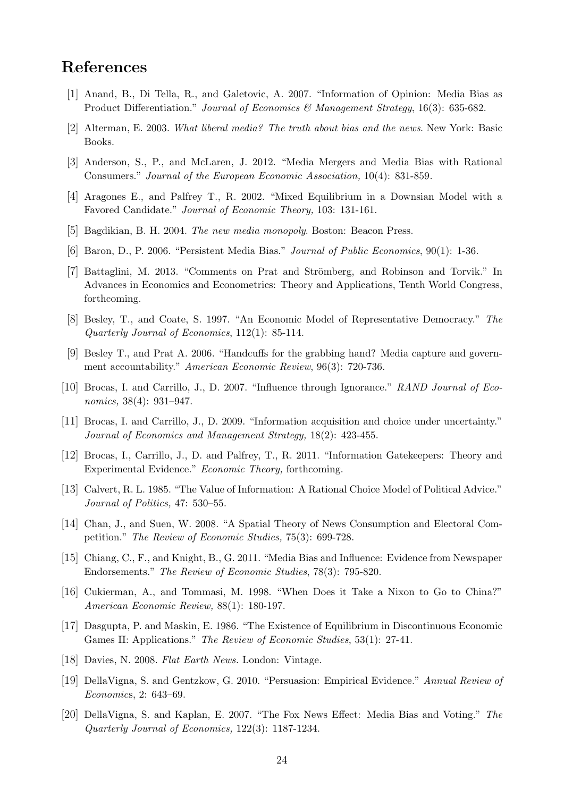# References

- [1] Anand, B., Di Tella, R., and Galetovic, A. 2007. "Information of Opinion: Media Bias as Product Differentiation." Journal of Economics & Management Strategy, 16(3): 635-682.
- [2] Alterman, E. 2003. What liberal media? The truth about bias and the news. New York: Basic Books.
- [3] Anderson, S., P., and McLaren, J. 2012. "Media Mergers and Media Bias with Rational Consumers." Journal of the European Economic Association, 10(4): 831-859.
- [4] Aragones E., and Palfrey T., R. 2002. "Mixed Equilibrium in a Downsian Model with a Favored Candidate." Journal of Economic Theory, 103: 131-161.
- [5] Bagdikian, B. H. 2004. The new media monopoly. Boston: Beacon Press.
- [6] Baron, D., P. 2006. "Persistent Media Bias." Journal of Public Economics, 90(1): 1-36.
- [7] Battaglini, M. 2013. "Comments on Prat and Strömberg, and Robinson and Torvik." In Advances in Economics and Econometrics: Theory and Applications, Tenth World Congress, forthcoming.
- [8] Besley, T., and Coate, S. 1997. "An Economic Model of Representative Democracy." The Quarterly Journal of Economics, 112(1): 85-114.
- [9] Besley T., and Prat A. 2006. "Handcuffs for the grabbing hand? Media capture and government accountability." American Economic Review, 96(3): 720-736.
- [10] Brocas, I. and Carrillo, J., D. 2007. "Influence through Ignorance." RAND Journal of Economics, 38(4): 931–947.
- [11] Brocas, I. and Carrillo, J., D. 2009. "Information acquisition and choice under uncertainty." Journal of Economics and Management Strategy, 18(2): 423-455.
- [12] Brocas, I., Carrillo, J., D. and Palfrey, T., R. 2011. "Information Gatekeepers: Theory and Experimental Evidence." Economic Theory, forthcoming.
- [13] Calvert, R. L. 1985. "The Value of Information: A Rational Choice Model of Political Advice." Journal of Politics, 47: 530–55.
- [14] Chan, J., and Suen, W. 2008. "A Spatial Theory of News Consumption and Electoral Competition." The Review of Economic Studies, 75(3): 699-728.
- [15] Chiang, C., F., and Knight, B., G. 2011. "Media Bias and Influence: Evidence from Newspaper Endorsements." The Review of Economic Studies, 78(3): 795-820.
- [16] Cukierman, A., and Tommasi, M. 1998. "When Does it Take a Nixon to Go to China?" American Economic Review, 88(1): 180-197.
- [17] Dasgupta, P. and Maskin, E. 1986. "The Existence of Equilibrium in Discontinuous Economic Games II: Applications." The Review of Economic Studies, 53(1): 27-41.
- [18] Davies, N. 2008. Flat Earth News. London: Vintage.
- [19] DellaVigna, S. and Gentzkow, G. 2010. "Persuasion: Empirical Evidence." Annual Review of Economics, 2: 643–69.
- [20] DellaVigna, S. and Kaplan, E. 2007. "The Fox News Effect: Media Bias and Voting." The Quarterly Journal of Economics, 122(3): 1187-1234.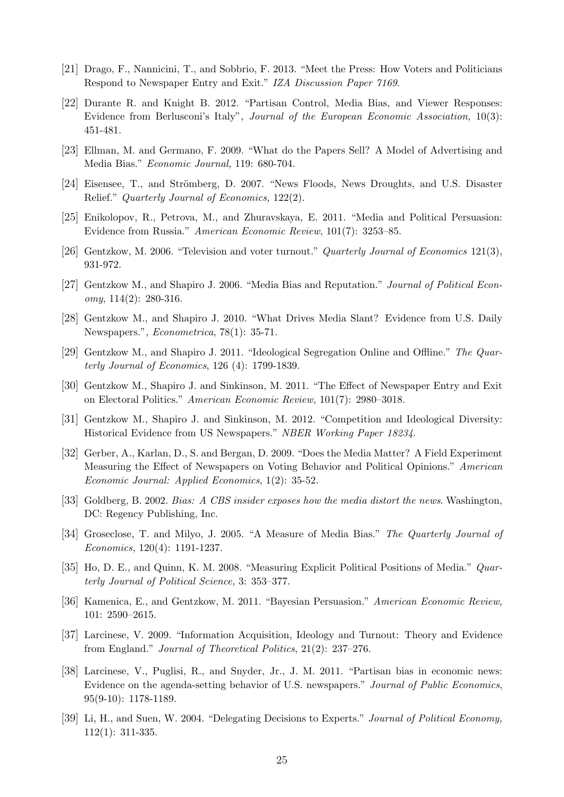- [21] Drago, F., Nannicini, T., and Sobbrio, F. 2013. "Meet the Press: How Voters and Politicians Respond to Newspaper Entry and Exit." IZA Discussion Paper 7169.
- [22] Durante R. and Knight B. 2012. "Partisan Control, Media Bias, and Viewer Responses: Evidence from Berlusconi's Italy", Journal of the European Economic Association, 10(3): 451-481.
- [23] Ellman, M. and Germano, F. 2009. "What do the Papers Sell? A Model of Advertising and Media Bias." Economic Journal, 119: 680-704.
- [24] Eisensee, T., and Strömberg, D. 2007. "News Floods, News Droughts, and U.S. Disaster Relief." Quarterly Journal of Economics, 122(2).
- [25] Enikolopov, R., Petrova, M., and Zhuravskaya, E. 2011. "Media and Political Persuasion: Evidence from Russia." American Economic Review, 101(7): 3253–85.
- [26] Gentzkow, M. 2006. "Television and voter turnout." *Quarterly Journal of Economics* 121(3), 931-972.
- [27] Gentzkow M., and Shapiro J. 2006. "Media Bias and Reputation." Journal of Political Economy, 114(2): 280-316.
- [28] Gentzkow M., and Shapiro J. 2010. "What Drives Media Slant? Evidence from U.S. Daily Newspapers.", Econometrica, 78(1): 35-71.
- [29] Gentzkow M., and Shapiro J. 2011. "Ideological Segregation Online and Offline." The Quarterly Journal of Economics, 126 (4): 1799-1839.
- [30] Gentzkow M., Shapiro J. and Sinkinson, M. 2011. "The Effect of Newspaper Entry and Exit on Electoral Politics." American Economic Review, 101(7): 2980–3018.
- [31] Gentzkow M., Shapiro J. and Sinkinson, M. 2012. "Competition and Ideological Diversity: Historical Evidence from US Newspapers." NBER Working Paper 18234.
- [32] Gerber, A., Karlan, D., S. and Bergan, D. 2009. "Does the Media Matter? A Field Experiment Measuring the Effect of Newspapers on Voting Behavior and Political Opinions." American Economic Journal: Applied Economics, 1(2): 35-52.
- [33] Goldberg, B. 2002. Bias: A CBS insider exposes how the media distort the news. Washington, DC: Regency Publishing, Inc.
- [34] Groseclose, T. and Milyo, J. 2005. "A Measure of Media Bias." The Quarterly Journal of Economics, 120(4): 1191-1237.
- [35] Ho, D. E., and Quinn, K. M. 2008. "Measuring Explicit Political Positions of Media." Quarterly Journal of Political Science, 3: 353–377.
- [36] Kamenica, E., and Gentzkow, M. 2011. "Bayesian Persuasion." American Economic Review, 101: 2590–2615.
- [37] Larcinese, V. 2009. "Information Acquisition, Ideology and Turnout: Theory and Evidence from England." Journal of Theoretical Politics, 21(2): 237–276.
- [38] Larcinese, V., Puglisi, R., and Snyder, Jr., J. M. 2011. "Partisan bias in economic news: Evidence on the agenda-setting behavior of U.S. newspapers." Journal of Public Economics, 95(9-10): 1178-1189.
- [39] Li, H., and Suen, W. 2004. "Delegating Decisions to Experts." Journal of Political Economy, 112(1): 311-335.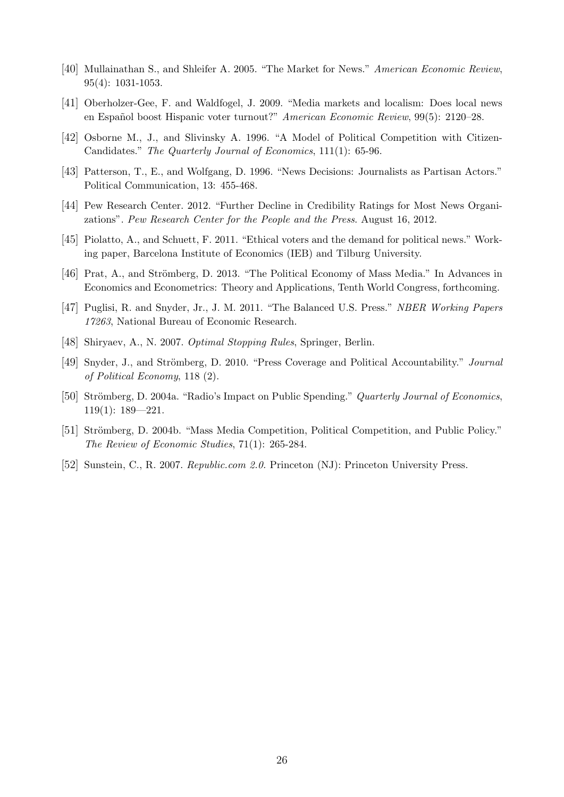- [40] Mullainathan S., and Shleifer A. 2005. "The Market for News." American Economic Review, 95(4): 1031-1053.
- [41] Oberholzer-Gee, F. and Waldfogel, J. 2009. "Media markets and localism: Does local news en Español boost Hispanic voter turnout?" American Economic Review, 99(5): 2120-28.
- [42] Osborne M., J., and Slivinsky A. 1996. "A Model of Political Competition with Citizen-Candidates." The Quarterly Journal of Economics, 111(1): 65-96.
- [43] Patterson, T., E., and Wolfgang, D. 1996. "News Decisions: Journalists as Partisan Actors." Political Communication, 13: 455-468.
- [44] Pew Research Center. 2012. "Further Decline in Credibility Ratings for Most News Organizations". Pew Research Center for the People and the Press. August 16, 2012.
- [45] Piolatto, A., and Schuett, F. 2011. "Ethical voters and the demand for political news." Working paper, Barcelona Institute of Economics (IEB) and Tilburg University.
- [46] Prat, A., and Strömberg, D. 2013. "The Political Economy of Mass Media." In Advances in Economics and Econometrics: Theory and Applications, Tenth World Congress, forthcoming.
- [47] Puglisi, R. and Snyder, Jr., J. M. 2011. "The Balanced U.S. Press." NBER Working Papers 17263, National Bureau of Economic Research.
- [48] Shiryaev, A., N. 2007. Optimal Stopping Rules, Springer, Berlin.
- [49] Snyder, J., and Strömberg, D. 2010. "Press Coverage and Political Accountability." Journal of Political Economy, 118 (2).
- [50] Strömberg, D. 2004a. "Radio's Impact on Public Spending." *Quarterly Journal of Economics*, 119(1): 189—221.
- [51] Strömberg, D. 2004b. "Mass Media Competition, Political Competition, and Public Policy." The Review of Economic Studies, 71(1): 265-284.
- [52] Sunstein, C., R. 2007. Republic.com 2.0. Princeton (NJ): Princeton University Press.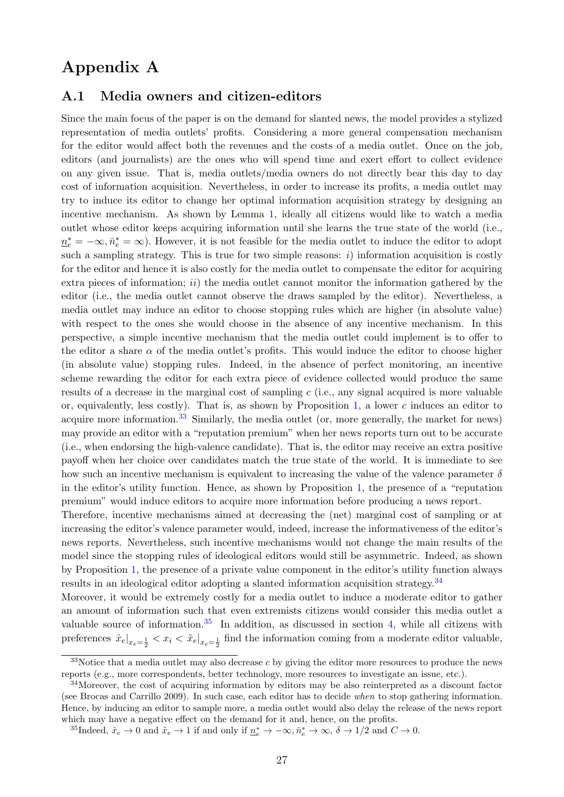# <span id="page-29-0"></span>Appendix A

#### <span id="page-29-1"></span>A.1 Media owners and citizen-editors

Since the main focus of the paper is on the demand for slanted news, the model provides a stylized representation of media outlets' profits. Considering a more general compensation mechanism for the editor would affect both the revenues and the costs of a media outlet. Once on the job, editors (and journalists) are the ones who will spend time and exert effort to collect evidence on any given issue. That is, media outlets/media owners do not directly bear this day to day cost of information acquisition. Nevertheless, in order to increase its profits, a media outlet may try to induce its editor to change her optimal information acquisition strategy by designing an incentive mechanism. As shown by Lemma [1,](#page-17-0) ideally all citizens would like to watch a media outlet whose editor keeps acquiring information until she learns the true state of the world (i.e.,  $n_e^* = -\infty, \bar{n}_e^* = \infty$ ). However, it is not feasible for the media outlet to induce the editor to adopt such a sampling strategy. This is true for two simple reasons:  $i)$  information acquisition is costly for the editor and hence it is also costly for the media outlet to compensate the editor for acquiring extra pieces of information;  $ii)$  the media outlet cannot monitor the information gathered by the editor (i.e., the media outlet cannot observe the draws sampled by the editor). Nevertheless, a media outlet may induce an editor to choose stopping rules which are higher (in absolute value) with respect to the ones she would choose in the absence of any incentive mechanism. In this perspective, a simple incentive mechanism that the media outlet could implement is to offer to the editor a share  $\alpha$  of the media outlet's profits. This would induce the editor to choose higher (in absolute value) stopping rules. Indeed, in the absence of perfect monitoring, an incentive scheme rewarding the editor for each extra piece of evidence collected would produce the same results of a decrease in the marginal cost of sampling c (i.e., any signal acquired is more valuable or, equivalently, less costly). That is, as shown by Proposition [1,](#page-13-1) a lower  $c$  induces an editor to acquire more information.<sup>[33](#page-29-2)</sup> Similarly, the media outlet (or, more generally, the market for news) may provide an editor with a "reputation premium" when her news reports turn out to be accurate (i.e., when endorsing the high-valence candidate). That is, the editor may receive an extra positive payoff when her choice over candidates match the true state of the world. It is immediate to see how such an incentive mechanism is equivalent to increasing the value of the valence parameter  $\delta$ in the editor's utility function. Hence, as shown by Proposition [1,](#page-13-1) the presence of a "reputation premium" would induce editors to acquire more information before producing a news report.

Therefore, incentive mechanisms aimed at decreasing the (net) marginal cost of sampling or at increasing the editor's valence parameter would, indeed, increase the informativeness of the editor's news reports. Nevertheless, such incentive mechanisms would not change the main results of the model since the stopping rules of ideological editors would still be asymmetric. Indeed, as shown by Proposition [1,](#page-13-1) the presence of a private value component in the editor's utility function always results in an ideological editor adopting a slanted information acquisition strategy.<sup>[34](#page-29-3)</sup>

Moreover, it would be extremely costly for a media outlet to induce a moderate editor to gather an amount of information such that even extremists citizens would consider this media outlet a valuable source of information.<sup>[35](#page-29-4)</sup> In addition, as discussed in section [4,](#page-15-0) while all citizens with preferences  $\hat{x}_e|_{x_e=\frac{1}{2}} < x_i < \tilde{x}_e|_{x_e=\frac{1}{2}}$  find the information coming from a moderate editor valuable,

<span id="page-29-2"></span> $33$ Notice that a media outlet may also decrease c by giving the editor more resources to produce the news reports (e.g., more correspondents, better technology, more resources to investigate an issue, etc.).

<span id="page-29-3"></span><sup>34</sup>Moreover, the cost of acquiring information by editors may be also reinterpreted as a discount factor (see Brocas and Carrillo 2009). In such case, each editor has to decide when to stop gathering information. Hence, by inducing an editor to sample more, a media outlet would also delay the release of the news report which may have a negative effect on the demand for it and, hence, on the profits.

<span id="page-29-4"></span><sup>&</sup>lt;sup>35</sup>Indeed,  $\hat{x}_e \to 0$  and  $\tilde{x}_e \to 1$  if and only if  $\underline{n}_e^* \to -\infty, \bar{n}_e^* \to \infty, \delta \to 1/2$  and  $C \to 0$ .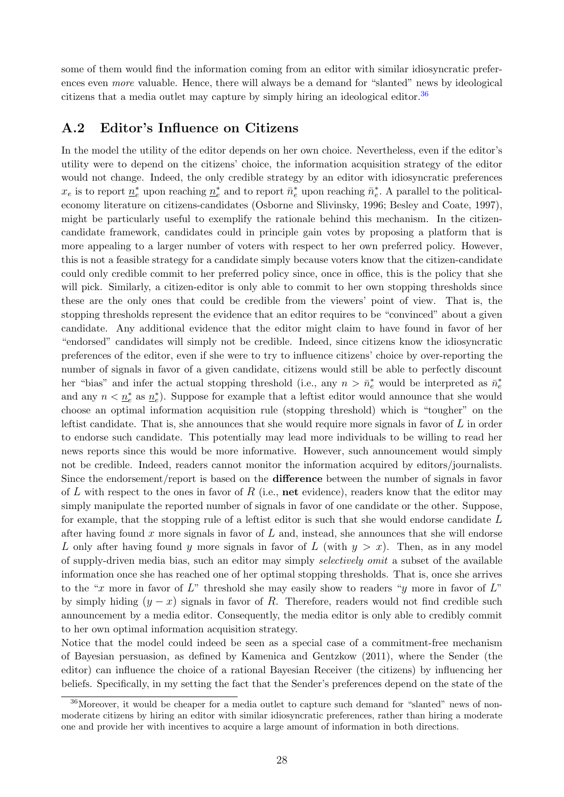some of them would find the information coming from an editor with similar idiosyncratic preferences even more valuable. Hence, there will always be a demand for "slanted" news by ideological citizens that a media outlet may capture by simply hiring an ideological editor.<sup>[36](#page-30-1)</sup>

### <span id="page-30-0"></span>A.2 Editor's Influence on Citizens

In the model the utility of the editor depends on her own choice. Nevertheless, even if the editor's utility were to depend on the citizens' choice, the information acquisition strategy of the editor would not change. Indeed, the only credible strategy by an editor with idiosyncratic preferences  $x_e$  is to report  $\underline{n}_e^*$  upon reaching  $\underline{n}_e^*$  and to report  $\overline{n}_e^*$  upon reaching  $\overline{n}_e^*$ . A parallel to the politicaleconomy literature on citizens-candidates (Osborne and Slivinsky, 1996; Besley and Coate, 1997), might be particularly useful to exemplify the rationale behind this mechanism. In the citizencandidate framework, candidates could in principle gain votes by proposing a platform that is more appealing to a larger number of voters with respect to her own preferred policy. However, this is not a feasible strategy for a candidate simply because voters know that the citizen-candidate could only credible commit to her preferred policy since, once in office, this is the policy that she will pick. Similarly, a citizen-editor is only able to commit to her own stopping thresholds since these are the only ones that could be credible from the viewers' point of view. That is, the stopping thresholds represent the evidence that an editor requires to be "convinced" about a given candidate. Any additional evidence that the editor might claim to have found in favor of her "endorsed" candidates will simply not be credible. Indeed, since citizens know the idiosyncratic preferences of the editor, even if she were to try to influence citizens' choice by over-reporting the number of signals in favor of a given candidate, citizens would still be able to perfectly discount her "bias" and infer the actual stopping threshold (i.e., any  $n > \bar{n}_{e}^{*}$  would be interpreted as  $\bar{n}_{e}^{*}$ and any  $n \leq \underline{n}_{e}^{*}$  as  $\underline{n}_{e}^{*}$ ). Suppose for example that a leftist editor would announce that she would choose an optimal information acquisition rule (stopping threshold) which is "tougher" on the leftist candidate. That is, she announces that she would require more signals in favor of  $L$  in order to endorse such candidate. This potentially may lead more individuals to be willing to read her news reports since this would be more informative. However, such announcement would simply not be credible. Indeed, readers cannot monitor the information acquired by editors/journalists. Since the endorsement/report is based on the difference between the number of signals in favor of L with respect to the ones in favor of R (i.e., net evidence), readers know that the editor may simply manipulate the reported number of signals in favor of one candidate or the other. Suppose, for example, that the stopping rule of a leftist editor is such that she would endorse candidate L after having found x more signals in favor of L and, instead, she announces that she will endorse L only after having found y more signals in favor of L (with  $y > x$ ). Then, as in any model of supply-driven media bias, such an editor may simply selectively omit a subset of the available information once she has reached one of her optimal stopping thresholds. That is, once she arrives to the "x more in favor of L" threshold she may easily show to readers "y more in favor of L" by simply hiding  $(y - x)$  signals in favor of R. Therefore, readers would not find credible such announcement by a media editor. Consequently, the media editor is only able to credibly commit to her own optimal information acquisition strategy.

Notice that the model could indeed be seen as a special case of a commitment-free mechanism of Bayesian persuasion, as defined by Kamenica and Gentzkow (2011), where the Sender (the editor) can influence the choice of a rational Bayesian Receiver (the citizens) by influencing her beliefs. Specifically, in my setting the fact that the Sender's preferences depend on the state of the

<span id="page-30-1"></span><sup>36</sup>Moreover, it would be cheaper for a media outlet to capture such demand for "slanted" news of nonmoderate citizens by hiring an editor with similar idiosyncratic preferences, rather than hiring a moderate one and provide her with incentives to acquire a large amount of information in both directions.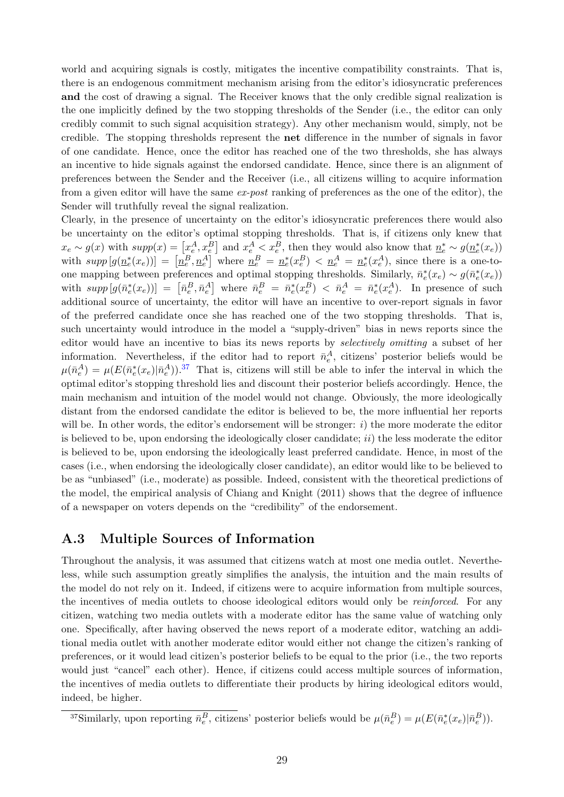world and acquiring signals is costly, mitigates the incentive compatibility constraints. That is, there is an endogenous commitment mechanism arising from the editor's idiosyncratic preferences and the cost of drawing a signal. The Receiver knows that the only credible signal realization is the one implicitly defined by the two stopping thresholds of the Sender (i.e., the editor can only credibly commit to such signal acquisition strategy). Any other mechanism would, simply, not be credible. The stopping thresholds represent the net difference in the number of signals in favor of one candidate. Hence, once the editor has reached one of the two thresholds, she has always an incentive to hide signals against the endorsed candidate. Hence, since there is an alignment of preferences between the Sender and the Receiver (i.e., all citizens willing to acquire information from a given editor will have the same ex-post ranking of preferences as the one of the editor), the Sender will truthfully reveal the signal realization.

Clearly, in the presence of uncertainty on the editor's idiosyncratic preferences there would also be uncertainty on the editor's optimal stopping thresholds. That is, if citizens only knew that  $x_e \sim g(x)$  with  $supp(x) = \left[x_e^A, x_e^B\right]$  and  $x_e^A < x_e^B$ , then they would also know that  $\underline{n}_e^* \sim g(\underline{n}_e^*(x_e))$ with  $supp [g(\underline{n}_e^*(x_e))] = [\underline{n}_e^B, \underline{n}_e^A]$  where  $\underline{n}_e^B = \underline{n}_e^*(x_e^B) < \underline{n}_e^A = \underline{n}_e^*(x_e^A)$ , since there is a one-toone mapping between preferences and optimal stopping thresholds. Similarly,  $\bar{n}_e^*(x_e) \sim g(\bar{n}_e^*(x_e))$ with  $supp [g(\bar{n}_e^*(x_e))] = [\bar{n}_e^B, \bar{n}_e^A]$  where  $\bar{n}_e^B = \bar{n}_e^*(x_e^B) < \bar{n}_e^A = \bar{n}_e^*(x_e^A)$ . In presence of such additional source of uncertainty, the editor will have an incentive to over-report signals in favor of the preferred candidate once she has reached one of the two stopping thresholds. That is, such uncertainty would introduce in the model a "supply-driven" bias in news reports since the editor would have an incentive to bias its news reports by selectively omitting a subset of her information. Nevertheless, if the editor had to report  $\bar{n}_e^A$ , citizens' posterior beliefs would be  $\mu(\bar{n}_e^A) = \mu(E(\bar{n}_e^*(x_e)|\bar{n}_e^A)).$ <sup>[37](#page-31-1)</sup> That is, citizens will still be able to infer the interval in which the optimal editor's stopping threshold lies and discount their posterior beliefs accordingly. Hence, the main mechanism and intuition of the model would not change. Obviously, the more ideologically distant from the endorsed candidate the editor is believed to be, the more influential her reports will be. In other words, the editor's endorsement will be stronger:  $i$ ) the more moderate the editor is believed to be, upon endorsing the ideologically closer candidate;  $ii)$  the less moderate the editor is believed to be, upon endorsing the ideologically least preferred candidate. Hence, in most of the cases (i.e., when endorsing the ideologically closer candidate), an editor would like to be believed to be as "unbiased" (i.e., moderate) as possible. Indeed, consistent with the theoretical predictions of the model, the empirical analysis of Chiang and Knight (2011) shows that the degree of influence of a newspaper on voters depends on the "credibility" of the endorsement.

### <span id="page-31-0"></span>A.3 Multiple Sources of Information

Throughout the analysis, it was assumed that citizens watch at most one media outlet. Nevertheless, while such assumption greatly simplifies the analysis, the intuition and the main results of the model do not rely on it. Indeed, if citizens were to acquire information from multiple sources, the incentives of media outlets to choose ideological editors would only be *reinforced*. For any citizen, watching two media outlets with a moderate editor has the same value of watching only one. Specifically, after having observed the news report of a moderate editor, watching an additional media outlet with another moderate editor would either not change the citizen's ranking of preferences, or it would lead citizen's posterior beliefs to be equal to the prior (i.e., the two reports would just "cancel" each other). Hence, if citizens could access multiple sources of information, the incentives of media outlets to differentiate their products by hiring ideological editors would, indeed, be higher.

<span id="page-31-1"></span><sup>&</sup>lt;sup>37</sup>Similarly, upon reporting  $\bar{n}_e^B$ , citizens' posterior beliefs would be  $\mu(\bar{n}_e^B) = \mu(E(\bar{n}_e^*(x_e)|\bar{n}_e^B)).$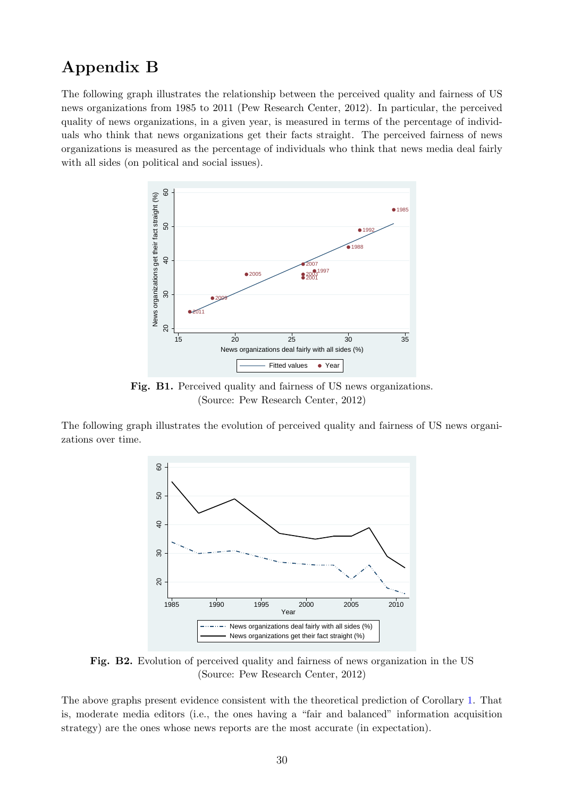# <span id="page-32-0"></span>Appendix B

The following graph illustrates the relationship between the perceived quality and fairness of US news organizations from 1985 to 2011 (Pew Research Center, 2012). In particular, the perceived quality of news organizations, in a given year, is measured in terms of the percentage of individuals who think that news organizations get their facts straight. The perceived fairness of news organizations is measured as the percentage of individuals who think that news media deal fairly with all sides (on political and social issues).



Fig. B1. Perceived quality and fairness of US news organizations. (Source: Pew Research Center, 2012)

The following graph illustrates the evolution of perceived quality and fairness of US news organizations over time.



Fig. B2. Evolution of perceived quality and fairness of news organization in the US (Source: Pew Research Center, 2012)

The above graphs present evidence consistent with the theoretical prediction of Corollary [1.](#page-14-1) That is, moderate media editors (i.e., the ones having a "fair and balanced" information acquisition strategy) are the ones whose news reports are the most accurate (in expectation).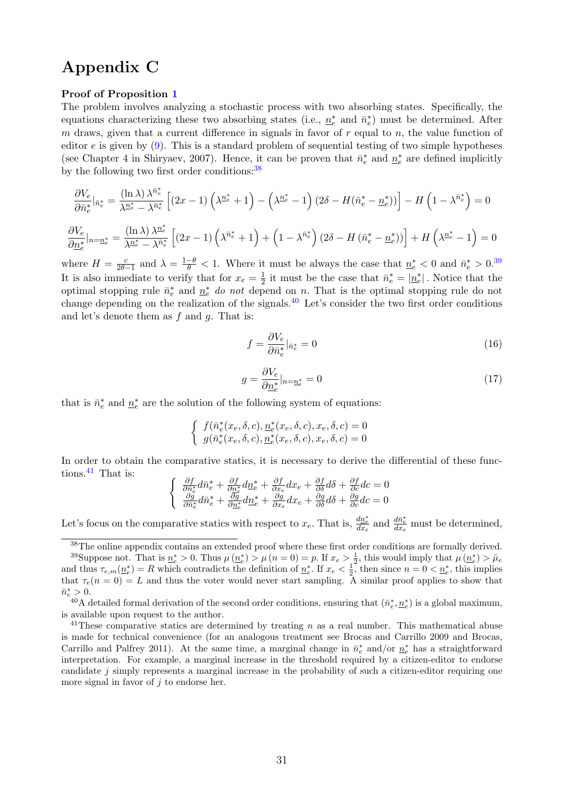# <span id="page-33-0"></span>Appendix C

#### Proof of Proposition [1](#page-13-1)

The problem involves analyzing a stochastic process with two absorbing states. Specifically, the equations characterizing these two absorbing states (i.e.,  $\underline{n}_e^*$  and  $\overline{n}_e^*$ ) must be determined. After m draws, given that a current difference in signals in favor of  $r$  equal to  $n$ , the value function of editor  $e$  is given by  $(9)$ . This is a standard problem of sequential testing of two simple hypotheses (see Chapter 4 in Shiryaev, 2007). Hence, it can be proven that  $\bar{n}_e^*$  and  $\underline{n}_e^*$  are defined implicitly by the following two first order conditions:  $38$ 

$$
\frac{\partial V_e}{\partial \bar{n}_e^*}\Big|_{\bar{n}_e^*} = \frac{(\ln \lambda) \,\lambda^{\bar{n}_e^*}}{\lambda^{\underline{n}_e^*} - \lambda^{\bar{n}_e^*}} \left[ (2x - 1) \left( \lambda^{\underline{n}_e^*} + 1 \right) - \left( \lambda^{\underline{n}_e^*} - 1 \right) (2\delta - H(\bar{n}_e^* - \underline{n}_e^*)) \right] - H\left( 1 - \lambda^{\bar{n}_e^*} \right) = 0
$$

$$
\frac{\partial V_e}{\partial \underline{n}_e^*}\Big|_{n=\underline{n}_e^*}=\frac{(\ln\lambda)\,\lambda^{\underline{n}_e^*}}{\lambda^{\underline{n}_e^*}-\lambda^{\bar{n}_e^*}}\left[(2x-1)\left(\lambda^{\bar{n}_e^*}+1\right)+\left(1-\lambda^{\bar{n}_e^*}\right)(2\delta-H\left(\bar{n}_e^*-\underline{n}_e^*\right))\right]+H\left(\lambda^{\underline{n}_e^*}-1\right)=0
$$

where  $H = \frac{c}{2\theta - 1}$  and  $\lambda = \frac{1 - \theta}{\theta} < 1$ . Where it must be always the case that  $n_e^* < 0$  and  $\bar{n}_e^* > 0$ .<sup>[39](#page-33-2)</sup> It is also immediate to verify that for  $x_e = \frac{1}{2}$  $\frac{1}{2}$  it must be the case that  $\bar{n}_e^* = |\underline{n}_e^*|$ . Notice that the optimal stopping rule  $\bar{n}_e^*$  and  $\underline{n}_e^*$  do not depend on n. That is the optimal stopping rule do not change depending on the realization of the signals.<sup>[40](#page-33-3)</sup> Let's consider the two first order conditions and let's denote them as  $f$  and  $g$ . That is:

$$
f = \frac{\partial V_e}{\partial \bar{n}_e^*} |_{\bar{n}_e^*} = 0 \tag{16}
$$

$$
g = \frac{\partial V_e}{\partial \underline{n}_e^*}|_{n = \underline{n}_e^*} = 0 \tag{17}
$$

that is  $\bar{n}_e^*$  and  $\underline{n}_e^*$  are the solution of the following system of equations:

$$
\begin{cases} f(\bar{n}_{e}^{*}(x_e, \delta, c), \underline{n}_{e}^{*}(x_e, \delta, c), x_e, \delta, c) = 0\\ g(\bar{n}_{e}^{*}(x_e, \delta, c), \underline{n}_{e}^{*}(x_e, \delta, c), x_e, \delta, c) = 0 \end{cases}
$$

In order to obtain the comparative statics, it is necessary to derive the differential of these functions.[41](#page-33-4) That is:

$$
\begin{cases} \frac{\partial f}{\partial \bar{n}_{e}^{*}} d\bar{n}_{e}^{*} + \frac{\partial f}{\partial n_{e}^{*}} d\underline{n}_{e}^{*} + \frac{\partial f}{\partial x_{e}} dx_{e} + \frac{\partial f}{\partial \delta} d\delta + \frac{\partial f}{\partial c} dc = 0\\ \frac{\partial g}{\partial \bar{n}_{e}^{*}} d\bar{n}_{e}^{*} + \frac{\partial g}{\partial \underline{n}_{e}^{*}} d\underline{n}_{e}^{*} + \frac{\partial g}{\partial x_{e}} dx_{e} + \frac{\partial g}{\partial \delta} d\delta + \frac{\partial g}{\partial c} dc = 0 \end{cases}
$$

Let's focus on the comparative statics with respect to  $x_e$ . That is,  $\frac{dn_e^*}{dx_e}$  and  $\frac{d\bar{n}_e^*}{dx_e}$  must be determined,

<span id="page-33-3"></span><sup>40</sup>A detailed formal derivation of the second order conditions, ensuring that  $(\bar{n}_e^*, \underline{n}_e^*)$  is a global maximum, is available upon request to the author.

<span id="page-33-2"></span><span id="page-33-1"></span><sup>&</sup>lt;sup>38</sup>The online appendix contains an extended proof where these first order conditions are formally derived.

<sup>&</sup>lt;sup>39</sup>Suppose not. That is  $\underline{n}_e^* > 0$ . Thus  $\mu(\underline{n}_e^*) > \mu(n=0) = p$ . If  $x_e > \frac{1}{2}$ , this would imply that  $\mu(\underline{n}_e^*) > \hat{\mu}_e$ and thus  $\tau_{e,m}(\underline{n}_e^*) = R$  which contradicts the definition of  $\underline{n}_e^*$ . If  $x_e < \frac{1}{2}$ , then since  $n = 0 < \underline{n}_e^*$ , this implies that  $\tau_e(n=0) = L$  and thus the voter would never start sampling. A similar proof applies to show that  $\bar{n}_{e}^{*} > 0.$ 

<span id="page-33-4"></span><sup>&</sup>lt;sup>41</sup>These comparative statics are determined by treating n as a real number. This mathematical abuse is made for technical convenience (for an analogous treatment see Brocas and Carrillo 2009 and Brocas, Carrillo and Palfrey 2011). At the same time, a marginal change in  $\bar{n}_e^*$  and/or  $\underline{n}_e^*$  has a straightforward interpretation. For example, a marginal increase in the threshold required by a citizen-editor to endorse candidate j simply represents a marginal increase in the probability of such a citizen-editor requiring one more signal in favor of  $j$  to endorse her.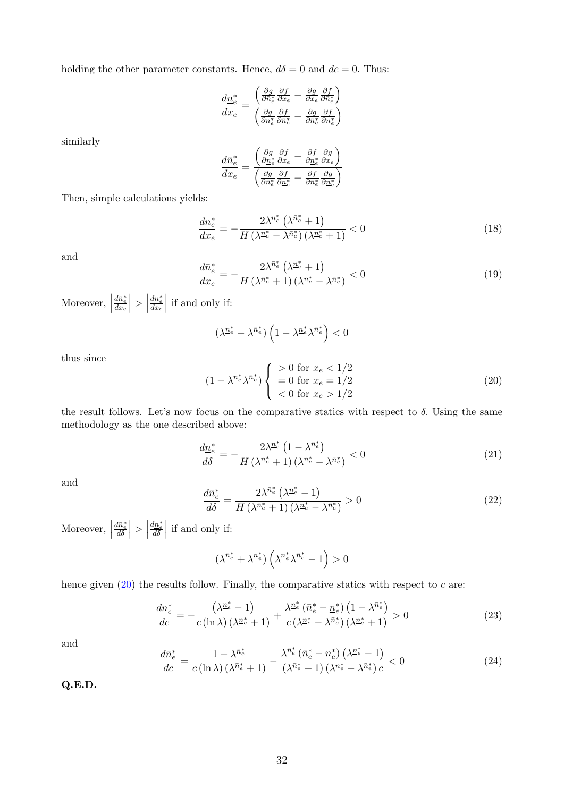holding the other parameter constants. Hence,  $d\delta = 0$  and  $dc = 0$ . Thus:

$$
\frac{d\underline{n}^*_e}{dx_e} = \frac{\left(\frac{\partial g}{\partial \bar{n}^*_e}\frac{\partial f}{\partial x_e} - \frac{\partial g}{\partial x_e}\frac{\partial f}{\partial \bar{n}^*_e}\right)}{\left(\frac{\partial g}{\partial \underline{n}^*_e}\frac{\partial f}{\partial \bar{n}^*_e} - \frac{\partial g}{\partial \bar{n}^*_e}\frac{\partial f}{\partial \underline{n}^*_e}\right)}
$$

similarly

$$
\frac{d\bar{n}_e^*}{dx_e} = \frac{\left(\frac{\partial g}{\partial n_e^*} \frac{\partial f}{\partial x_e} - \frac{\partial f}{\partial n_e^*} \frac{\partial g}{\partial x_e}\right)}{\left(\frac{\partial g}{\partial n_e^*} \frac{\partial f}{\partial n_e^*} - \frac{\partial f}{\partial n_e^*} \frac{\partial g}{\partial n_e^*}\right)}
$$

Then, simple calculations yields:

<span id="page-34-1"></span>
$$
\frac{d\underline{n}_{e}^{*}}{dx_{e}} = -\frac{2\lambda^{\underline{n}_{e}^{*}}\left(\lambda^{\bar{n}_{e}^{*}} + 1\right)}{H\left(\lambda^{\underline{n}_{e}^{*}} - \lambda^{\bar{n}_{e}^{*}}\right)\left(\lambda^{\underline{n}_{e}^{*}} + 1\right)} < 0\tag{18}
$$

and

<span id="page-34-2"></span>
$$
\frac{d\bar{n}_e^*}{dx_e} = -\frac{2\lambda^{\bar{n}_e^*} \left(\lambda^{n_e^*} + 1\right)}{H \left(\lambda^{\bar{n}_e^*} + 1\right) \left(\lambda^{n_e^*} - \lambda^{\bar{n}_e^*}\right)} < 0\tag{19}
$$

Moreover,  $\vert$  $\frac{d\bar{n}_e^*}{dx_e}$  $\vert$  >  $\vert$  $rac{dn_e^*}{dx_e}$    if and only if:

$$
\left(\lambda^{\underline{n}_e^*} - \lambda^{\bar{n}_e^*}\right) \left(1 - \lambda^{\underline{n}_e^*} \lambda^{\bar{n}_e^*}\right) < 0
$$

thus since

<span id="page-34-0"></span>
$$
(1 - \lambda^{\underline{n}^*_{e}} \lambda^{\bar{n}^*_{e}}) \begin{cases} > 0 \text{ for } x_e < 1/2 \\ > 0 \text{ for } x_e = 1/2 \\ < 0 \text{ for } x_e > 1/2 \end{cases} \tag{20}
$$

the result follows. Let's now focus on the comparative statics with respect to  $\delta$ . Using the same methodology as the one described above:

<span id="page-34-3"></span>
$$
\frac{d\underline{n}_{e}^{*}}{d\delta} = -\frac{2\lambda^{\underline{n}_{e}^{*}}\left(1-\lambda^{\bar{n}_{e}^{*}}\right)}{H\left(\lambda^{\underline{n}_{e}^{*}}+1\right)\left(\lambda^{\underline{n}_{e}^{*}}-\lambda^{\bar{n}_{e}^{*}}\right)} < 0\tag{21}
$$

and

<span id="page-34-4"></span>
$$
\frac{d\bar{n}_e^*}{d\delta} = \frac{2\lambda^{\bar{n}_e^*} \left(\lambda^{\underline{n}_e^*} - 1\right)}{H \left(\lambda^{\bar{n}_e^*} + 1\right) \left(\lambda^{\underline{n}_e^*} - \lambda^{\bar{n}_e^*}\right)} > 0\tag{22}
$$

Moreover,  $\vert$  $\left. \frac{d\bar{n}_e^*}{d\delta} \right| > \left|$  $\frac{dn_e^*}{d\delta}$  if and only if:

$$
(\lambda^{\bar n_e^*}+\lambda^{\underline n_e^*})\left(\lambda^{\underline n_e^*}\lambda^{\bar n_e^*}-1\right)>0
$$

hence given  $(20)$  the results follow. Finally, the comparative statics with respect to c are:

<span id="page-34-5"></span>
$$
\frac{d\underline{n}_{e}^{*}}{dc} = -\frac{\left(\lambda^{\underline{n}_{e}^{*}} - 1\right)}{c\left(\ln\lambda\right)\left(\lambda^{\underline{n}_{e}^{*}} + 1\right)} + \frac{\lambda^{\underline{n}_{e}^{*}}\left(\bar{n}_{e}^{*} - \underline{n}_{e}^{*}\right)\left(1 - \lambda^{\bar{n}_{e}^{*}}\right)}{c\left(\lambda^{\underline{n}_{e}^{*}} - \lambda^{\bar{n}_{e}^{*}}\right)\left(\lambda^{\underline{n}_{e}^{*}} + 1\right)} > 0\tag{23}
$$

and

<span id="page-34-6"></span>
$$
\frac{d\bar{n}_e^*}{dc} = \frac{1 - \lambda^{\bar{n}_e^*}}{c\left(\ln\lambda\right)\left(\lambda^{\bar{n}_e^*} + 1\right)} - \frac{\lambda^{\bar{n}_e^*}\left(\bar{n}_e^* - \underline{n}_e^*\right)\left(\lambda^{\underline{n}_e^*} - 1\right)}{\left(\lambda^{\bar{n}_e^*} + 1\right)\left(\lambda^{\underline{n}_e^*} - \lambda^{\bar{n}_e^*}\right)c} < 0\tag{24}
$$

Q.E.D.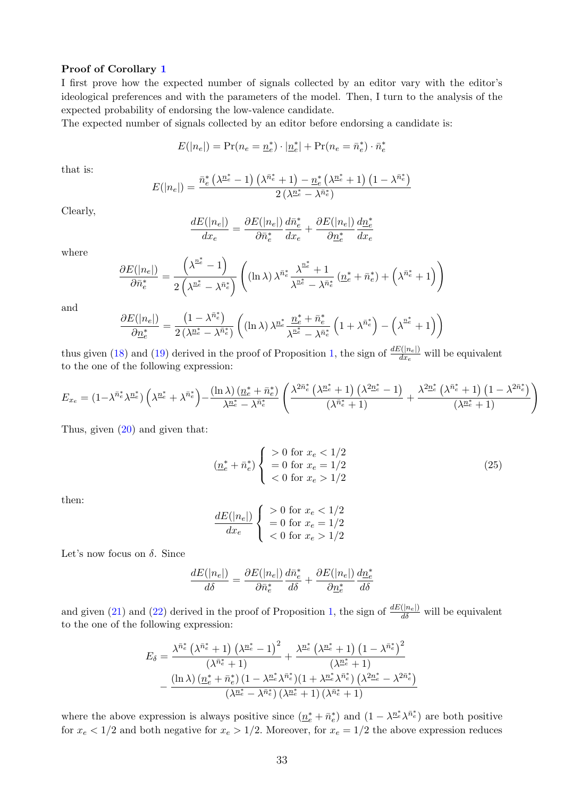#### Proof of Corollary [1](#page-14-1)

I first prove how the expected number of signals collected by an editor vary with the editor's ideological preferences and with the parameters of the model. Then, I turn to the analysis of the expected probability of endorsing the low-valence candidate.

The expected number of signals collected by an editor before endorsing a candidate is:

$$
E(|n_e|) = \Pr(n_e = n_e^*) \cdot |\underline{n}_e^*| + \Pr(n_e = \bar{n}_e^*) \cdot \bar{n}_e^*
$$

that is:

$$
E(|n_e|) = \frac{\bar{n}_e^*\left(\lambda^{\underline{n}_e^*}-1\right)\left(\lambda^{\bar{n}_e^*}+1\right)-\underline{n}_e^*\left(\lambda^{\underline{n}_e^*}+1\right)\left(1-\lambda^{\bar{n}_e^*}\right)}{2\left(\lambda^{\underline{n}_e^*}-\lambda^{\bar{n}_e^*}\right)}
$$

Clearly,

$$
\frac{dE(|n_e|)}{dx_e} = \frac{\partial E(|n_e|)}{\partial \bar{n}_e^*} \frac{d\bar{n}_e^*}{dx_e} + \frac{\partial E(|n_e|)}{\partial \underline{n}_e^*} \frac{d\underline{n}_e^*}{dx_e}
$$

where

$$
\frac{\partial E(|n_e|)}{\partial \bar{n}^*_e} = \frac{\left(\lambda^{\frac{n^*_e}{2}}-1\right)}{2\left(\lambda^{\frac{n^*_e}{2}}-\lambda^{\bar{n}^*_e}\right)}\left( (\ln \lambda) \, \lambda^{\bar{n}^*_e} \frac{\lambda^{\frac{n^*_e}{2}}+1}{\lambda^{\frac{n^*_e}{2}}-\lambda^{\bar{n}^*_e}} \, (\underline{n}^*_e + \bar{n}^*_e) + \left(\lambda^{\bar{n}^*_e}+1\right) \right)
$$

and

$$
\frac{\partial E(|n_e|)}{\partial \underline{n}_e^*} = \frac{\left(1 - \lambda^{\bar{n}_e^*}\right)}{2\left(\lambda^{\underline{n}_e^*} - \lambda^{\bar{n}_e^*}\right)} \left( (\ln \lambda) \lambda^{\underline{n}_e^*} \frac{\underline{n}_e^* + \bar{n}_e^*}{\lambda^{\underline{n}_e^*} - \lambda^{\bar{n}_e^*}} \left(1 + \lambda^{\bar{n}_e^*}\right) - \left(\lambda^{\underline{n}_e^*} + 1\right) \right)
$$

thus given [\(18\)](#page-34-1) and [\(19\)](#page-34-2) derived in the proof of Proposition [1,](#page-13-1) the sign of  $\frac{dE(|n_e|)}{dx_e}$  will be equivalent to the one of the following expression:

$$
E_{x_e} = \left(1 - \lambda^{\bar{n}_e^*} \lambda^{\underline{n}_e^*}\right) \left(\lambda^{\underline{n}_e^*} + \lambda^{\bar{n}_e^*}\right) - \frac{\left(\ln \lambda\right) \left(\underline{n}_e^* + \bar{n}_e^*\right)}{\lambda^{\underline{n}_e^*} - \lambda^{\bar{n}_e^*}} \left(\frac{\lambda^{2\bar{n}_e^*} \left(\lambda^{\underline{n}_e^*} + 1\right) \left(\lambda^{2\underline{n}_e^*} - 1\right)}{\left(\lambda^{\bar{n}_e^*} + 1\right)} + \frac{\lambda^{2\underline{n}_e^*} \left(\lambda^{\bar{n}_e^*} + 1\right) \left(1 - \lambda^{2\bar{n}_e^*}\right)}{\left(\lambda^{\underline{n}_e^*} + 1\right)}\right)
$$

Thus, given [\(20\)](#page-34-0) and given that:

$$
\left(\underline{n}_{e}^{*} + \bar{n}_{e}^{*}\right) \begin{cases} > 0 \text{ for } x_{e} < 1/2 \\ &= 0 \text{ for } x_{e} = 1/2 \\ &< 0 \text{ for } x_{e} > 1/2 \end{cases} \tag{25}
$$

then:

$$
\frac{dE(|n_e|)}{dx_e} \begin{cases} > 0 \text{ for } x_e < 1/2\\ & = 0 \text{ for } x_e = 1/2\\ & < 0 \text{ for } x_e > 1/2 \end{cases}
$$

Let's now focus on  $\delta$ . Since

$$
\frac{d E(|n_e|)}{d \delta} = \frac{\partial E(|n_e|)}{\partial \bar{n}^*_e} \frac{d \bar{n}^*_e}{d \delta} + \frac{\partial E(|n_e|)}{\partial \underline{n}^*_e} \frac{d \underline{n}^*_e}{d \delta}
$$

and given [\(21\)](#page-34-3) and [\(22\)](#page-34-4) derived in the proof of Proposition [1,](#page-13-1) the sign of  $\frac{dE(|n_e|)}{d\delta}$  will be equivalent to the one of the following expression:

$$
E_{\delta} = \frac{\lambda^{\bar{n}_{e}^{*}} \left(\lambda^{\bar{n}_{e}^{*}}+1\right) \left(\lambda^{\underline{n}_{e}^{*}}-1\right)^{2}}{(\lambda^{\bar{n}_{e}^{*}}+1)} + \frac{\lambda^{\underline{n}_{e}^{*}} \left(\lambda^{\underline{n}_{e}^{*}}+1\right) \left(1-\lambda^{\bar{n}_{e}^{*}}\right)^{2}}{(\lambda^{\underline{n}_{e}^{*}}+1)} - \frac{\left(\ln \lambda\right) \left(\underline{n}_{e}^{*}+\bar{n}_{e}^{*}\right) \left(1-\lambda^{\underline{n}_{e}^{*}}\lambda^{\bar{n}_{e}^{*}}\right) \left(1+\lambda^{\underline{n}_{e}^{*}}\lambda^{\bar{n}_{e}^{*}}\right) \left(\lambda^{2\underline{n}_{e}^{*}}-\lambda^{2\bar{n}_{e}^{*}}\right)}{(\lambda^{\underline{n}_{e}^{*}}-\lambda^{\bar{n}_{e}^{*}})\left(\lambda^{\underline{n}_{e}^{*}}+1\right) (\lambda^{\bar{n}_{e}^{*}}+1)}
$$

where the above expression is always positive since  $(\underline{n}_e^* + \bar{n}_e^*)$  and  $(1 - \lambda^{\underline{n}_e^*} \lambda^{\bar{n}_e^*})$  are both positive for  $x_e < 1/2$  and both negative for  $x_e > 1/2$ . Moreover, for  $x_e = 1/2$  the above expression reduces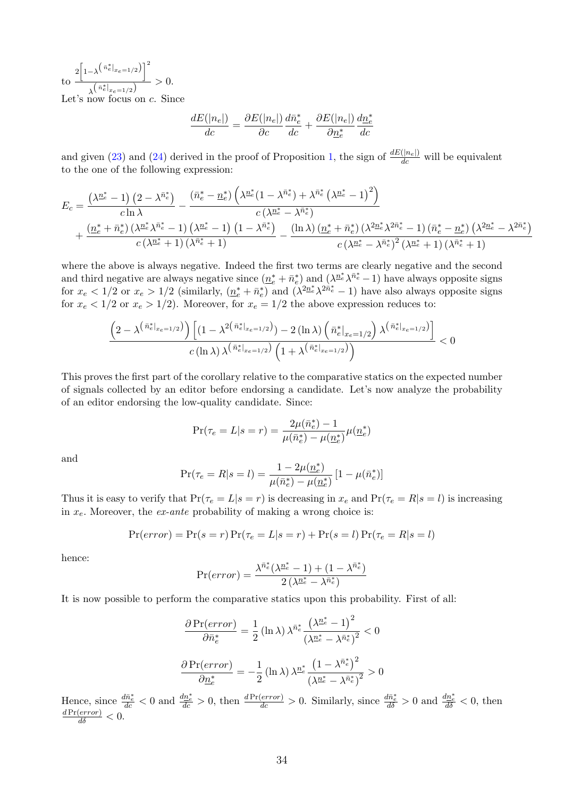to  $_{2}\left[ 1-\lambda ^{\left( \left. \bar{n}_{e}^{\ast }\right) \right] x_{e}=1/2}\right) \right] ^{2}$  $\frac{1}{\lambda^{(\frac{1}{n_e})}|_{x_e=1/2}} > 0.$ Let's now focus on c. Since

$$
\frac{dE(|n_e|)}{dc} = \frac{\partial E(|n_e|)}{\partial c} \frac{d\bar{n}_e^*}{dc} + \frac{\partial E(|n_e|)}{\partial \underline{n}_e^*} \frac{d\underline{n}_e^*}{dc}
$$

and given [\(23\)](#page-34-5) and [\(24\)](#page-34-6) derived in the proof of Proposition [1,](#page-13-1) the sign of  $\frac{dE(|n_e|)}{dc}$  will be equivalent to the one of the following expression:

$$
\begin{aligned} E_c &= \frac{\left(\lambda^{\underline{n}_e^*}-1\right)\left(2-\lambda^{\bar{n}_e^*}\right)}{c\ln\lambda}-\frac{\left(\bar{n}_e^*-\underline{n}_e^*\right)\left(\lambda^{\underline{n}_e^*}\left(1-\lambda^{\bar{n}_e^*}\right)+\lambda^{\bar{n}_e^*}\left(\lambda^{\underline{n}_e^*}-1\right)^2\right)}{c\left(\lambda^{\underline{n}_e^*}-\lambda^{\bar{n}_e^*}\right)} \\ &+\frac{\left(\underline{n}_e^*+\bar{n}_e^*\right)\left(\lambda^{\underline{n}_e^*}\lambda^{\bar{n}_e^*}-1\right)\left(\lambda^{\underline{n}_e^*}-1\right)\left(1-\lambda^{\bar{n}_e^*}\right)}{c\left(\lambda^{\underline{n}_e^*}+1\right)\left(\lambda^{\bar{n}_e^*}+1\right)}-\frac{\left(\ln\lambda\right)\left(\underline{n}_e^*+\bar{n}_e^*\right)\left(\lambda^2\underline{n}_e^*\lambda^2\bar{n}_e^* -1\right)\left(\bar{n}_e^*-\underline{n}_e^*\right)\left(\lambda^2\underline{n}_e^*-\lambda^2\bar{n}_e^*\right)}{c\left(\lambda^{\underline{n}_e^*}-\lambda^{\bar{n}_e^*}\right)^2\left(\lambda^{\underline{n}_e^*}+1\right)\left(\lambda^{\bar{n}_e^*}+1\right)} \end{aligned}
$$

where the above is always negative. Indeed the first two terms are clearly negative and the second and third negative are always negative since  $(\underline{n}_e^* + \bar{n}_e^*)$  and  $(\lambda^{\underline{n}_e^*} \lambda^{\bar{n}_e^*} - 1)$  have always opposite signs for  $x_e < 1/2$  or  $x_e > 1/2$  (similarly,  $(\underline{n}_e^* + \overline{n}_e^*)$  and  $(\lambda^2 \underline{n}_e^* \lambda^2 \overline{n}_e^* - 1)$  have also always opposite signs for  $x_e < 1/2$  or  $x_e > 1/2$ ). Moreover, for  $x_e = 1/2$  the above expression reduces to:

$$
\frac{\left(2-\lambda^{\left(\bar{n}_e^*\right\vert_{x_e=1/2}\right)}\right)\left[(1-\lambda^{2\left(\bar{n}_e^*\right\vert_{x_e=1/2}\right)}-2\left(\ln\lambda\right)\left(\bar{n}_e^*\right\vert_{x_e=1/2}\right)\lambda^{\left(\bar{n}_e^*\right\vert_{x_e=1/2}\right)}{c\left(\ln\lambda\right)\lambda^{\left(\bar{n}_e^*\right\vert_{x_e=1/2}\right)}\left(1+\lambda^{\left(\bar{n}_e^*\right\vert_{x_e=1/2}\right)}\right)}<0
$$

This proves the first part of the corollary relative to the comparative statics on the expected number of signals collected by an editor before endorsing a candidate. Let's now analyze the probability of an editor endorsing the low-quality candidate. Since:

$$
\Pr(\tau_e = L | s = r) = \frac{2\mu(\bar{n}_e^*) - 1}{\mu(\bar{n}_e^*) - \mu(\underline{n}_e^*)} \mu(\underline{n}_e^*)
$$

and

$$
\Pr(\tau_e = R | s = l) = \frac{1 - 2\mu(\underline{n}_e^*)}{\mu(\bar{n}_e^*) - \mu(\underline{n}_e^*)} [1 - \mu(\bar{n}_e^*)]
$$

Thus it is easy to verify that  $Pr(\tau_e = L | s = r)$  is decreasing in  $x_e$  and  $Pr(\tau_e = R | s = l)$  is increasing in  $x_e$ . Moreover, the *ex-ante* probability of making a wrong choice is:

$$
Pr(error) = Pr(s = r) Pr(\tau_e = L|s = r) + Pr(s = l) Pr(\tau_e = R|s = l)
$$

hence:

$$
\Pr(error) = \frac{\lambda^{\bar{n}_e^*}(\lambda^{\underline{n}_e^*} - 1) + (1 - \lambda^{\bar{n}_e^*})}{2(\lambda^{\underline{n}_e^*} - \lambda^{\bar{n}_e^*})}
$$

It is now possible to perform the comparative statics upon this probability. First of all:

$$
\frac{\partial \Pr(error)}{\partial \bar{n}_e^*} = \frac{1}{2} (\ln \lambda) \lambda^{\bar{n}_e^*} \frac{\left(\lambda^{\underline{n}_e^*} - 1\right)^2}{\left(\lambda^{\underline{n}_e^*} - \lambda^{\bar{n}_e^*}\right)^2} < 0
$$
\n
$$
\frac{\partial \Prиerror}{\partial \underline{n}_e^*} = -\frac{1}{2} (\ln \lambda) \lambda^{\underline{n}_e^*} \frac{\left(1 - \lambda^{\bar{n}_e^*}\right)^2}{\left(\lambda^{\underline{n}_e^*} - \lambda^{\bar{n}_e^*}\right)^2} > 0
$$

Hence, since  $\frac{d\bar{n}_e^*}{dc} < 0$  and  $\frac{d\bar{n}_e^*}{dc} > 0$ , then  $\frac{dPr(error)}{dc} > 0$ . Similarly, since  $\frac{d\bar{n}_e^*}{d\delta} > 0$  and  $\frac{d\bar{n}_e^*}{d\delta} < 0$ , then  $\frac{dPr(error)}{d\delta} < 0.$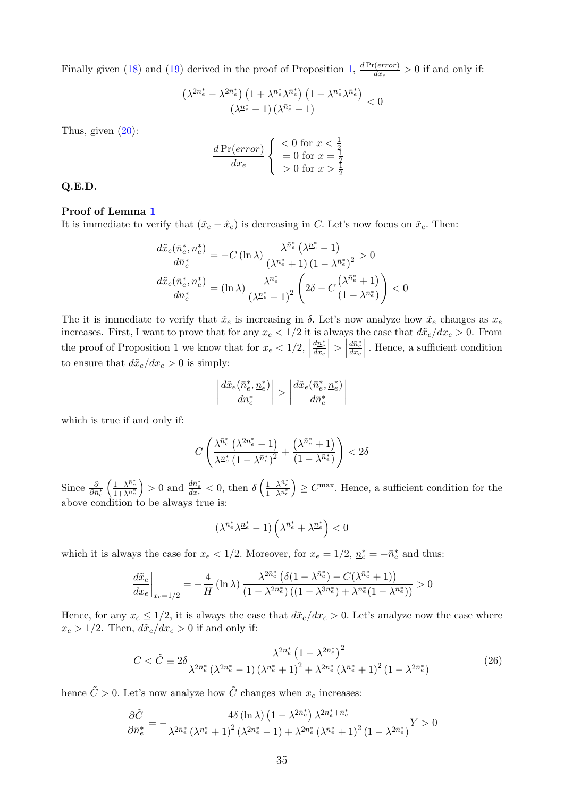Finally given [\(18\)](#page-34-1) and [\(19\)](#page-34-2) derived in the proof of Proposition [1,](#page-13-1)  $\frac{dPr(error)}{dx}$  $\frac{derror_j}{dx_e} > 0$  if and only if:

$$
\frac{\left(\lambda^{2\underline{n}^*_e}-\lambda^{2\bar{n}^*_e}\right)\left(1+\lambda^{\underline{n}^*_e}\lambda^{\bar{n}^*_e}\right)\left(1-\lambda^{\underline{n}^*_e}\lambda^{\bar{n}^*_e}\right)}{\left(\lambda^{\underline{n}^*_e}+1\right)\left(\lambda^{\bar{n}^*_e}+1\right)}<0
$$

Thus, given  $(20)$ :

$$
\frac{dPr(error)}{dx_e} \begin{cases} < 0 \text{ for } x < \frac{1}{2} \\ &= 0 \text{ for } x = \frac{1}{2} \\ &> 0 \text{ for } x > \frac{1}{2} \end{cases}
$$

#### Q.E.D.

#### Proof of Lemma [1](#page-17-0)

It is immediate to verify that  $(\tilde{x}_e - \hat{x}_e)$  is decreasing in C. Let's now focus on  $\tilde{x}_e$ . Then:

$$
\frac{d\tilde{x}_e(\bar{n}_e^*, \underline{n}_e^*)}{d\bar{n}_e^*} = -C(\ln \lambda) \frac{\lambda^{\bar{n}_e^*} \left(\lambda^{\underline{n}_e^*} - 1\right)}{\left(\lambda^{\underline{n}_e^*} + 1\right) \left(1 - \lambda^{\bar{n}_e^*}\right)^2} > 0
$$
\n
$$
\frac{d\tilde{x}_e(\bar{n}_e^*, \underline{n}_e^*)}{d\underline{n}_e^*} = (\ln \lambda) \frac{\lambda^{\underline{n}_e^*}}{\left(\lambda^{\underline{n}_e^*} + 1\right)^2} \left(2\delta - C \frac{\left(\lambda^{\bar{n}_e^*} + 1\right)}{\left(1 - \lambda^{\bar{n}_e^*}\right)}\right) < 0
$$

The it is immediate to verify that  $\tilde{x}_e$  is increasing in  $\delta$ . Let's now analyze how  $\tilde{x}_e$  changes as  $x_e$ increases. First, I want to prove that for any  $x_e < 1/2$  it is always the case that  $d\tilde{x}_e/dx_e > 0$ . From the proof of Proposition 1 we know that for  $x_e < 1/2$ ,  $rac{dn_e^*}{dx_e}$  $\vert$  >  $\vert$  $rac{d\bar{n}_e^*}{dx_e}$    . Hence, a sufficient condition to ensure that  $d\tilde{x}_e/dx_e > 0$  is simply:

$$
\left|\frac{d\tilde{x}_e(\bar{n}^*_e, \underline{n}^*_e)}{d\underline{n}^*_e}\right| > \left|\frac{d\tilde{x}_e(\bar{n}^*_e, \underline{n}^*_e)}{d\bar{n}^*_e}\right|
$$

which is true if and only if:

$$
C\left(\frac{\lambda^{\bar{n}_e^*}\left(\lambda^{2\underline{n}_e^*}-1\right)}{\lambda^{\underline{n}_e^*}\left(1-\lambda^{\bar{n}_e^*}\right)^2}+\frac{\left(\lambda^{\bar{n}_e^*}+1\right)}{\left(1-\lambda^{\bar{n}_e^*}\right)}\right)<2\delta
$$

Since  $\frac{\partial}{\partial \bar{n}_{e}^{*}}$  $\left( \frac{1-\lambda^{n_e^*}}{\lambda^{n_e^*}} \right)$  $\frac{1-\lambda^{\bar{n}_{e}^*}}{1+\lambda^{\bar{n}_{e}^*}}$  > 0 and  $\frac{d\bar{n}_{e}^*}{dx_e}$  < 0, then  $\delta\left(\frac{1-\lambda^{\bar{n}_{e}^*}}{1+\lambda^{\bar{n}_{e}^*}}\right)$  $\left(\frac{1-\lambda^{\bar{n}_{e}}}{1+\lambda^{\bar{n}_{e}}}\right) \geq C^{\max}$ . Hence, a sufficient condition for the above condition to be always true is:

$$
(\lambda^{\bar n_e^*}\lambda^{\underline{n}_e^*}-1)\left(\lambda^{\bar n_e^*}+\lambda^{\underline{n}_e^*}\right)<0
$$

which it is always the case for  $x_e < 1/2$ . Moreover, for  $x_e = 1/2$ ,  $\underline{n}_e^* = -\overline{n}_e^*$  and thus:

$$
\left. \frac{d \tilde{x}_e}{d x_e} \right|_{x_e=1/2} = -\frac{4}{H} \left(\ln \lambda \right) \frac{\lambda^{2\bar{n}_e^*} \left(\delta (1-\lambda^{\bar{n}_e^*}) - C (\lambda^{\bar{n}_e^*}+1)\right)}{\left(1-\lambda^{2\bar{n}_e^*}\right) \left(\left(1-\lambda^{3\bar{n}_e^*}\right) + \lambda^{\bar{n}_e^*} (1-\lambda^{\bar{n}_e^*})\right)} > 0
$$

Hence, for any  $x_e \leq 1/2$ , it is always the case that  $d\tilde{x}_e/dx_e > 0$ . Let's analyze now the case where  $x_e > 1/2$ . Then,  $d\tilde{x}_e/dx_e > 0$  if and only if:

$$
C < \tilde{C} \equiv 2\delta \frac{\lambda^{2\bar{n}_{e}^{*}} \left(1 - \lambda^{2\bar{n}_{e}^{*}}\right)^{2}}{\lambda^{2\bar{n}_{e}^{*}} \left(\lambda^{2\bar{n}_{e}^{*}} - 1\right) \left(\lambda^{\underline{n}_{e}^{*}} + 1\right)^{2} + \lambda^{2\bar{n}_{e}^{*}} \left(\lambda^{\bar{n}_{e}^{*}} + 1\right)^{2} \left(1 - \lambda^{2\bar{n}_{e}^{*}}\right)}\tag{26}
$$

hence  $\tilde{C} > 0$ . Let's now analyze how  $\tilde{C}$  changes when  $x_e$  increases:

$$
\frac{\partial \tilde{C}}{\partial \bar{n}_{e}^{*}} = -\frac{4\delta\left(\ln\lambda\right)\left(1 - \lambda^{2\bar{n}_{e}^{*}}\right)\lambda^{2\underline{n}_{e}^{*} + \bar{n}_{e}^{*}}}{\lambda^{2\bar{n}_{e}^{*}}\left(\lambda^{\underline{n}_{e}^{*}} + 1\right)^{2}\left(\lambda^{2\underline{n}_{e}^{*}} - 1\right) + \lambda^{2\underline{n}_{e}^{*}}\left(\lambda^{\bar{n}_{e}^{*}} + 1\right)^{2}\left(1 - \lambda^{2\bar{n}_{e}^{*}}\right)}Y > 0
$$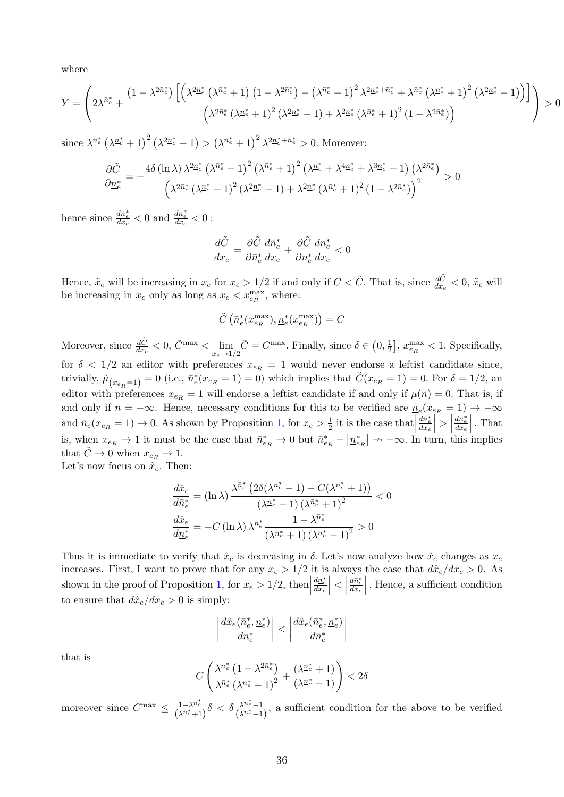where

$$
Y = \left(2\lambda^{\bar n_e^*} + \frac{\left(1-\lambda^{2\bar n_e^*}\right)\left[\left(\lambda^{2\underline n_e^*}\left(\lambda^{\bar n_e^*}+1\right)\left(1-\lambda^{2\bar n_e^*}\right)-\left(\lambda^{\bar n_e^*}+1\right)^2\lambda^{2\underline n_e^*+\bar n_e^*}+\lambda^{\bar n_e^*}\left(\lambda^{\underline n_e^*}+1\right)^2\left(\lambda^{2\underline n_e^*}-1\right)\right)\right]}{\left(\lambda^{2\bar n_e^*}\left(\lambda^{\underline n_e^*}+1\right)^2\left(\lambda^{2\underline n_e^*}-1\right)+\lambda^{2\underline n_e^*}\left(\lambda^{\bar n_e^*}+1\right)^2\left(1-\lambda^{2\bar n_e^*}\right)\right)} > 0
$$

since  $\lambda^{\bar{n}_{e}^{*}}(\lambda^{n_{e}^{*}}+1)^{2}(\lambda^{2n_{e}^{*}}-1) > (\lambda^{\bar{n}_{e}^{*}}+1)^{2} \lambda^{2n_{e}^{*}+\bar{n}_{e}^{*}} > 0$ . Moreover:

$$
\frac{\partial \tilde{C}}{\partial \underline{n}_{e}^{*}} = -\frac{4\delta\left(\ln\lambda\right)\lambda^{2\underline{n}_{e}^{*}}\left(\lambda^{\bar{n}_{e}^{*}}-1\right)^{2}\left(\lambda^{\bar{n}_{e}^{*}}+1\right)^{2}\left(\lambda^{\underline{n}_{e}^{*}}+\lambda^{4\underline{n}_{e}^{*}}+\lambda^{3\underline{n}_{e}^{*}}+1\right)\left(\lambda^{2\bar{n}_{e}^{*}}\right)}{\left(\lambda^{2\bar{n}_{e}^{*}}\left(\lambda^{\underline{n}_{e}^{*}}+1\right)^{2}\left(\lambda^{2\underline{n}_{e}^{*}}-1\right)+\lambda^{2\underline{n}_{e}^{*}}\left(\lambda^{\bar{n}_{e}^{*}}+1\right)^{2}\left(1-\lambda^{2\bar{n}_{e}^{*}}\right)\right)^{2}} > 0
$$

hence since  $\frac{d\bar{n}_{e}^{*}}{dx_{e}} < 0$  and  $\frac{d\bar{n}_{e}^{*}}{dx_{e}} < 0$ :

$$
\frac{d\tilde{C}}{dx_e} = \frac{\partial \tilde{C}}{\partial \bar{n}_e^*} \frac{d\bar{n}_e^*}{dx_e} + \frac{\partial \tilde{C}}{\partial \underline{n}_e^*} \frac{d\underline{n}_e^*}{dx_e} < 0
$$

Hence,  $\tilde{x}_e$  will be increasing in  $x_e$  for  $x_e > 1/2$  if and only if  $C < \tilde{C}$ . That is, since  $\frac{d\tilde{C}}{dx_e} < 0$ ,  $\tilde{x}_e$  will be increasing in  $x_e$  only as long as  $x_e < x_{e_R}^{\max}$ , where:

$$
\tilde{C}\left(\bar{n}_e^*(x_{e_R}^{\max}), \underline{n}_e^*(x_{e_R}^{\max})\right) = C
$$

Moreover, since  $\frac{d\tilde{C}}{dx_e} < 0$ ,  $\tilde{C}^{\max} < \lim_{x_e \to 1/2} \tilde{C} = C^{\max}$ . Finally, since  $\delta \in (0, \frac{1}{2})$  $\frac{1}{2}$ ,  $x_{e_R}^{\max}$  < 1. Specifically, for  $\delta$  < 1/2 an editor with preferences  $x_{e_R} = 1$  would never endorse a leftist candidate since, trivially,  $\hat{\mu}_{(x_{e_R}=1)} = 0$  (i.e.,  $\bar{n}_e^*(x_{e_R} = 1) = 0$ ) which implies that  $\tilde{C}(x_{e_R} = 1) = 0$ . For  $\delta = 1/2$ , an editor with preferences  $x_{e_R} = 1$  will endorse a leftist candidate if and only if  $\mu(n) = 0$ . That is, if and only if  $n = -\infty$ . Hence, necessary conditions for this to be verified are  $n_e(x_{e_R} = 1) \rightarrow -\infty$ and  $\bar{n}_e(x_{e_R} = 1) \to 0$ . As shown by Proposition [1,](#page-13-1) for  $x_e > \frac{1}{2}$  $\frac{1}{2}$  it is the case that  $\frac{d\bar{n}_e^*}{dx_e}$  $|>$  $rac{dn_e^*}{dx_e}$  $\left| . \right.$  That is, when  $x_{e_R} \to 1$  it must be the case that  $\bar{n}_{e_R}^* \to 0$  but  $\bar{n}_{e_R}^* - |\underline{n}_{e_R}^*| \to -\infty$ . In turn, this implies that  $\tilde{C} \to 0$  when  $x_{e_R} \to 1$ . Let's now focus on  $\hat{x}_e$ . Then:

$$
\frac{d\hat{x}_e}{d\bar{n}_e^*} = (\ln \lambda) \frac{\lambda^{\bar{n}_e^*} \left(2\delta(\lambda^{\underline{n}_e^*} - 1) - C(\lambda^{\underline{n}_e^*} + 1)\right)}{(\lambda^{\underline{n}_e^*} - 1) \left(\lambda^{\bar{n}_e^*} + 1\right)^2} < 0
$$

$$
\frac{d\hat{x}_e}{d\underline{n}_e^*} = -C(\ln \lambda) \lambda^{\underline{n}_e^*} \frac{1 - \lambda^{\bar{n}_e^*}}{(\lambda^{\bar{n}_e^*} + 1) \left(\lambda^{\underline{n}_e^*} - 1\right)^2} > 0
$$

Thus it is immediate to verify that  $\hat{x}_e$  is decreasing in  $\delta$ . Let's now analyze how  $\hat{x}_e$  changes as  $x_e$ increases. First, I want to prove that for any  $x_e > 1/2$  it is always the case that  $d\hat{x}_e/dx_e > 0$ . As shown in the proof of Proposition [1,](#page-13-1) for  $x_e > 1/2$ , then  $rac{dn_e^*}{dx_e}$  $\vert$  <  $\vert$  $\frac{d\bar{n}_e^*}{dx_e}$    . Hence, a sufficient condition to ensure that  $d\hat{x}_e/dx_e > 0$  is simply:

$$
\left|\frac{d\hat{x}_e(\bar{n}^*_e,\underline{n}^*_e)}{d\underline{n}^*_e}\right| < \left|\frac{d\hat{x}_e(\bar{n}^*_e,\underline{n}^*_e)}{d\bar{n}^*_e}\right|
$$

that is

$$
C\left(\frac{\lambda^{\underline{n}_{e}^{*}}\left(1-\lambda^{2\bar{n}_{e}^{*}}\right)}{\lambda^{\bar{n}_{e}^{*}}\left(\lambda^{\underline{n}_{e}^{*}}-1\right)^{2}}+\frac{(\lambda^{\underline{n}_{e}^{*}}+1)}{(\lambda^{\underline{n}_{e}^{*}}-1)}\right)<2\delta
$$

moreover since  $C^{\max} \leq \frac{1-\lambda^{\bar{n}_{e}^*}}{(\lambda^{\bar{n}_{e}^*}+1)} \delta < \delta \frac{\lambda^{\underline{n}_{e}^*}-1}{(\lambda^{\underline{n}_{e}^*}+1)}$  $\frac{\lambda^{u_e}-1}{\lambda^{u_e}+1}$ , a sufficient condition for the above to be verified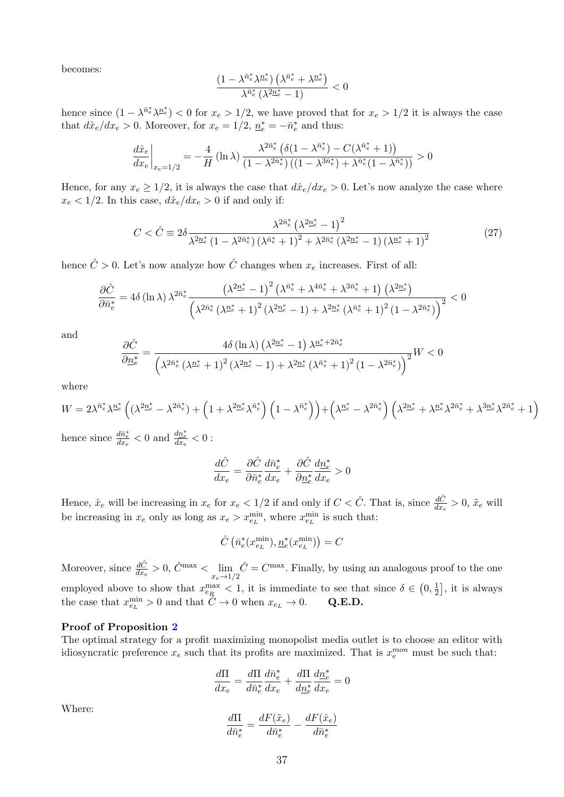becomes:

$$
\frac{\left(1-\lambda^{\bar{n}^*_e}\lambda^{n^*_e}\right)\left(\lambda^{\bar{n}^*_e}+\lambda^{n^*_e}\right)}{\lambda^{\bar{n}^*_e}\left(\lambda^{2n^*_e}-1\right)}<0
$$

hence since  $(1 - \lambda^{\bar{n}_{e}^{*}} \lambda^{\underline{n}_{e}^{*}})$  < 0 for  $x_e > 1/2$ , we have proved that for  $x_e > 1/2$  it is always the case that  $d\hat{x}_e/dx_e > 0$ . Moreover, for  $x_e = 1/2$ ,  $\underline{n}_e^* = -\bar{n}_e^*$  and thus:

$$
\frac{d\hat{x}_e}{dx_e}\bigg|_{x_e=1/2} = -\frac{4}{H} (\ln \lambda) \frac{\lambda^{2\bar{n}_e^*} \left(\delta(1-\lambda^{\bar{n}_e^*}) - C(\lambda^{\bar{n}_e^*}+1)\right)}{(1-\lambda^{2\bar{n}_e^*})\left((1-\lambda^{3\bar{n}_e^*}) + \lambda^{\bar{n}_e^*}(1-\lambda^{\bar{n}_e^*})\right)} > 0
$$

Hence, for any  $x_e \geq 1/2$ , it is always the case that  $d\hat{x}_e/dx_e > 0$ . Let's now analyze the case where  $x_e < 1/2$ . In this case,  $d\hat{x}_e/dx_e > 0$  if and only if:

$$
C < \hat{C} \equiv 2\delta \frac{\lambda^{2\bar{n}_{e}^{*}} \left(\lambda^{2\underline{n}_{e}^{*}} - 1\right)^{2}}{\lambda^{2\bar{n}_{e}^{*}} \left(1 - \lambda^{2\bar{n}_{e}^{*}}\right) \left(\lambda^{\bar{n}_{e}^{*}} + 1\right)^{2} + \lambda^{2\bar{n}_{e}^{*}} \left(\lambda^{2\underline{n}_{e}^{*}} - 1\right) \left(\lambda^{\underline{n}_{e}^{*}} + 1\right)^{2}}\tag{27}
$$

hence  $\hat{C} > 0$ . Let's now analyze how  $\hat{C}$  changes when  $x_e$  increases. First of all:

$$
\frac{\partial \hat{C}}{\partial \bar{n}^*_{e}}=4\delta\left(\ln\lambda\right)\lambda^{2\bar{n}^*_{e}}\frac{\left(\lambda^{2\underline{n}^*_{e}}-1\right)^2\left(\lambda^{\bar{n}^*_{e}}+\lambda^{4\bar{n}^*_{e}}+\lambda^{3\bar{n}^*_{e}}+1\right)\left(\lambda^{2\underline{n}^*_{e}}\right)}{\left(\lambda^{2\bar{n}^*_{e}}\left(\lambda^{\underline{n}^*_{e}}+1\right)^2\left(\lambda^{2\underline{n}^*_{e}}-1\right)+\lambda^{2\underline{n}^*_{e}}\left(\lambda^{\bar{n}^*_{e}}+1\right)^2\left(1-\lambda^{2\bar{n}^*_{e}}\right)\right)^2}<0
$$

and

$$
\frac{\partial \hat{C}}{\partial \underline{n}_{e}^{*}} = \frac{4\delta\left(\ln\lambda\right)\left(\lambda^{2}\underline{n}_{e}^{*} - 1\right)\lambda^{\underline{n}_{e}^{*} + 2\bar{n}_{e}^{*}}}{\left(\lambda^{2\bar{n}_{e}^{*}}\left(\lambda^{\underline{n}_{e}^{*}} + 1\right)^{2}\left(\lambda^{2}\underline{n}_{e}^{*} - 1\right) + \lambda^{2}\underline{n}_{e}^{*}\left(\lambda^{\bar{n}_{e}^{*}} + 1\right)^{2}\left(1 - \lambda^{2\bar{n}_{e}^{*}}\right)\right)^{2}}W < 0
$$

where

$$
W = 2\lambda^{\bar{n}_e^*} \lambda^{n_e^*} \left( (\lambda^{2n_e^*} - \lambda^{2\bar{n}_e^*}) + \left(1 + \lambda^{2n_e^*} \lambda^{\bar{n}_e^*}\right) \left(1 - \lambda^{\bar{n}_e^*}\right) \right) + \left(\lambda^{n_e^*} - \lambda^{2\bar{n}_e^*}\right) \left(\lambda^{2n_e^*} + \lambda^{n_e^*} \lambda^{2\bar{n}_e^*} + \lambda^{3n_e^*} \lambda^{2\bar{n}_e^*} + 1\right)
$$

hence since  $\frac{d\bar{n}_{e}^{*}}{dx_{e}} < 0$  and  $\frac{d\bar{n}_{e}^{*}}{dx_{e}} < 0$ :

$$
\frac{d\hat{C}}{dx_e} = \frac{\partial \hat{C}}{\partial \bar{n}_e^*} \frac{d\bar{n}_e^*}{dx_e} + \frac{\partial \hat{C}}{\partial \underline{n}_e^*} \frac{d\underline{n}_e^*}{dx_e} > 0
$$

Hence,  $\hat{x}_e$  will be increasing in  $x_e$  for  $x_e < 1/2$  if and only if  $C < \hat{C}$ . That is, since  $\frac{d\hat{C}}{dx_e} > 0$ ,  $\tilde{x}_e$  will be increasing in  $x_e$  only as long as  $x_e > x_{e_L}^{\text{min}}$ , where  $x_{e_L}^{\text{min}}$  is such that:

$$
\hat{C}\left(\bar{n}_{e}^*(x_{e_L}^{\min}), \underline{n}_e^*(x_{e_L}^{\min})\right) = C
$$

Moreover, since  $\frac{d\hat{C}}{dx_e} > 0$ ,  $\hat{C}^{\text{max}} < \lim_{x_e \to 1/2} \hat{C} = C^{\text{max}}$ . Finally, by using an analogous proof to the one employed above to show that  $x_{e_R}^{\max} < 1$ , it is immediate to see that since  $\delta \in (0, \frac{1}{2})$  $\frac{1}{2}$ , it is always the case that  $x_{e_L}^{\text{min}} > 0$  and that  $\hat{C} \to 0$  when  $x_{e_L} \to 0$ . Q.E.D.

#### Proof of Proposition [2](#page-19-1)

The optimal strategy for a profit maximizing monopolist media outlet is to choose an editor with idiosyncratic preference  $x_e$  such that its profits are maximized. That is  $x_e^{mon}$  must be such that:

$$
\frac{d\Pi}{dx_e} = \frac{d\Pi}{d\bar{n}_e^*} \frac{d\bar{n}_e^*}{dx_e} + \frac{d\Pi}{d\underline{n}_e^*} \frac{d\underline{n}_e^*}{dx_e} = 0
$$

Where:

$$
\frac{d\Pi}{d\bar{n}_e^*} = \frac{dF(\tilde{x}_e)}{d\bar{n}_e^*} - \frac{dF(\hat{x}_e)}{d\bar{n}_e^*}
$$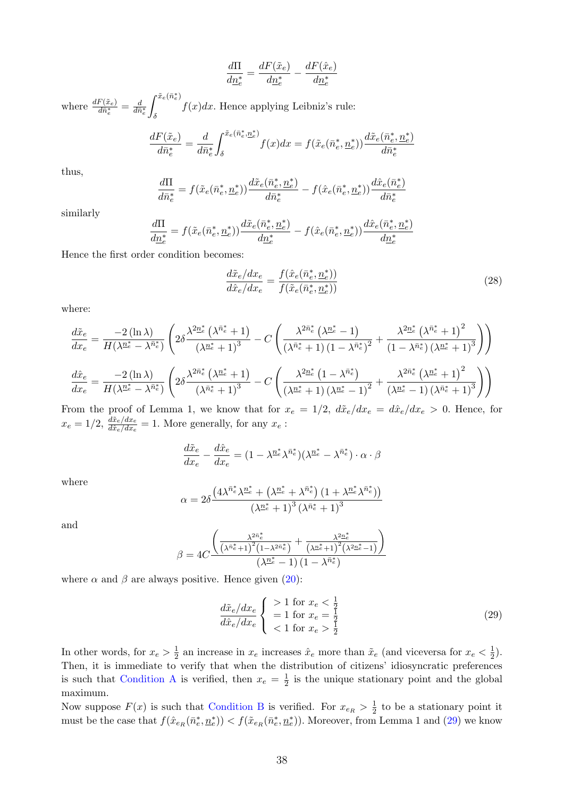$$
\frac{d\Pi}{d\underline{n}^*_e} = \frac{dF(\tilde{x}_e)}{d\underline{n}^*_e} - \frac{dF(\hat{x}_e)}{d\underline{n}^*_e}
$$

where  $\frac{dF(\tilde{x}_e)}{d\bar{n}_e^*} = \frac{d}{d\bar{n}}$  $d\bar{n}_{e}^{\ast}$  $\int_{}^{\tilde{x}_e(\bar{n}_e^*)}$ δ  $f(x)dx$ . Hence applying Leibniz's rule:

$$
\frac{dF(\tilde{x}_e)}{d\bar{n}_e^*} = \frac{d}{d\bar{n}_e^*} \int_{\delta}^{\tilde{x}_e(\bar{n}_e^*, \underline{n}_e^*)} f(x) dx = f(\tilde{x}_e(\bar{n}_e^*, \underline{n}_e^*)) \frac{d\tilde{x}_e(\bar{n}_e^*, \underline{n}_e^*)}{d\bar{n}_e^*}
$$

thus,

$$
\frac{d\Pi}{d\bar{n}_e^*} = f(\tilde{x}_e(\bar{n}_e^*, \underline{n}_e^*)) \frac{d\tilde{x}_e(\bar{n}_e^*, \underline{n}_e^*)}{d\bar{n}_e^*} - f(\hat{x}_e(\bar{n}_e^*, \underline{n}_e^*)) \frac{d\hat{x}_e(\bar{n}_e^*)}{d\bar{n}_e^*}
$$

similarly

$$
\frac{d\Pi}{d\underline{n}^*_e} = f(\tilde{x}_e(\bar{n}^*_e, \underline{n}^*_e)) \frac{d\tilde{x}_e(\bar{n}^*_e, \underline{n}^*_e)}{d\underline{n}^*_e} - f(\hat{x}_e(\bar{n}^*_e, \underline{n}^*_e)) \frac{d\hat{x}_e(\bar{n}^*_e, \underline{n}^*_e)}{d\underline{n}^*_e}
$$

Hence the first order condition becomes:

<span id="page-40-1"></span>
$$
\frac{d\tilde{x}_e/dx_e}{d\hat{x}_e/dx_e} = \frac{f(\hat{x}_e(\bar{n}_e^*, \underline{n}_e^*))}{f(\tilde{x}_e(\bar{n}_e^*, \underline{n}_e^*))}
$$
\n(28)

where:

$$
\frac{d\tilde{x}_e}{dx_e} = \frac{-2\left(\ln\lambda\right)}{H(\lambda^{\underline{n}_e^*} - \lambda^{\bar{n}_e^*})} \left(2\delta \frac{\lambda^{2\underline{n}_e^*} \left(\lambda^{\bar{n}_e^*} + 1\right)}{\left(\lambda^{\underline{n}_e^*} + 1\right)^3} - C \left(\frac{\lambda^{2\bar{n}_e^*} \left(\lambda^{\underline{n}_e^*} - 1\right)}{\left(\lambda^{\bar{n}_e^*} + 1\right) \left(1 - \lambda^{\bar{n}_e^*}\right)^2} + \frac{\lambda^{2\underline{n}_e^*} \left(\lambda^{\bar{n}_e^*} + 1\right)^2}{\left(1 - \lambda^{\bar{n}_e^*}\right) \left(\lambda^{\underline{n}_e^*} + 1\right)^3}\right)\right)
$$
\n
$$
\frac{d\hat{x}_e}{dx_e} = \frac{-2\left(\ln\lambda\right)}{H(\lambda^{\underline{n}_e^*} - \lambda^{\bar{n}_e^*})} \left(2\delta \frac{\lambda^{2\bar{n}_e^*} \left(\lambda^{\underline{n}_e^*} + 1\right)}{\left(\lambda^{\bar{n}_e^*} + 1\right)^3} - C \left(\frac{\lambda^{2\underline{n}_e^*} \left(1 - \lambda^{\bar{n}_e^*}\right)}{\left(\lambda^{\underline{n}_e^*} + 1\right) \left(\lambda^{\underline{n}_e^*} - 1\right)^2} + \frac{\lambda^{2\bar{n}_e^*} \left(\lambda^{\underline{n}_e^*} + 1\right)^2}{\left(\lambda^{\underline{n}_e^*} - 1\right) \left(\lambda^{\bar{n}_e^*} + 1\right)^3}\right)\right)
$$

From the proof of Lemma 1, we know that for  $x_e = 1/2$ ,  $d\tilde{x}_e/dx_e = d\hat{x}_e/dx_e > 0$ . Hence, for  $x_e = 1/2, \frac{d\tilde{x}_e/dx_e}{d\hat{x}_e/dx_e}$  $\frac{dx_e/ax_e}{dx_e/dx_e} = 1$ . More generally, for any  $x_e$ :

$$
\frac{d\tilde{x}_e}{dx_e} - \frac{d\hat{x}_e}{dx_e} = (1 - \lambda^{n_e^*} \lambda^{\bar{n}_e^*})(\lambda^{n_e^*} - \lambda^{\bar{n}_e^*}) \cdot \alpha \cdot \beta
$$

where

$$
\alpha = 2\delta \frac{\left(4\lambda^{\bar n_e^*}\lambda^{\underline{n}_e^*} + \left(\lambda^{\underline{n}_e^*} + \lambda^{\bar n_e^*}\right)\left(1 + \lambda^{\underline{n}_e^*}\lambda^{\bar n_e^*}\right)\right)}{\left(\lambda^{\underline{n}_e^*} + 1\right)^3\left(\lambda^{\bar n_e^*} + 1\right)^3}
$$

and

$$
\beta = 4C \frac{\left(\frac{\lambda^{2n_e^*}}{(\lambda^{n_e^*}+1)^2(1-\lambda^{2n_e^*})} + \frac{\lambda^{2n_e^*}}{(\lambda^{n_e^*}+1)^2(\lambda^{2n_e^*}-1)}\right)}{\left(\lambda^{n_e^*}-1\right)(1-\lambda^{\bar{n}_e^*})}
$$

where  $\alpha$  and  $\beta$  are always positive. Hence given [\(20\)](#page-34-0):

<span id="page-40-0"></span>
$$
\frac{d\tilde{x}_e/dx_e}{d\hat{x}_e/dx_e} \begin{cases} > 1 \text{ for } x_e < \frac{1}{2} \\ > 1 \text{ for } x_e = \frac{1}{2} \\ < 1 \text{ for } x_e > \frac{1}{2} \end{cases} \tag{29}
$$

In other words, for  $x_e > \frac{1}{2}$  $\frac{1}{2}$  an increase in  $x_e$  increases  $\hat{x}_e$  more than  $\tilde{x}_e$  (and viceversa for  $x_e < \frac{1}{2}$  $(\frac{1}{2})$ . Then, it is immediate to verify that when the distribution of citizens' idiosyncratic preferences is such that [Condition A](#page-9-4) is verified, then  $x_e = \frac{1}{2}$  $\frac{1}{2}$  is the unique stationary point and the global maximum.

Now suppose  $F(x)$  is such that [Condition B](#page-9-5) is verified. For  $x_{e_R} > \frac{1}{2}$  $\frac{1}{2}$  to be a stationary point it must be the case that  $f(\hat{x}_{e_R}(\bar{n}_{e}^*, \underline{n}_{e}^*)) < f(\tilde{x}_{e_R}(\bar{n}_{e}^*, \underline{n}_{e}^*))$ . Moreover, from Lemma 1 and [\(29\)](#page-40-0) we know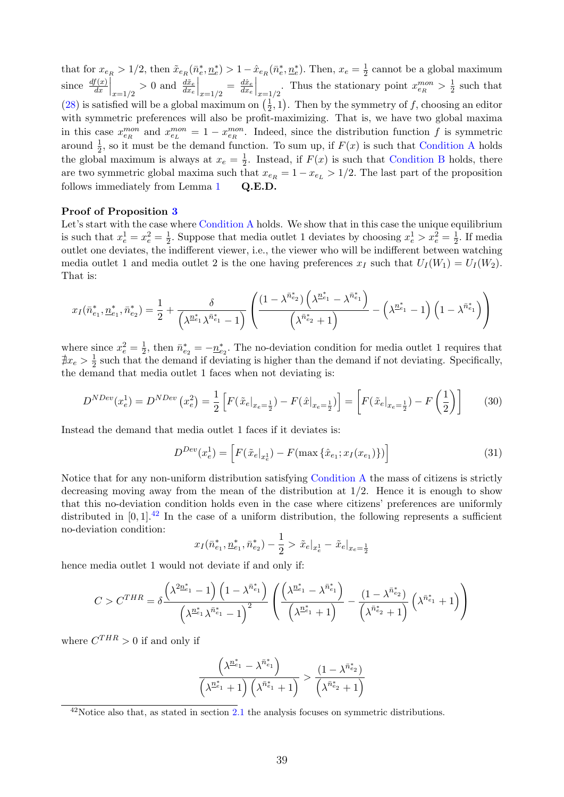that for  $x_{e_R} > 1/2$ , then  $\tilde{x}_{e_R}(\bar{n}_e^*, \underline{n}_e^*) > 1 - \hat{x}_{e_R}(\bar{n}_e^*, \underline{n}_e^*)$ . Then,  $x_e = \frac{1}{2}$  $\frac{1}{2}$  cannot be a global maximum since  $\frac{df(x)}{dx}\Big|_{x=1/2} > 0$  and  $\frac{d\tilde{x}_e}{dx_e}$  $\Big|_{x=1/2} = \frac{d\hat{x}_e}{dx_e}$  $dx_e$  $\Big|_{x=1/2}$ . Thus the stationary point  $x_{e_R}^{mon} > \frac{1}{2}$  $rac{1}{2}$  such that  $(28)$  is satisfied will be a global maximum on  $(\frac{1}{2})$  $(\frac{1}{2}, 1)$ . Then by the symmetry of f, choosing an editor with symmetric preferences will also be profit-maximizing. That is, we have two global maxima in this case  $x_{e_R}^{mon}$  and  $x_{e_L}^{mon} = 1 - x_{e_R}^{mon}$ . Indeed, since the distribution function f is symmetric around  $\frac{1}{2}$ , so it must be the demand function. To sum up, if  $F(x)$  is such that [Condition A](#page-9-4) holds the global maximum is always at  $x_e = \frac{1}{2}$  $\frac{1}{2}$ . Instead, if  $F(x)$  is such that [Condition B](#page-9-5) holds, there are two symmetric global maxima such that  $x_{e_R} = 1 - x_{e_L} > 1/2$ . The last part of the proposition follows immediately from Lemma  $1 \qquad Q.E.D.$  $1 \qquad Q.E.D.$ 

#### Proof of Proposition [3](#page-20-1)

Let's start with the case where [Condition A](#page-9-4) holds. We show that in this case the unique equilibrium is such that  $x_e^1 = x_e^2 = \frac{1}{2}$  $\frac{1}{2}$ . Suppose that media outlet 1 deviates by choosing  $x_e^1 > x_e^2 = \frac{1}{2}$  $\frac{1}{2}$ . If media outlet one deviates, the indifferent viewer, i.e., the viewer who will be indifferent between watching media outlet 1 and media outlet 2 is the one having preferences  $x_I$  such that  $U_I(W_1) = U_I(W_2)$ . That is:

$$
x_I(\bar{n}_{e_1}^*,\underline{n}_{e_1}^*,\bar{n}_{e_2}^*)=\frac{1}{2}+\frac{\delta}{\left(\lambda^{\underline{n}_{e_1}^*}\lambda^{\bar{n}_{e_1}^*}-1\right)}\left(\frac{(1-\lambda^{\bar{n}_{e_2}^*})\left(\lambda^{\underline{n}_{e_1}^*}-\lambda^{\bar{n}_{e_1}^*}\right)}{\left(\lambda^{\bar{n}_{e_2}^*}+1\right)}-\left(\lambda^{\underline{n}_{e_1}^*}-1\right)\left(1-\lambda^{\bar{n}_{e_1}^*}\right)\right)
$$

where since  $x_e^2 = \frac{1}{2}$  $\frac{1}{2}$ , then  $\bar{n}_{e_2}^* = -\underline{n}_{e_2}^*$ . The no-deviation condition for media outlet 1 requires that  $\nexists x_e > \frac{1}{2}$  $\frac{1}{2}$  such that the demand if deviating is higher than the demand if not deviating. Specifically, the demand that media outlet 1 faces when not deviating is:

<span id="page-41-1"></span>
$$
D^{NDev}(x_e^1) = D^{NDev}(x_e^2) = \frac{1}{2} \left[ F(\tilde{x}_e |_{x_e = \frac{1}{2}}) - F(\hat{x} |_{x_e = \frac{1}{2}}) \right] = \left[ F(\tilde{x}_e |_{x_e = \frac{1}{2}}) - F(\frac{1}{2}) \right]
$$
(30)

Instead the demand that media outlet 1 faces if it deviates is:

<span id="page-41-2"></span>
$$
D^{Dev}(x_e^1) = \left[ F(\tilde{x}_e |_{x_e^1}) - F(\max\{\hat{x}_{e_1}; x_I(x_{e_1})\}) \right]
$$
(31)

Notice that for any non-uniform distribution satisfying [Condition A](#page-9-4) the mass of citizens is strictly decreasing moving away from the mean of the distribution at  $1/2$ . Hence it is enough to show that this no-deviation condition holds even in the case where citizens' preferences are uniformly distributed in  $[0, 1]$ .<sup>[42](#page-41-0)</sup> In the case of a uniform distribution, the following represents a sufficient no-deviation condition:

$$
x_I(\bar{n}_{e_1}^*,\underline{n}_{e_1}^*,\bar{n}_{e_2}^*) - \frac{1}{2} > \tilde{x}_e|_{x_e^1} - \tilde{x}_e|_{x_e = \frac{1}{2}}
$$

hence media outlet 1 would not deviate if and only if:

$$
C > C^{THR} = \delta \frac{\left(\lambda^{2n_{e_1}^*} - 1\right)\left(1 - \lambda^{\bar{n}_{e_1}^*}\right)}{\left(\lambda^{n_{e_1}^*} \lambda^{\bar{n}_{e_1}^*} - 1\right)^2} \left(\frac{\left(\lambda^{n_{e_1}^*} - \lambda^{\bar{n}_{e_1}^*}\right)}{\left(\lambda^{n_{e_1}^*} + 1\right)} - \frac{(1 - \lambda^{\bar{n}_{e_2}^*})}{\left(\lambda^{\bar{n}_{e_2}^*} + 1\right)} \left(\lambda^{\bar{n}_{e_1}^*} + 1\right)\right)
$$

where  $C^{THR} > 0$  if and only if

$$
\frac{\left(\lambda^{\underline{n}^*_{e_1}}-\lambda^{\bar{n}^*_{e_1}}\right)}{\left(\lambda^{\underline{n}^*_{e_1}}+1\right)\left(\lambda^{\bar{n}^*_{e_1}}+1\right)} > \frac{\left(1-\lambda^{\bar{n}^*_{e_2}}\right)}{\left(\lambda^{\bar{n}^*_{e_2}}+1\right)}
$$

<span id="page-41-0"></span> $42$ Notice also that, as stated in section [2.1](#page-8-2) the analysis focuses on symmetric distributions.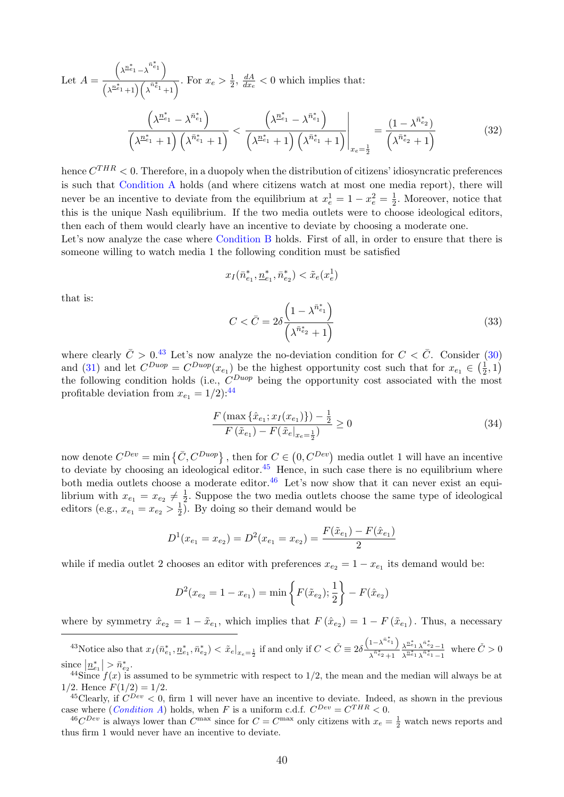Let 
$$
A = \frac{\left(\lambda^{n_{e_1}^*} - \lambda^{\bar{n}_{e_1}^*}\right)}{\left(\lambda^{n_{e_1}^*} + 1\right)\left(\lambda^{\bar{n}_{e_1}^*} + 1\right)}
$$
. For  $x_e > \frac{1}{2}$ ,  $\frac{dA}{dx_e} < 0$  which implies that:  

$$
\frac{\left(\lambda^{n_{e_1}^*} - \lambda^{\bar{n}_{e_1}^*}\right)}{\left(\lambda^{n_{e_1}^*} + 1\right)\left(\lambda^{\bar{n}_{e_1}^*} + 1\right)} < \frac{\left(\lambda^{n_{e_1}^*} - \lambda^{\bar{n}_{e_1}^*}\right)}{\left(\lambda^{n_{e_1}^*} + 1\right)\left(\lambda^{\bar{n}_{e_1}^*} + 1\right)\left(\lambda^{\bar{n}_{e_1}^*} + 1\right)}\bigg|_{x_e = \frac{1}{2}} = \frac{(1 - \lambda^{\bar{n}_{e_2}^*})}{\left(\lambda^{\bar{n}_{e_2}^*} + 1\right)}
$$
(32)

hence  $C^{THR} < 0$ . Therefore, in a duopoly when the distribution of citizens' idiosyncratic preferences is such that [Condition A](#page-9-4) holds (and where citizens watch at most one media report), there will never be an incentive to deviate from the equilibrium at  $x_e^1 = 1 - x_e^2 = \frac{1}{2}$  $\frac{1}{2}$ . Moreover, notice that this is the unique Nash equilibrium. If the two media outlets were to choose ideological editors, then each of them would clearly have an incentive to deviate by choosing a moderate one.

Let's now analyze the case where [Condition B](#page-9-5) holds. First of all, in order to ensure that there is someone willing to watch media 1 the following condition must be satisfied

$$
x_I(\bar{n}_{e_1}^*, \underline{n}_{e_1}^*, \bar{n}_{e_2}^*) < \tilde{x}_e(x_e^1)
$$

that is:

$$
C < \bar{C} = 2\delta \frac{\left(1 - \lambda^{\bar{n}_{e_1}^*}\right)}{\left(\lambda^{\bar{n}_{e_2}^*} + 1\right)}\tag{33}
$$

where clearly  $\bar{C} > 0.43$  $\bar{C} > 0.43$  Let's now analyze the no-deviation condition for  $C < \bar{C}$ . Consider [\(30\)](#page-41-1) and [\(31\)](#page-41-2) and let  $C^{Duop} = C^{Duop}(x_{e_1})$  be the highest opportunity cost such that for  $x_{e_1} \in (\frac{1}{2})$  $(\frac{1}{2}, 1)$ the following condition holds (i.e.,  $C^{Down}$  being the opportunity cost associated with the most profitable deviation from  $x_{e_1} = 1/2$ :  $\frac{44}{4}$  $\frac{44}{4}$  $\frac{44}{4}$ 

$$
\frac{F\left(\max\left\{\hat{x}_{e_1}; x_I(x_{e_1})\right\}\right) - \frac{1}{2}}{F\left(\tilde{x}_{e_1}\right) - F\left(\tilde{x}_e|_{x_e = \frac{1}{2}}\right)} \ge 0\tag{34}
$$

now denote  $C^{Dev} = \min \{ \bar{C}, C^{Down} \}$ , then for  $C \in (0, C^{Dev})$  media outlet 1 will have an incentive to deviate by choosing an ideological editor.<sup>[45](#page-42-2)</sup> Hence, in such case there is no equilibrium where both media outlets choose a moderate editor.<sup>[46](#page-42-3)</sup> Let's now show that it can never exist an equilibrium with  $x_{e_1} = x_{e_2} \neq \frac{1}{2}$  $\frac{1}{2}$ . Suppose the two media outlets choose the same type of ideological editors (e.g.,  $x_{e_1} = x_{e_2} > \frac{1}{2}$  $\frac{1}{2}$ ). By doing so their demand would be

$$
D^{1}(x_{e_1} = x_{e_2}) = D^{2}(x_{e_1} = x_{e_2}) = \frac{F(\tilde{x}_{e_1}) - F(\hat{x}_{e_1})}{2}
$$

while if media outlet 2 chooses an editor with preferences  $x_{e_2} = 1 - x_{e_1}$  its demand would be:

$$
D^{2}(x_{e_{2}} = 1 - x_{e_{1}}) = \min \left\{ F(\tilde{x}_{e_{2}}); \frac{1}{2} \right\} - F(\hat{x}_{e_{2}})
$$

where by symmetry  $\hat{x}_{e_2} = 1 - \tilde{x}_{e_1}$ , which implies that  $F(\hat{x}_{e_2}) = 1 - F(\tilde{x}_{e_1})$ . Thus, a necessary

<span id="page-42-0"></span> ${}^{43}\text{Notice also that } x_I(\bar{n}_{e_1}^*, \underline{n}_{e_1}^*, \bar{n}_{e_2}^*) < \tilde{x}_e|_{x_e=\frac{1}{2}} \text{ if and only if } C < \check{C} \equiv 2\delta \frac{\left(1-\lambda^{\bar{n}_{e_1}^*}\right)}{\lambda^{\bar{n}_{e_2}^*}+1}$  $\lambda^{n_{e_2}^*}+1$  $\lambda^{\underline{n}^{\ast}e_1}\,\lambda^{\bar{n}^{\ast}e_2}-1$  $\frac{\lambda^{n_{e_1}}\lambda^{n_{e_2}}-1}{\lambda^{n_{e_1}}\lambda^{n_{e_1}}-1}$  where  $\check{C}>0$  $\text{since } \left| \underline{n}_{e_1}^* \right| > \bar{n}_{e_2}^*.$ 

<span id="page-42-1"></span> $^{44}S$ ince  $f(x)$  is assumed to be symmetric with respect to 1/2, the mean and the median will always be at 1/2. Hence  $F(1/2) = 1/2$ .

<span id="page-42-2"></span><sup>&</sup>lt;sup>45</sup>Clearly, if  $C^{Dev} < 0$ , firm 1 will never have an incentive to deviate. Indeed, as shown in the previous case where  $(Condition A)$  $(Condition A)$  $(Condition A)$  holds, when F is a uniform c.d.f.  $C^{Dev} = C^{THR} < 0$ .

<span id="page-42-3"></span> $^{46}C^{Dev}$  is always lower than  $C<sup>max</sup>$  since for  $C = C<sup>max</sup>$  only citizens with  $x_e = \frac{1}{2}$  watch news reports and thus firm 1 would never have an incentive to deviate.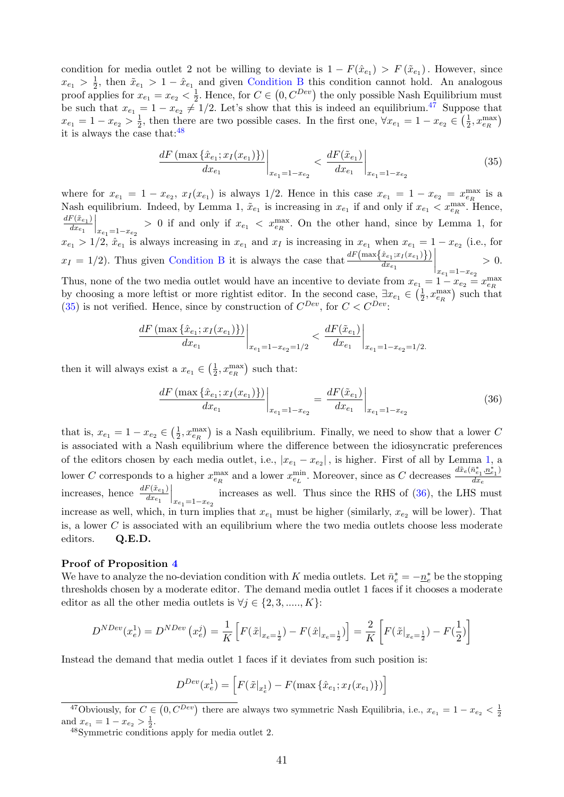condition for media outlet 2 not be willing to deviate is  $1 - F(\hat{x}_{e_1}) > F(\tilde{x}_{e_1})$ . However, since  $x_{e_1} > \frac{1}{2}$  $\frac{1}{2}$ , then  $\tilde{x}_{e_1} > 1 - \hat{x}_{e_1}$  and given [Condition B](#page-9-5) this condition cannot hold. An analogous proof applies for  $x_{e_1} = x_{e_2} < \frac{1}{2}$  $\frac{1}{2}$ . Hence, for  $C \in (0, C^{Dev})$  the only possible Nash Equilibrium must be such that  $x_{e_1} = 1 - x_{e_2} \neq 1/2$ . Let's show that this is indeed an equilibrium.<sup>[47](#page-43-0)</sup> Suppose that  $x_{e_1} = 1 - x_{e_2} > \frac{1}{2}$  $\frac{1}{2}$ , then there are two possible cases. In the first one,  $\forall x_{e_1} = 1 - x_{e_2} \in (\frac{1}{2})$  $\frac{1}{2}, x_{e_R}^{\text{max}}$ it is always the case that:  $48$ 

<span id="page-43-2"></span>
$$
\frac{dF\left(\max\left\{\hat{x}_{e_1};x_I(x_{e_1})\right\}\right)}{dx_{e_1}}\bigg|_{x_{e_1}=1-x_{e_2}} < \frac{dF(\tilde{x}_{e_1})}{dx_{e_1}}\bigg|_{x_{e_1}=1-x_{e_2}}
$$
\n(35)

where for  $x_{e_1} = 1 - x_{e_2}, x_I(x_{e_1})$  is always 1/2. Hence in this case  $x_{e_1} = 1 - x_{e_2} = x_{e_R}^{\max}$  is a Nash equilibrium. Indeed, by Lemma 1,  $\tilde{x}_{e_1}$  is increasing in  $x_{e_1}$  if and only if  $x_{e_1} < x_{e_R}^{\max}$ . Hence,  $dF(\tilde{x}_{e_1})$  $dx_{e_1}$  $\Big|_{x_{e_1}=1-x_{e_2}} > 0$  if and only if  $x_{e_1} < x_{e_R}^{\max}$ . On the other hand, since by Lemma 1, for  $x_{e_1} > 1/2$ ,  $\hat{x}_{e_1}$  is always increasing in  $x_{e_1}$  and  $x_I$  is increasing in  $x_{e_1}$  when  $x_{e_1} = 1 - x_{e_2}$  (i.e., for  $x_I = 1/2$ . Thus given [Condition B](#page-9-5) it is always the case that  $\frac{dF(\max\{\hat{x}_{e_1}, x_I(x_{e_1})\})}{dx_{e_1}}$  $dx_{e_1}$  $\bigg|_{x_{e_1}=1-x_{e_2}}$  $> 0.$ Thus, none of the two media outlet would have an incentive to deviate from  $x_{e_1} = 1 - x_{e_2} = x_{e_R}^{\text{max}}$ by choosing a more leftist or more rightist editor. In the second case,  $\exists x_{e_1} \in (\frac{1}{2})$  $(\frac{1}{2}, x_{e_R}^{\text{max}})$  such that [\(35\)](#page-43-2) is not verified. Hence, since by construction of  $C^{Dev}$ , for  $C < C^{Dev}$ .

$$
\left.\frac{dF\left(\max\left\{\hat{x}_{e_1};x_I(x_{e_1})\right\}\right)}{dx_{e_1}}\right|_{x_{e_1}=1-x_{e_2}=1/2} < \left.\frac{dF(\tilde{x}_{e_1})}{dx_{e_1}}\right|_{x_{e_1}=1-x_{e_2}=1/2}.
$$

then it will always exist a  $x_{e_1} \in \left(\frac{1}{2}\right)$  $(\frac{1}{2}, x_{e_R}^{\text{max}})$  such that:

<span id="page-43-3"></span>
$$
\frac{dF\left(\max\left\{\hat{x}_{e_1};x_I(x_{e_1})\right\}\right)}{dx_{e_1}}\bigg|_{x_{e_1}=1-x_{e_2}} = \frac{dF(\tilde{x}_{e_1})}{dx_{e_1}}\bigg|_{x_{e_1}=1-x_{e_2}}
$$
(36)

that is,  $x_{e_1} = 1 - x_{e_2} \in \left(\frac{1}{2}\right)$  $\frac{1}{2}$ ,  $x_{e_R}^{\text{max}}$ ) is a Nash equilibrium. Finally, we need to show that a lower C is associated with a Nash equilibrium where the difference between the idiosyncratic preferences of the editors chosen by each media outlet, i.e.,  $|x_{e_1} - x_{e_2}|$ , is higher. First of all by Lemma [1,](#page-17-0) a lower C corresponds to a higher  $x_{e_R}^{\max}$  and a lower  $x_{e_L}^{\min}$ . Moreover, since as C decreases  $\frac{d\tilde{x}_e(\bar{n}_{e_1}^*, \underline{n}_{e_1}^*)}{dx_e}$  $dx_e$ increases, hence  $\frac{dF(\tilde{x}_{e_1})}{dx}$  $dx_{e_1}$  $\Big |_{x_{e_1}=1-x_{e_2}}$ increases as well. Thus since the RHS of [\(36\)](#page-43-3), the LHS must increase as well, which, in turn implies that  $x_{e_1}$  must be higher (similarly,  $x_{e_2}$  will be lower). That is, a lower  $C$  is associated with an equilibrium where the two media outlets choose less moderate editors. Q.E.D.

#### Proof of Proposition [4](#page-22-0)

We have to analyze the no-deviation condition with K media outlets. Let  $\bar{n}_e^* = -\underline{n}_e^*$  be the stopping thresholds chosen by a moderate editor. The demand media outlet 1 faces if it chooses a moderate editor as all the other media outlets is  $\forall j \in \{2, 3, \ldots, K\}$ :

$$
D^{NDev}(x_e^1) = D^{NDev}(x_e^j) = \frac{1}{K} \left[ F(\tilde{x}|_{x_e = \frac{1}{2}}) - F(\hat{x}|_{x_e = \frac{1}{2}}) \right] = \frac{2}{K} \left[ F(\tilde{x}|_{x_e = \frac{1}{2}}) - F(\frac{1}{2}) \right]
$$

Instead the demand that media outlet 1 faces if it deviates from such position is:

$$
D^{Dev}(x_e^1) = \left[ F(\tilde{x}|_{x_e^1}) - F(\max{\{\hat{x}_{e_1}; x_I(x_{e_1})\}}) \right]
$$

<span id="page-43-0"></span><sup>&</sup>lt;sup>47</sup>Obviously, for  $C \in (0, C^{Dev})$  there are always two symmetric Nash Equilibria, i.e.,  $x_{e_1} = 1 - x_{e_2} < \frac{1}{2}$ and  $x_{e_1} = 1 - x_{e_2} > \frac{1}{2}$ .

<span id="page-43-1"></span><sup>48</sup>Symmetric conditions apply for media outlet 2.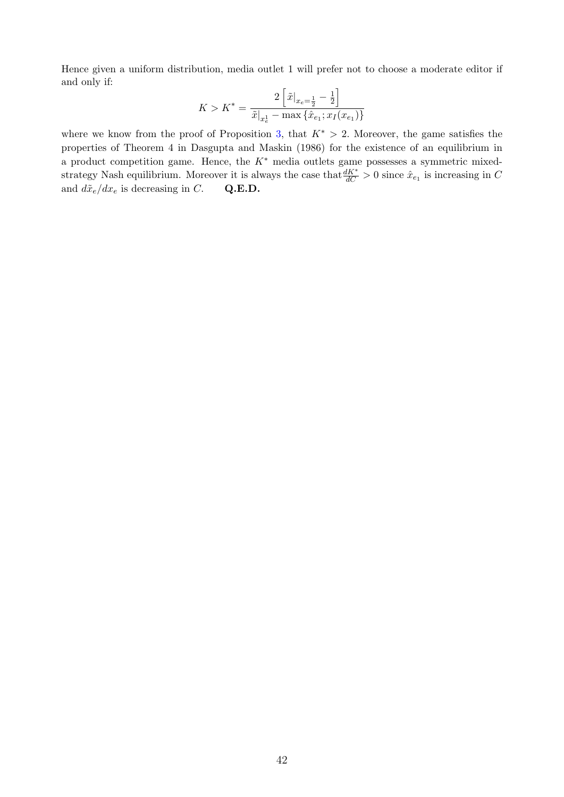Hence given a uniform distribution, media outlet 1 will prefer not to choose a moderate editor if and only if: h i

$$
K > K^* = \frac{2\left[\tilde{x}|_{x_e = \frac{1}{2}} - \frac{1}{2}\right]}{\tilde{x}|_{x_e^1} - \max\{\hat{x}_{e_1}; x_I(x_{e_1})\}}
$$

where we know from the proof of Proposition [3,](#page-20-1) that  $K^* > 2$ . Moreover, the game satisfies the properties of Theorem 4 in Dasgupta and Maskin (1986) for the existence of an equilibrium in a product competition game. Hence, the  $K^*$  media outlets game possesses a symmetric mixedstrategy Nash equilibrium. Moreover it is always the case that  $\frac{dK^*}{dC} > 0$  since  $\hat{x}_{e_1}$  is increasing in C and  $d\tilde{x}_e/dx_e$  is decreasing in C. Q.E.D.